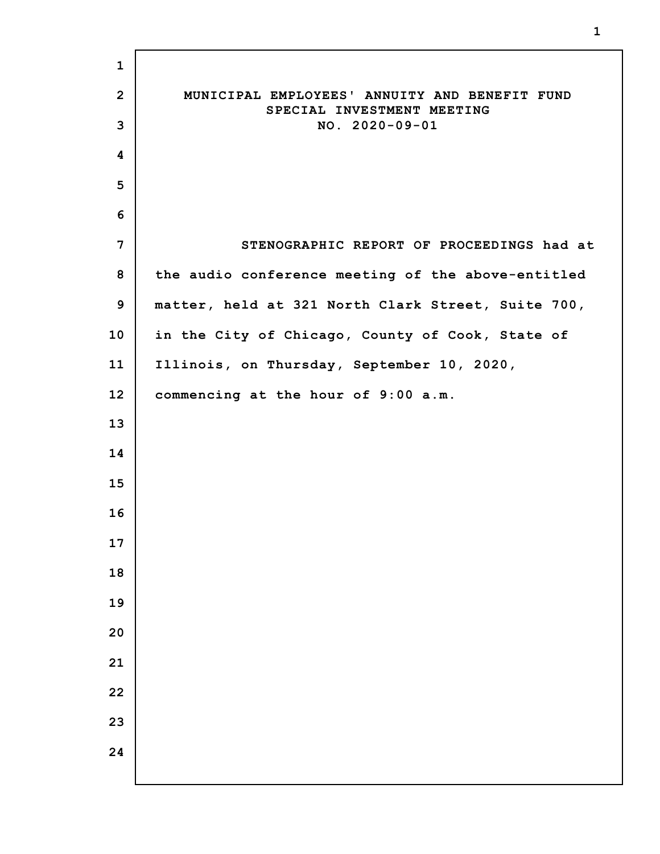| $\mathbf{1}$   |                                                                             |
|----------------|-----------------------------------------------------------------------------|
| $\overline{2}$ | MUNICIPAL EMPLOYEES' ANNUITY AND BENEFIT FUND<br>SPECIAL INVESTMENT MEETING |
| 3              | $NO. 2020 - 09 - 01$                                                        |
| 4              |                                                                             |
| 5              |                                                                             |
| 6              |                                                                             |
| 7              | STENOGRAPHIC REPORT OF PROCEEDINGS had at                                   |
| 8              | the audio conference meeting of the above-entitled                          |
| 9              | matter, held at 321 North Clark Street, Suite 700,                          |
| 10             | in the City of Chicago, County of Cook, State of                            |
| 11             | Illinois, on Thursday, September 10, 2020,                                  |
| 12             | commencing at the hour of 9:00 a.m.                                         |
| 13             |                                                                             |
| 14             |                                                                             |
| 15             |                                                                             |
| 16             |                                                                             |
| 17             |                                                                             |
| 18             |                                                                             |
| 19             |                                                                             |
| 20             |                                                                             |
| 21             |                                                                             |
| 22             |                                                                             |
| 23             |                                                                             |
| 24             |                                                                             |
|                |                                                                             |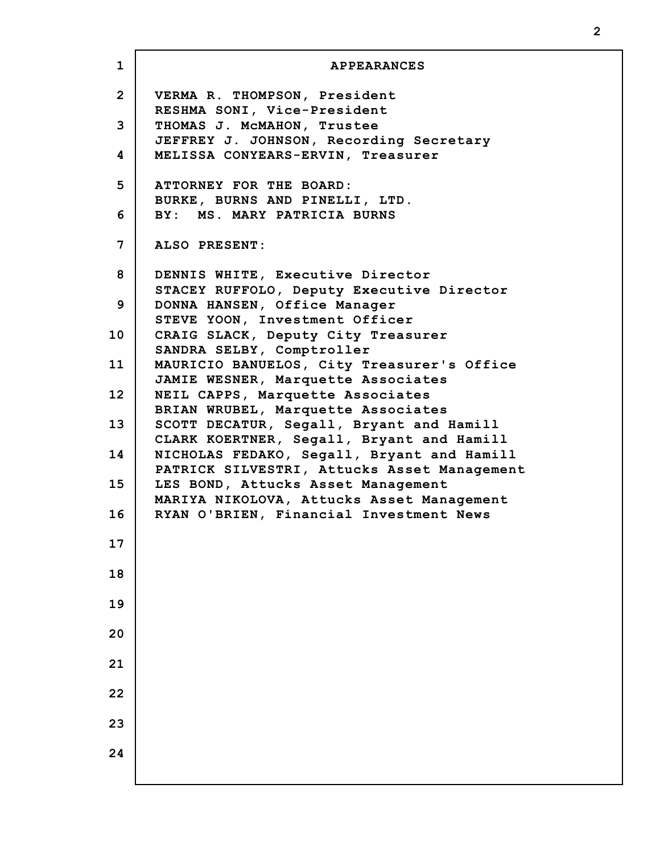| $\mathbf{1}$   | <b>APPEARANCES</b>                                                                      |
|----------------|-----------------------------------------------------------------------------------------|
| $\overline{2}$ | VERMA R. THOMPSON, President<br>RESHMA SONI, Vice-President                             |
| 3              | THOMAS J. McMAHON, Trustee                                                              |
| 4              | JEFFREY J. JOHNSON, Recording Secretary<br>MELISSA CONYEARS-ERVIN, Treasurer            |
| 5              | ATTORNEY FOR THE BOARD:                                                                 |
| 6              | BURKE, BURNS AND PINELLI, LTD.<br>BY: MS. MARY PATRICIA BURNS                           |
| 7              | ALSO PRESENT:                                                                           |
| 8              | DENNIS WHITE, Executive Director                                                        |
| 9              | STACEY RUFFOLO, Deputy Executive Director<br>DONNA HANSEN, Office Manager               |
| 10             | STEVE YOON, Investment Officer<br>CRAIG SLACK, Deputy City Treasurer                    |
| 11             | SANDRA SELBY, Comptroller<br>MAURICIO BANUELOS, City Treasurer's Office                 |
| 12             | JAMIE WESNER, Marquette Associates<br>NEIL CAPPS, Marquette Associates                  |
| 13             | BRIAN WRUBEL, Marquette Associates<br>SCOTT DECATUR, Segall, Bryant and Hamill          |
| 14             | CLARK KOERTNER, Segall, Bryant and Hamill<br>NICHOLAS FEDAKO, Segall, Bryant and Hamill |
| 15             | PATRICK SILVESTRI, Attucks Asset Management<br>LES BOND, Attucks Asset Management       |
| 16             | MARIYA NIKOLOVA, Attucks Asset Management<br>RYAN O'BRIEN, Financial Investment News    |
| 17             |                                                                                         |
| 18             |                                                                                         |
| 19             |                                                                                         |
| 20             |                                                                                         |
| 21             |                                                                                         |
| 22             |                                                                                         |
|                |                                                                                         |
| 23             |                                                                                         |
| 24             |                                                                                         |

I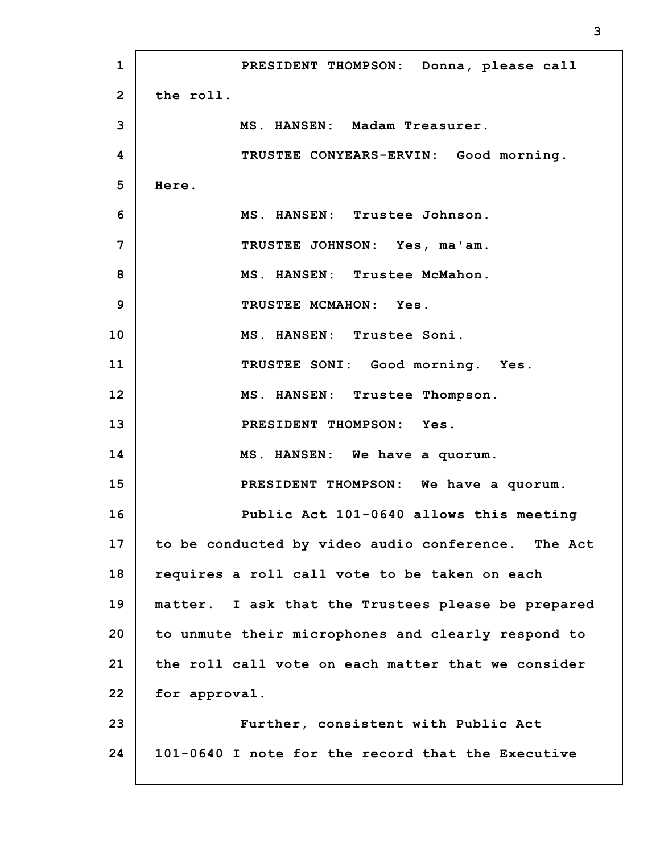**1 2 3 4 5 6 7 8 9 10 11 12 13 14 15 16 17 18 19 20 21 22 23 24 PRESIDENT THOMPSON: Donna, please call the roll. MS. HANSEN: Madam Treasurer. TRUSTEE CONYEARS-ERVIN: Good morning. Here. MS. HANSEN: Trustee Johnson. TRUSTEE JOHNSON: Yes, ma'am. MS. HANSEN: Trustee McMahon. TRUSTEE MCMAHON: Yes. MS. HANSEN: Trustee Soni. TRUSTEE SONI: Good morning. Yes. MS. HANSEN: Trustee Thompson. PRESIDENT THOMPSON: Yes. MS. HANSEN: We have a quorum. PRESIDENT THOMPSON: We have a quorum. Public Act 101-0640 allows this meeting to be conducted by video audio conference. The Act requires a roll call vote to be taken on each matter. I ask that the Trustees please be prepared to unmute their microphones and clearly respond to the roll call vote on each matter that we consider for approval. Further, consistent with Public Act 101-0640 I note for the record that the Executive**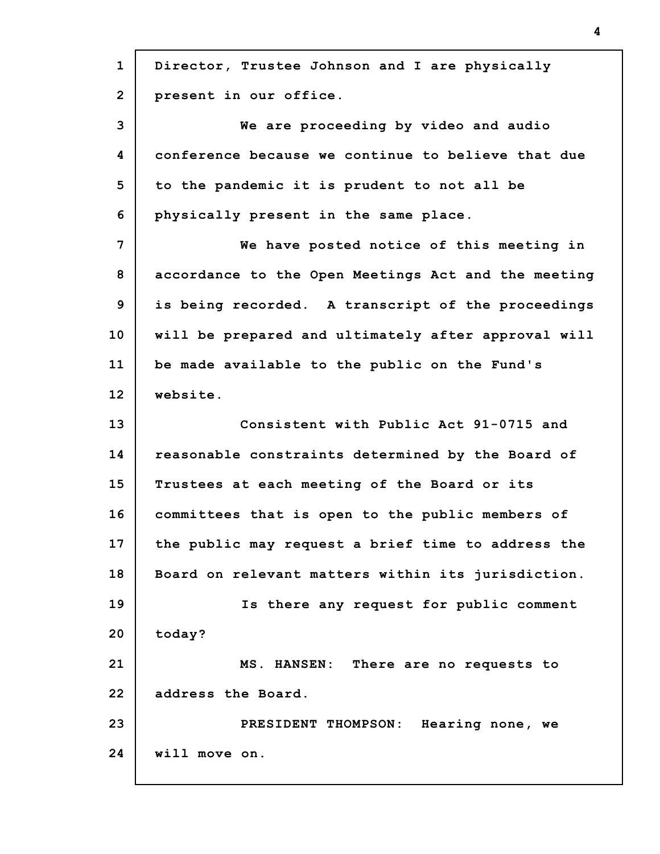| Director, Trustee Johnson and I are physically      |
|-----------------------------------------------------|
| present in our office.                              |
| We are proceeding by video and audio                |
| conference because we continue to believe that due  |
| to the pandemic it is prudent to not all be         |
| physically present in the same place.               |
| We have posted notice of this meeting in            |
| accordance to the Open Meetings Act and the meeting |
| is being recorded. A transcript of the proceedings  |
| will be prepared and ultimately after approval will |
| be made available to the public on the Fund's       |
| website.                                            |
| Consistent with Public Act 91-0715 and              |
| reasonable constraints determined by the Board of   |
| Trustees at each meeting of the Board or its        |
| committees that is open to the public members of    |
| the public may request a brief time to address the  |
| Board on relevant matters within its jurisdiction.  |
| Is there any request for public comment             |
| today?                                              |
| MS. HANSEN: There are no requests to                |
| address the Board.                                  |
| PRESIDENT THOMPSON: Hearing none, we                |
| will move on.                                       |
|                                                     |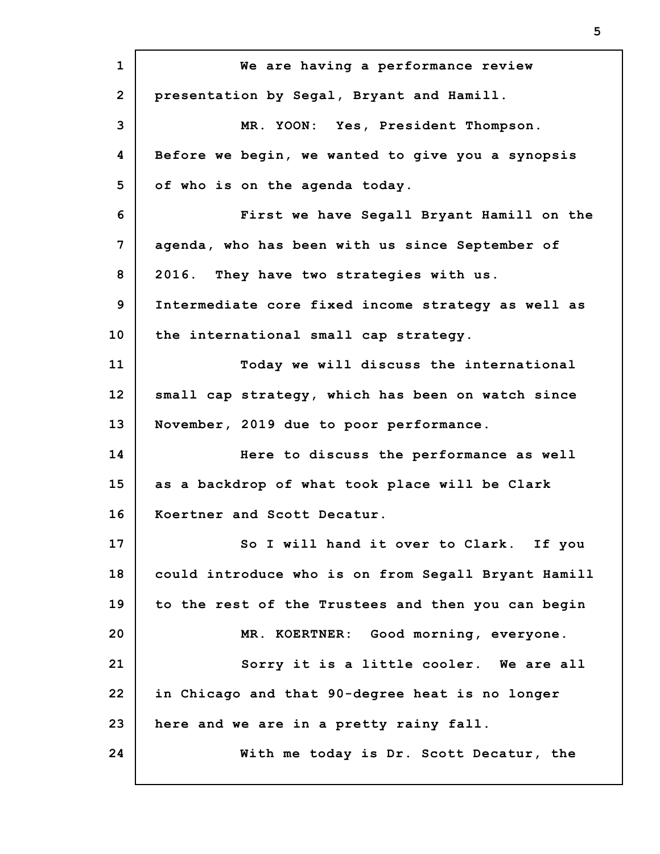**1 2 3 4 5 6 7 8 9 10 11 12 13 14 15 16 17 18 19 20 21 22 23 24 We are having a performance review presentation by Segal, Bryant and Hamill. MR. YOON: Yes, President Thompson. Before we begin, we wanted to give you a synopsis of who is on the agenda today. First we have Segall Bryant Hamill on the agenda, who has been with us since September of 2016. They have two strategies with us. Intermediate core fixed income strategy as well as the international small cap strategy. Today we will discuss the international small cap strategy, which has been on watch since November, 2019 due to poor performance. Here to discuss the performance as well as a backdrop of what took place will be Clark Koertner and Scott Decatur. So I will hand it over to Clark. If you could introduce who is on from Segall Bryant Hamill to the rest of the Trustees and then you can begin MR. KOERTNER: Good morning, everyone. Sorry it is a little cooler. We are all in Chicago and that 90-degree heat is no longer here and we are in a pretty rainy fall. With me today is Dr. Scott Decatur, the**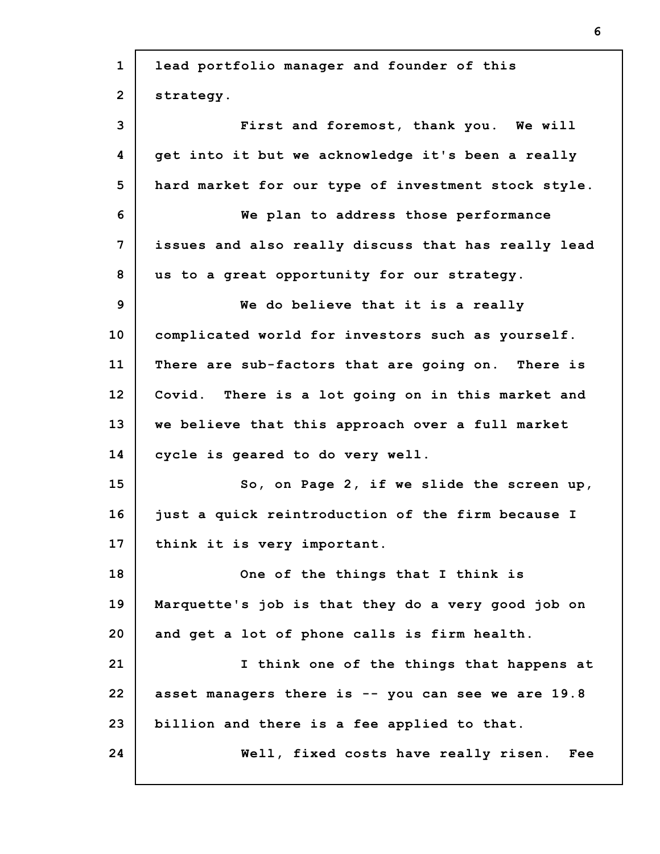| $\mathbf{1}$   | lead portfolio manager and founder of this          |
|----------------|-----------------------------------------------------|
| $\overline{2}$ | strategy.                                           |
| 3              | First and foremost, thank you. We will              |
| 4              | get into it but we acknowledge it's been a really   |
| 5              | hard market for our type of investment stock style. |
| 6              | We plan to address those performance                |
| 7              | issues and also really discuss that has really lead |
| 8              | us to a great opportunity for our strategy.         |
| 9              | We do believe that it is a really                   |
| 10             | complicated world for investors such as yourself.   |
| 11             | There are sub-factors that are going on. There is   |
| 12             | Covid. There is a lot going on in this market and   |
| 13             | we believe that this approach over a full market    |
| 14             | cycle is geared to do very well.                    |
| 15             | So, on Page 2, if we slide the screen up,           |
| 16             | just a quick reintroduction of the firm because I   |
| 17             | think it is very important.                         |
| 18             | One of the things that I think is                   |
| 19             | Marquette's job is that they do a very good job on  |
| 20             | and get a lot of phone calls is firm health.        |
| 21             | I think one of the things that happens at           |
| 22             | asset managers there is -- you can see we are 19.8  |
| 23             | billion and there is a fee applied to that.         |
| 24             | Well, fixed costs have really risen.<br>Fee         |
|                |                                                     |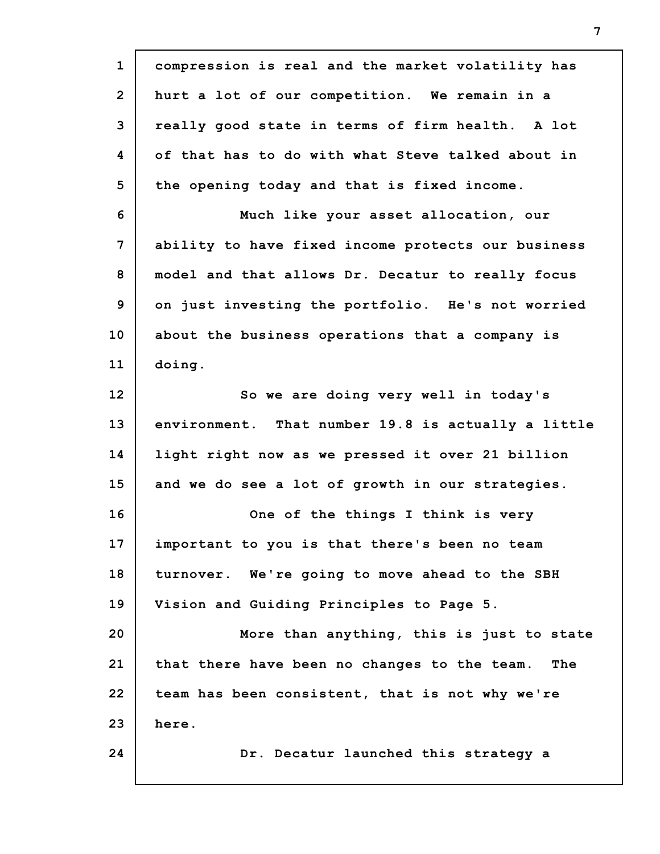| compression is real and the market volatility has   |
|-----------------------------------------------------|
| hurt a lot of our competition. We remain in a       |
| really good state in terms of firm health. A lot    |
| of that has to do with what Steve talked about in   |
| the opening today and that is fixed income.         |
| Much like your asset allocation, our                |
| ability to have fixed income protects our business  |
| model and that allows Dr. Decatur to really focus   |
| on just investing the portfolio. He's not worried   |
| about the business operations that a company is     |
| doing.                                              |
| So we are doing very well in today's                |
| environment. That number 19.8 is actually a little  |
| light right now as we pressed it over 21 billion    |
| and we do see a lot of growth in our strategies.    |
| One of the things I think is very                   |
| important to you is that there's been no team       |
| turnover. We're going to move ahead to the SBH      |
| Vision and Guiding Principles to Page 5.            |
| More than anything, this is just to state           |
| that there have been no changes to the team.<br>The |
| team has been consistent, that is not why we're     |
| here.                                               |
| Dr. Decatur launched this strategy a                |
|                                                     |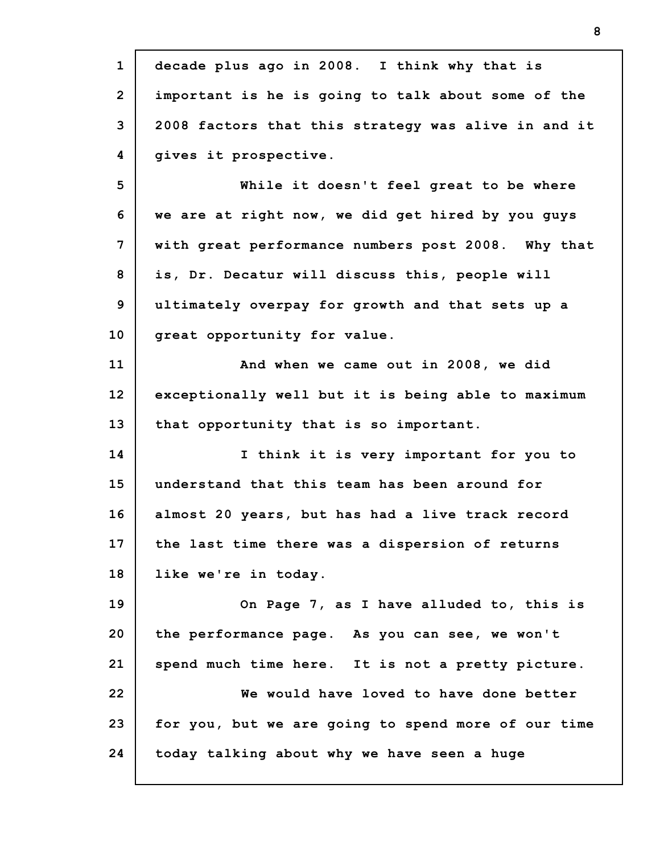| $\mathbf{1}$    | decade plus ago in 2008. I think why that is        |
|-----------------|-----------------------------------------------------|
| $\overline{2}$  | important is he is going to talk about some of the  |
| 3               | 2008 factors that this strategy was alive in and it |
| 4               | gives it prospective.                               |
| 5               | While it doesn't feel great to be where             |
| 6               | we are at right now, we did get hired by you guys   |
| 7               | with great performance numbers post 2008. Why that  |
| 8               | is, Dr. Decatur will discuss this, people will      |
| 9               | ultimately overpay for growth and that sets up a    |
| 10              | great opportunity for value.                        |
| 11              | And when we came out in 2008, we did                |
| 12 <sub>2</sub> | exceptionally well but it is being able to maximum  |
| 13              | that opportunity that is so important.              |
| 14              | I think it is very important for you to             |
| 15              | understand that this team has been around for       |
| 16              | almost 20 years, but has had a live track record    |
| 17              | the last time there was a dispersion of returns     |
| 18              | like we're in today.                                |
| 19              | On Page 7, as I have alluded to, this is            |
| 20              | the performance page. As you can see, we won't      |
| 21              | spend much time here. It is not a pretty picture.   |
| 22              | We would have loved to have done better             |
| 23              | for you, but we are going to spend more of our time |
| 24              | today talking about why we have seen a huge         |
|                 |                                                     |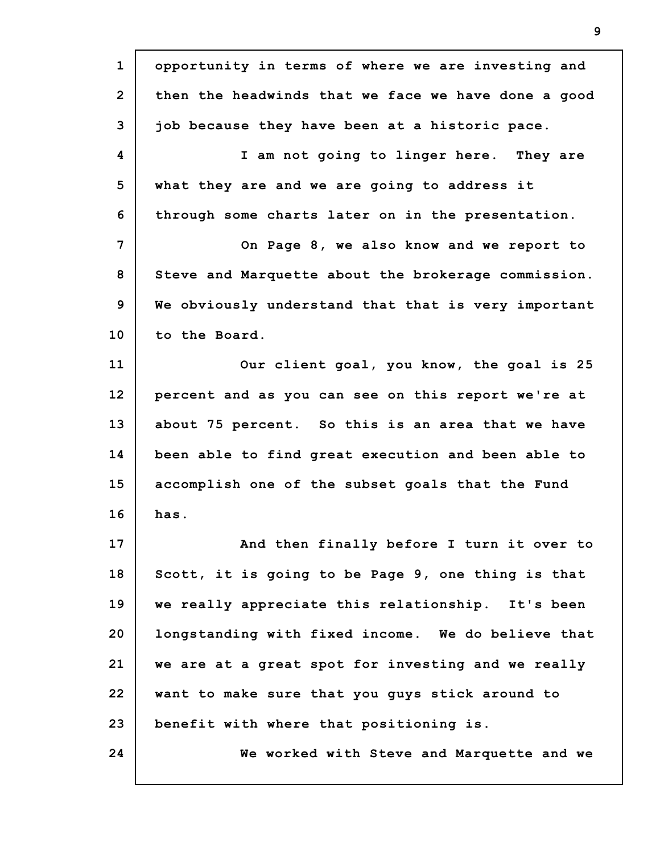| $\mathbf{1}$   | opportunity in terms of where we are investing and  |
|----------------|-----------------------------------------------------|
| $\overline{2}$ | then the headwinds that we face we have done a good |
| 3              | job because they have been at a historic pace.      |
| 4              | I am not going to linger here. They are             |
| 5              | what they are and we are going to address it        |
| 6              | through some charts later on in the presentation.   |
| 7              | On Page 8, we also know and we report to            |
| 8              | Steve and Marquette about the brokerage commission. |
| 9              | We obviously understand that that is very important |
| 10             | to the Board.                                       |
| 11             | Our client goal, you know, the goal is 25           |
| 12             | percent and as you can see on this report we're at  |
| 13             | about 75 percent. So this is an area that we have   |
| 14             | been able to find great execution and been able to  |
| 15             | accomplish one of the subset goals that the Fund    |
| 16             | has.                                                |
| 17             | And then finally before I turn it over to           |
| 18             | Scott, it is going to be Page 9, one thing is that  |
| 19             | we really appreciate this relationship. It's been   |
| 20             | longstanding with fixed income. We do believe that  |
| 21             | we are at a great spot for investing and we really  |
| 22             | want to make sure that you guys stick around to     |
| 23             | benefit with where that positioning is.             |
| 24             | We worked with Steve and Marquette and we           |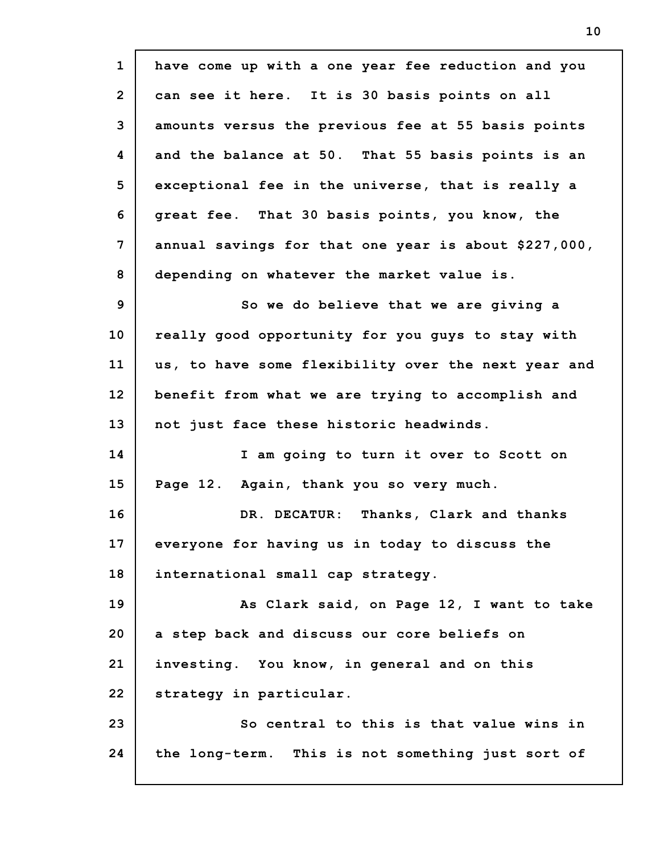**1 2 3 4 5 6 7 8 9 10 11 12 13 14 15 16 17 18 19 20 21 22 23 24 have come up with a one year fee reduction and you can see it here. It is 30 basis points on all amounts versus the previous fee at 55 basis points and the balance at 50. That 55 basis points is an exceptional fee in the universe, that is really a great fee. That 30 basis points, you know, the annual savings for that one year is about \$227,000, depending on whatever the market value is. So we do believe that we are giving a really good opportunity for you guys to stay with us, to have some flexibility over the next year and benefit from what we are trying to accomplish and not just face these historic headwinds. I am going to turn it over to Scott on Page 12. Again, thank you so very much. DR. DECATUR: Thanks, Clark and thanks everyone for having us in today to discuss the international small cap strategy. As Clark said, on Page 12, I want to take a step back and discuss our core beliefs on investing. You know, in general and on this strategy in particular. So central to this is that value wins in the long-term. This is not something just sort of**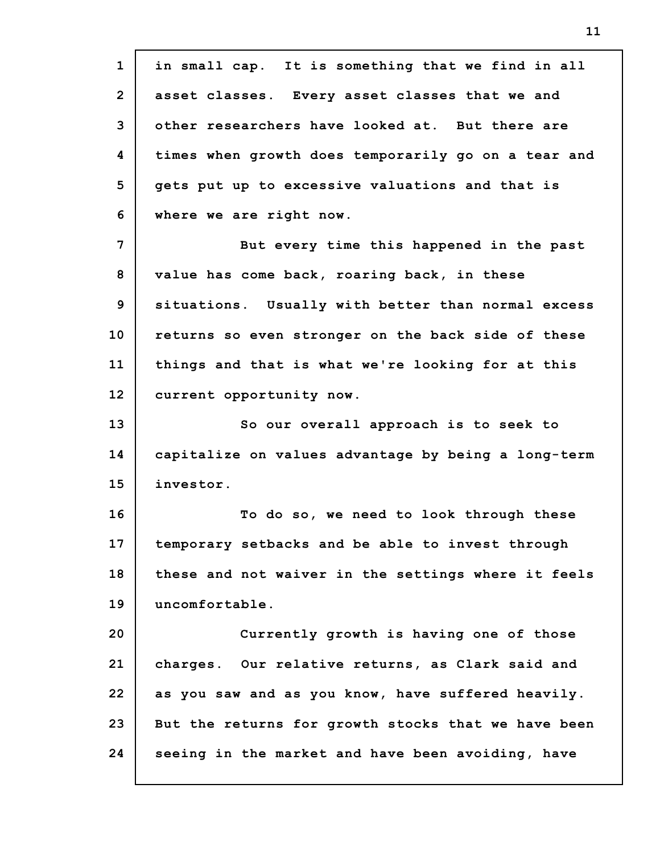**1 2 3 4 5 6 7 8 9 10 11 12 13 14 15 16 17 18 19 20 21 22 23 24 in small cap. It is something that we find in all asset classes. Every asset classes that we and other researchers have looked at. But there are times when growth does temporarily go on a tear and gets put up to excessive valuations and that is where we are right now. But every time this happened in the past value has come back, roaring back, in these situations. Usually with better than normal excess returns so even stronger on the back side of these things and that is what we're looking for at this current opportunity now. So our overall approach is to seek to capitalize on values advantage by being a long-term investor. To do so, we need to look through these temporary setbacks and be able to invest through these and not waiver in the settings where it feels uncomfortable. Currently growth is having one of those charges. Our relative returns, as Clark said and as you saw and as you know, have suffered heavily. But the returns for growth stocks that we have been seeing in the market and have been avoiding, have**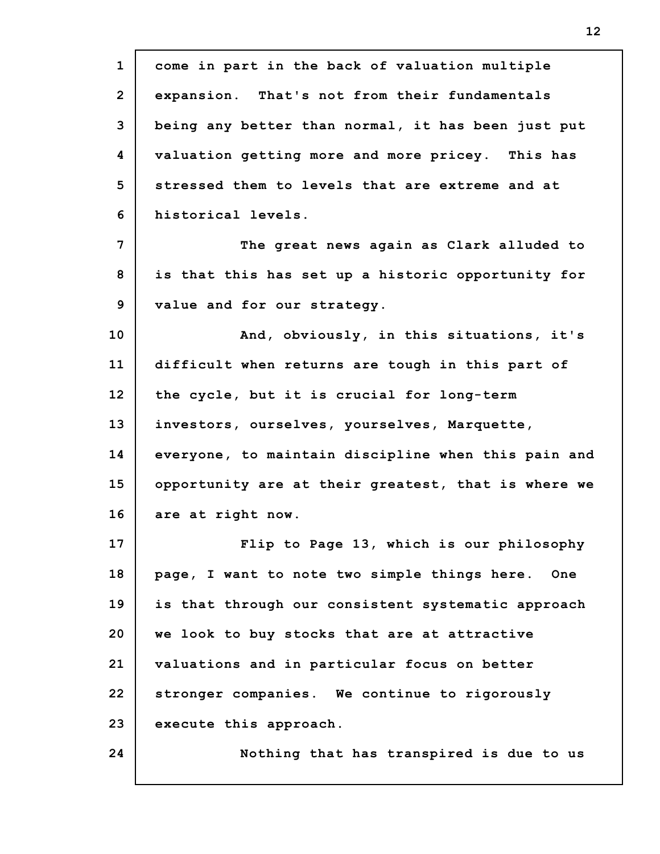| $\mathbf 1$    | come in part in the back of valuation multiple      |
|----------------|-----------------------------------------------------|
| $\overline{2}$ | expansion. That's not from their fundamentals       |
| 3              | being any better than normal, it has been just put  |
| 4              | valuation getting more and more pricey. This has    |
| 5              | stressed them to levels that are extreme and at     |
| 6              | historical levels.                                  |
| $\overline{7}$ | The great news again as Clark alluded to            |
| 8              | is that this has set up a historic opportunity for  |
| 9              | value and for our strategy.                         |
| 10             | And, obviously, in this situations, it's            |
| 11             | difficult when returns are tough in this part of    |
| 12             | the cycle, but it is crucial for long-term          |
| 13             | investors, ourselves, yourselves, Marquette,        |
| 14             | everyone, to maintain discipline when this pain and |
| 15             | opportunity are at their greatest, that is where we |
| 16             | are at right now.                                   |
| 17             | Flip to Page 13, which is our philosophy            |
| 18             | page, I want to note two simple things here. One    |
| 19             | is that through our consistent systematic approach  |
| 20             | we look to buy stocks that are at attractive        |
| 21             | valuations and in particular focus on better        |
| 22             | stronger companies. We continue to rigorously       |
| 23             | execute this approach.                              |
| 24             | Nothing that has transpired is due to us            |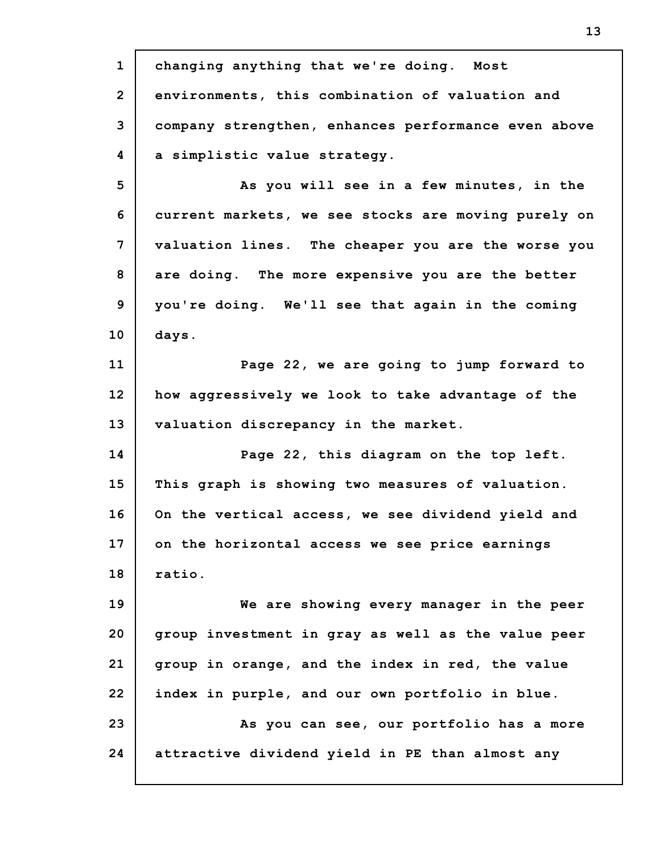**1 2 3 4 5 6 7 8 9 10 11 12 13 14 15 16 17 18 19 20 21 22 23 24 changing anything that we're doing. Most environments, this combination of valuation and company strengthen, enhances performance even above a simplistic value strategy. As you will see in a few minutes, in the current markets, we see stocks are moving purely on valuation lines. The cheaper you are the worse you are doing. The more expensive you are the better you're doing. We'll see that again in the coming days. Page 22, we are going to jump forward to how aggressively we look to take advantage of the valuation discrepancy in the market. Page 22, this diagram on the top left. This graph is showing two measures of valuation. On the vertical access, we see dividend yield and on the horizontal access we see price earnings ratio. We are showing every manager in the peer group investment in gray as well as the value peer group in orange, and the index in red, the value index in purple, and our own portfolio in blue. As you can see, our portfolio has a more attractive dividend yield in PE than almost any**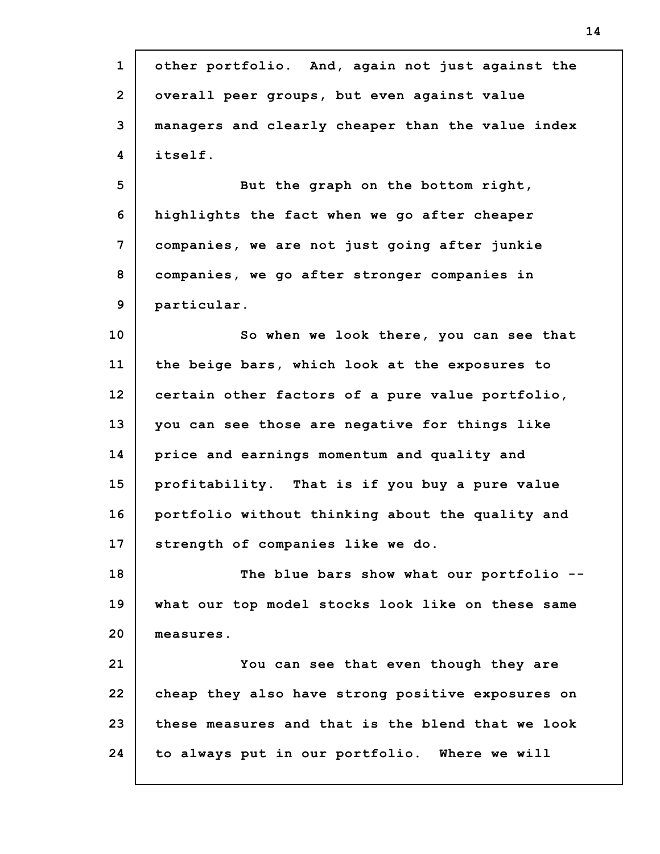| $\mathbf 1$    | other portfolio. And, again not just against the  |
|----------------|---------------------------------------------------|
| $\overline{2}$ | overall peer groups, but even against value       |
| 3              | managers and clearly cheaper than the value index |
| 4              | itself.                                           |
| 5              | But the graph on the bottom right,                |
| 6              | highlights the fact when we go after cheaper      |
| 7              | companies, we are not just going after junkie     |
| 8              | companies, we go after stronger companies in      |
| 9              | particular.                                       |
| 10             | So when we look there, you can see that           |
| 11             | the beige bars, which look at the exposures to    |
| 12             | certain other factors of a pure value portfolio,  |
| 13             | you can see those are negative for things like    |
| 14             | price and earnings momentum and quality and       |
| 15             | profitability. That is if you buy a pure value    |
| 16             | portfolio without thinking about the quality and  |
| 17             | strength of companies like we do.                 |
| 18             | The blue bars show what our portfolio --          |
| 19             | what our top model stocks look like on these same |
| 20             | measures.                                         |
| 21             | You can see that even though they are             |
| 22             | cheap they also have strong positive exposures on |
| 23             | these measures and that is the blend that we look |
| 24             | to always put in our portfolio. Where we will     |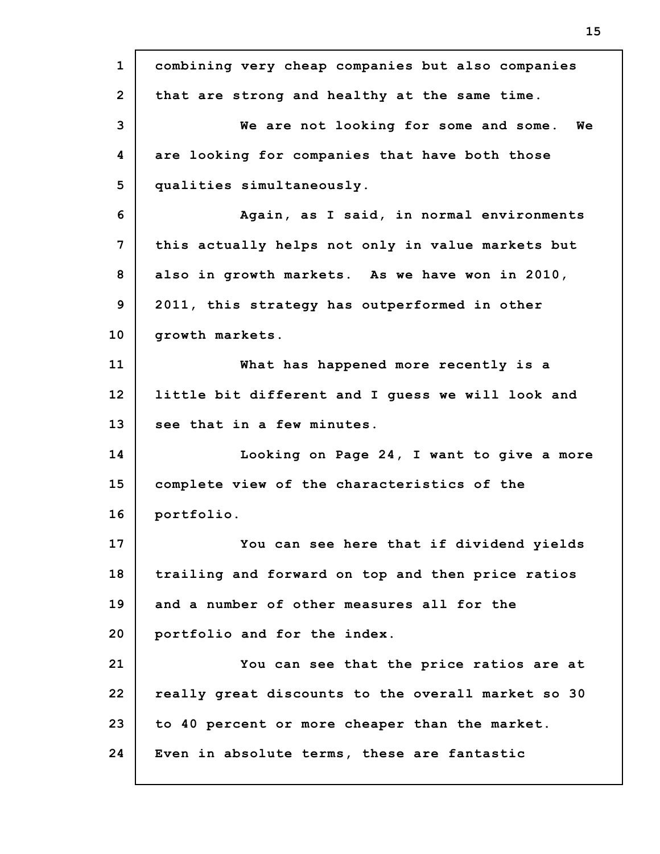| $\mathbf{1}$   | combining very cheap companies but also companies  |
|----------------|----------------------------------------------------|
| $\overline{2}$ | that are strong and healthy at the same time.      |
| 3              | We are not looking for some and some. We           |
| 4              | are looking for companies that have both those     |
| 5              | qualities simultaneously.                          |
| 6              | Again, as I said, in normal environments           |
| 7              | this actually helps not only in value markets but  |
| 8              | also in growth markets. As we have won in 2010,    |
| 9              | 2011, this strategy has outperformed in other      |
| 10             | growth markets.                                    |
| 11             | What has happened more recently is a               |
| 12             | little bit different and I guess we will look and  |
| 13             | see that in a few minutes.                         |
| 14             | Looking on Page 24, I want to give a more          |
| 15             | complete view of the characteristics of the        |
| 16             | portfolio.                                         |
| 17             | You can see here that if dividend yields           |
| 18             | trailing and forward on top and then price ratios  |
| 19             | and a number of other measures all for the         |
| 20             | portfolio and for the index.                       |
| 21             | You can see that the price ratios are at           |
| 22             | really great discounts to the overall market so 30 |
| 23             | to 40 percent or more cheaper than the market.     |
| 24             | Even in absolute terms, these are fantastic        |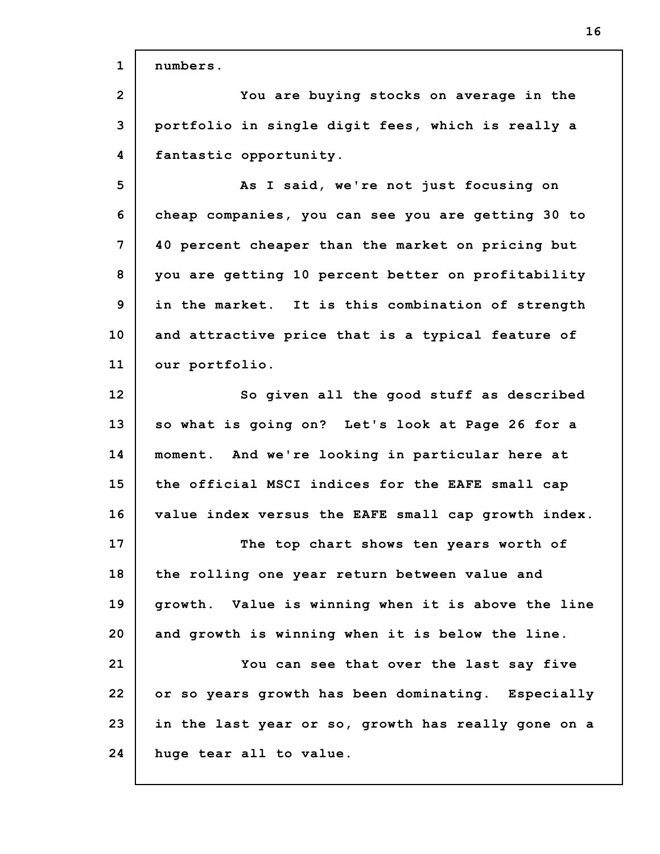| $\mathbf{1}$   | numbers.                                            |
|----------------|-----------------------------------------------------|
| $\overline{2}$ | You are buying stocks on average in the             |
| 3              | portfolio in single digit fees, which is really a   |
| 4              | fantastic opportunity.                              |
| 5              | As I said, we're not just focusing on               |
| 6              | cheap companies, you can see you are getting 30 to  |
| 7              | 40 percent cheaper than the market on pricing but   |
| 8              | you are getting 10 percent better on profitability  |
| 9              | in the market. It is this combination of strength   |
| 10             | and attractive price that is a typical feature of   |
| 11             | our portfolio.                                      |
| 12             | So given all the good stuff as described            |
| 13             | so what is going on? Let's look at Page 26 for a    |
| 14             | moment. And we're looking in particular here at     |
| 15             | the official MSCI indices for the EAFE small cap    |
| 16             | value index versus the EAFE small cap growth index. |
| 17             | The top chart shows ten years worth of              |
| 18             | the rolling one year return between value and       |
| 19             | growth. Value is winning when it is above the line  |
| 20             | and growth is winning when it is below the line.    |
| 21             | You can see that over the last say five             |
| 22             | or so years growth has been dominating. Especially  |
| 23             | in the last year or so, growth has really gone on a |
| 24             | huge tear all to value.                             |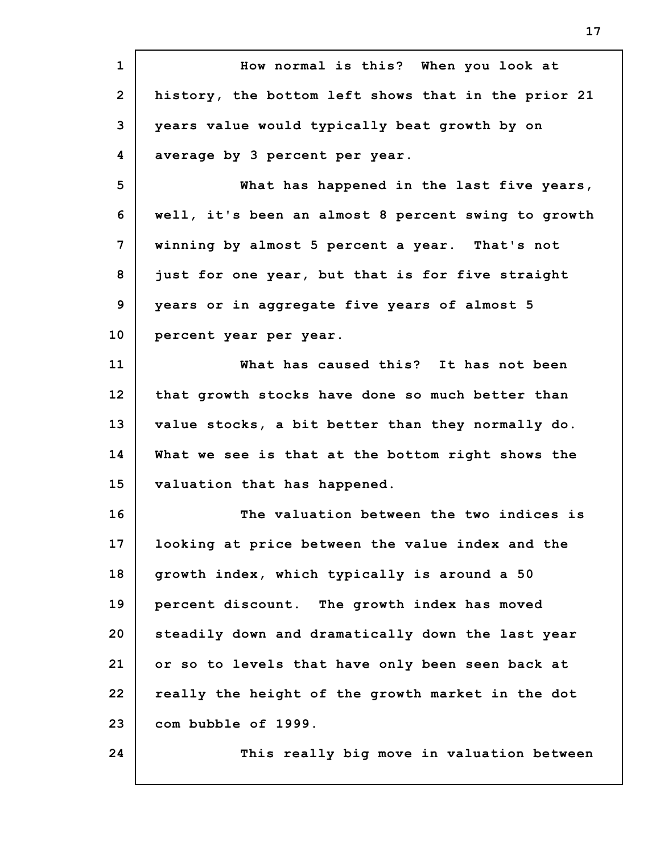**1 2 3 4 5 6 7 8 9 10 11 12 13 14 15 16 17 18 19 20 21 22 23 24 How normal is this? When you look at history, the bottom left shows that in the prior 21 years value would typically beat growth by on average by 3 percent per year. What has happened in the last five years, well, it's been an almost 8 percent swing to growth winning by almost 5 percent a year. That's not just for one year, but that is for five straight years or in aggregate five years of almost 5 percent year per year. What has caused this? It has not been that growth stocks have done so much better than value stocks, a bit better than they normally do. What we see is that at the bottom right shows the valuation that has happened. The valuation between the two indices is looking at price between the value index and the growth index, which typically is around a 50 percent discount. The growth index has moved steadily down and dramatically down the last year or so to levels that have only been seen back at really the height of the growth market in the dot com bubble of 1999. This really big move in valuation between**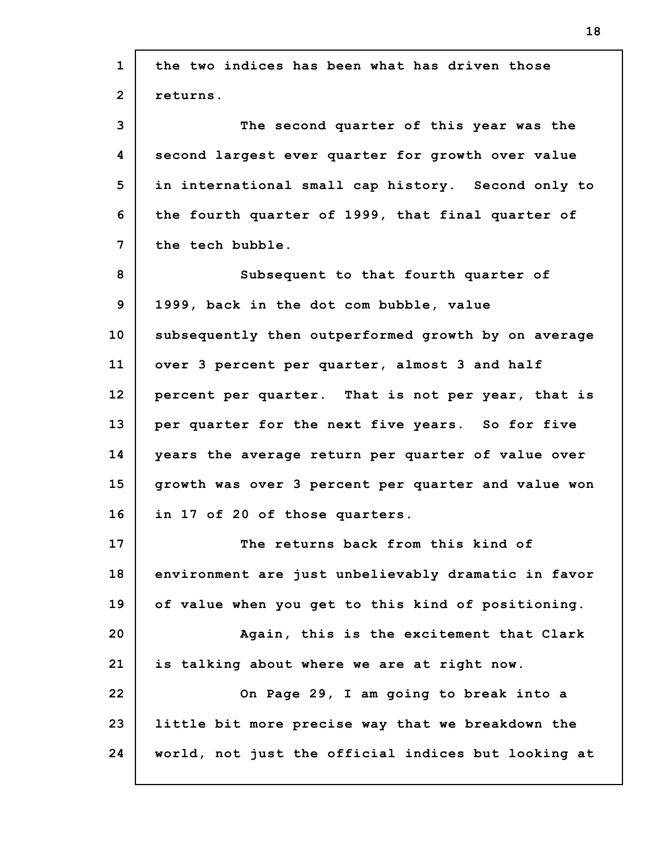| $\mathbf{1}$   | the two indices has been what has driven those      |
|----------------|-----------------------------------------------------|
| $\overline{2}$ | returns.                                            |
| 3              | The second quarter of this year was the             |
| 4              | second largest ever quarter for growth over value   |
| 5              | in international small cap history. Second only to  |
| 6              | the fourth quarter of 1999, that final quarter of   |
| 7              | the tech bubble.                                    |
| 8              | Subsequent to that fourth quarter of                |
| 9              | 1999, back in the dot com bubble, value             |
| 10             | subsequently then outperformed growth by on average |
| 11             | over 3 percent per quarter, almost 3 and half       |
| 12             | percent per quarter. That is not per year, that is  |
| 13             | per quarter for the next five years. So for five    |
| 14             | years the average return per quarter of value over  |
| 15             | growth was over 3 percent per quarter and value won |
| 16             | in 17 of 20 of those quarters.                      |
| 17             | The returns back from this kind of                  |
| 18             | environment are just unbelievably dramatic in favor |
| 19             | of value when you get to this kind of positioning.  |
| 20             | Again, this is the excitement that Clark            |
| 21             | is talking about where we are at right now.         |
| 22             | On Page 29, I am going to break into a              |
| 23             | little bit more precise way that we breakdown the   |
| 24             | world, not just the official indices but looking at |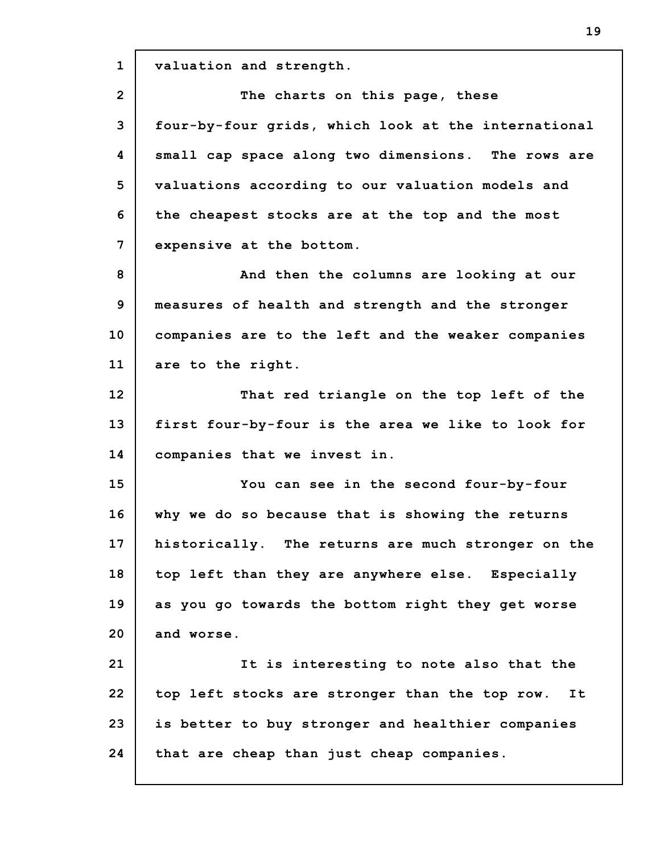**1 2 3 4 5 6 7 8 9 10 11 12 13 14 15 16 17 18 19 20 21 22 23 24 valuation and strength. The charts on this page, these four-by-four grids, which look at the international small cap space along two dimensions. The rows are valuations according to our valuation models and the cheapest stocks are at the top and the most expensive at the bottom. And then the columns are looking at our measures of health and strength and the stronger companies are to the left and the weaker companies are to the right. That red triangle on the top left of the first four-by-four is the area we like to look for companies that we invest in. You can see in the second four-by-four why we do so because that is showing the returns historically. The returns are much stronger on the top left than they are anywhere else. Especially as you go towards the bottom right they get worse and worse. It is interesting to note also that the top left stocks are stronger than the top row. It is better to buy stronger and healthier companies that are cheap than just cheap companies.**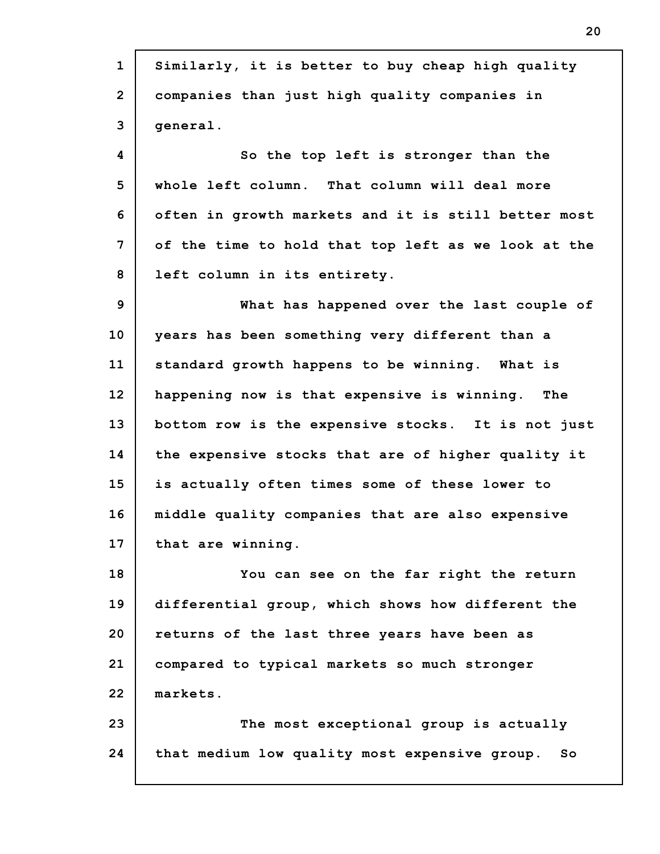**1 2 3 4 5 6 7 8 9 10 11 12 13 14 15 16 17 18 19 20 21 22 23 24 Similarly, it is better to buy cheap high quality companies than just high quality companies in general. So the top left is stronger than the whole left column. That column will deal more often in growth markets and it is still better most of the time to hold that top left as we look at the left column in its entirety. What has happened over the last couple of years has been something very different than a standard growth happens to be winning. What is happening now is that expensive is winning. The bottom row is the expensive stocks. It is not just the expensive stocks that are of higher quality it is actually often times some of these lower to middle quality companies that are also expensive that are winning. You can see on the far right the return differential group, which shows how different the returns of the last three years have been as compared to typical markets so much stronger markets. The most exceptional group is actually that medium low quality most expensive group. So**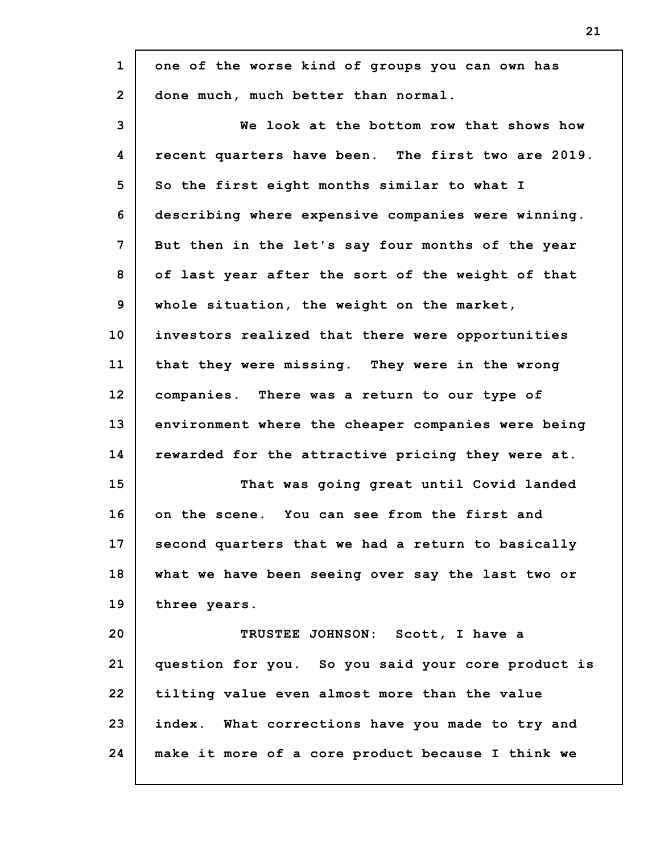| $\mathbf{1}$    | one of the worse kind of groups you can own has    |
|-----------------|----------------------------------------------------|
| $\overline{2}$  | done much, much better than normal.                |
| 3               | We look at the bottom row that shows how           |
| 4               | recent quarters have been. The first two are 2019. |
| 5               | So the first eight months similar to what I        |
| 6               | describing where expensive companies were winning. |
| 7               | But then in the let's say four months of the year  |
| 8               | of last year after the sort of the weight of that  |
| 9               | whole situation, the weight on the market,         |
| 10              | investors realized that there were opportunities   |
| 11              | that they were missing. They were in the wrong     |
| 12 <sup>2</sup> | companies. There was a return to our type of       |
| 13              | environment where the cheaper companies were being |
| 14              | rewarded for the attractive pricing they were at.  |
| 15              | That was going great until Covid landed            |
| 16              | on the scene. You can see from the first and       |
| 17              | second quarters that we had a return to basically  |
| 18              | what we have been seeing over say the last two or  |
| 19              | three years.                                       |
| 20              | TRUSTEE JOHNSON: Scott, I have a                   |
| 21              | question for you. So you said your core product is |
| 22              | tilting value even almost more than the value      |
| 23              | index. What corrections have you made to try and   |
| 24              | make it more of a core product because I think we  |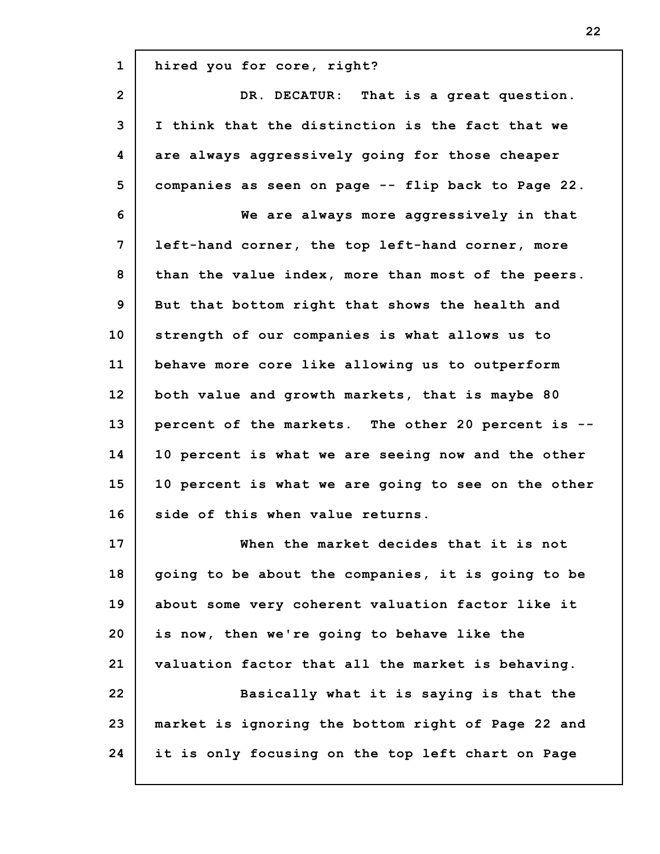| $\mathbf{1}$   | hired you for core, right?                          |
|----------------|-----------------------------------------------------|
| $\overline{2}$ | DR. DECATUR: That is a great question.              |
| 3              | I think that the distinction is the fact that we    |
| 4              | are always aggressively going for those cheaper     |
| 5              | companies as seen on page -- flip back to Page 22.  |
| 6              | We are always more aggressively in that             |
| 7              | left-hand corner, the top left-hand corner, more    |
| 8              | than the value index, more than most of the peers.  |
| 9              | But that bottom right that shows the health and     |
| 10             | strength of our companies is what allows us to      |
| 11             | behave more core like allowing us to outperform     |
| 12             | both value and growth markets, that is maybe 80     |
| 13             | percent of the markets. The other 20 percent is --  |
| 14             | 10 percent is what we are seeing now and the other  |
| 15             | 10 percent is what we are going to see on the other |
| 16             | side of this when value returns.                    |
| 17             | When the market decides that it is not              |
| 18             | going to be about the companies, it is going to be  |
| 19             | about some very coherent valuation factor like it   |
| 20             | is now, then we're going to behave like the         |
| 21             | valuation factor that all the market is behaving.   |
| 22             | Basically what it is saying is that the             |
| 23             | market is ignoring the bottom right of Page 22 and  |
| 24             | it is only focusing on the top left chart on Page   |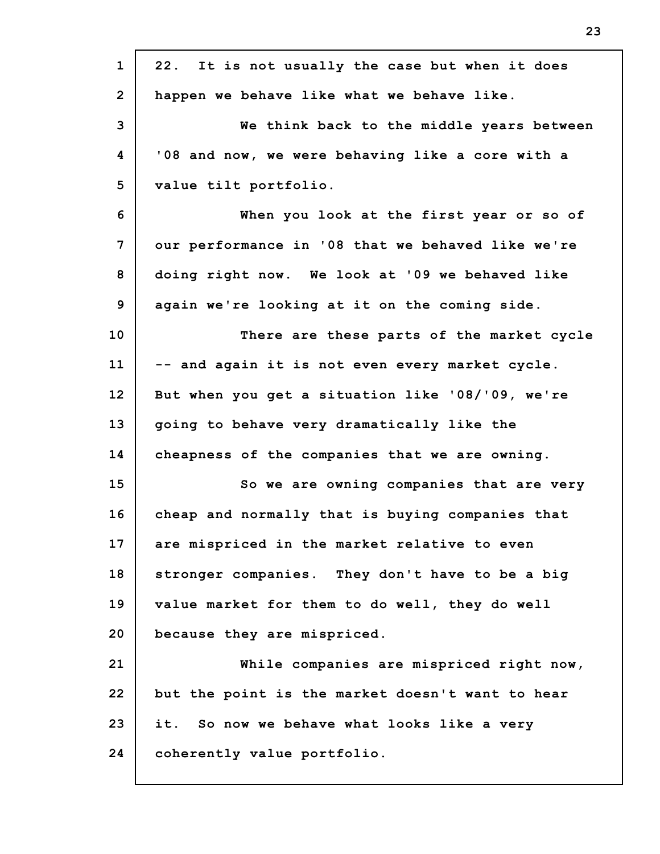| $\mathbf{1}$   | 22. It is not usually the case but when it does   |
|----------------|---------------------------------------------------|
| $\overline{2}$ | happen we behave like what we behave like.        |
| 3              | We think back to the middle years between         |
| 4              | '08 and now, we were behaving like a core with a  |
| 5              | value tilt portfolio.                             |
| 6              | When you look at the first year or so of          |
| $\overline{7}$ | our performance in '08 that we behaved like we're |
| 8              | doing right now. We look at '09 we behaved like   |
| 9              | again we're looking at it on the coming side.     |
| 10             | There are these parts of the market cycle         |
| 11             | -- and again it is not even every market cycle.   |
| 12             | But when you get a situation like '08/'09, we're  |
| 13             | going to behave very dramatically like the        |
| 14             | cheapness of the companies that we are owning.    |
| 15             | So we are owning companies that are very          |
| 16             | cheap and normally that is buying companies that  |
| 17             | are mispriced in the market relative to even      |
| 18             | stronger companies. They don't have to be a big   |
| 19             | value market for them to do well, they do well    |
| 20             | because they are mispriced.                       |
| 21             | While companies are mispriced right now,          |
| 22             | but the point is the market doesn't want to hear  |
| 23             | it. So now we behave what looks like a very       |
| 24             | coherently value portfolio.                       |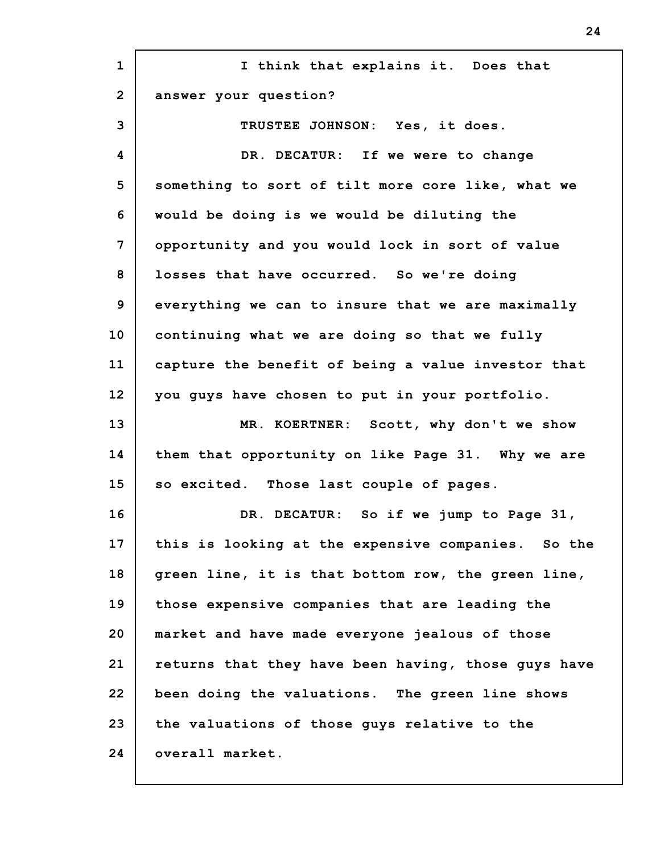| $\mathbf{1}$    | I think that explains it. Does that                 |
|-----------------|-----------------------------------------------------|
| $\overline{2}$  | answer your question?                               |
| 3               | TRUSTEE JOHNSON: Yes, it does.                      |
| 4               | DR. DECATUR: If we were to change                   |
| 5               | something to sort of tilt more core like, what we   |
| 6               | would be doing is we would be diluting the          |
| 7               | opportunity and you would lock in sort of value     |
| 8               | losses that have occurred. So we're doing           |
| 9               | everything we can to insure that we are maximally   |
| 10              | continuing what we are doing so that we fully       |
| 11              | capture the benefit of being a value investor that  |
| 12 <sub>2</sub> | you guys have chosen to put in your portfolio.      |
| 13              | MR. KOERTNER: Scott, why don't we show              |
| 14              | them that opportunity on like Page 31. Why we are   |
| 15              | so excited. Those last couple of pages.             |
| 16              | DR. DECATUR: So if we jump to Page 31,              |
| 17              | this is looking at the expensive companies. So the  |
| 18              | green line, it is that bottom row, the green line,  |
| 19              | those expensive companies that are leading the      |
| 20              | market and have made everyone jealous of those      |
| 21              | returns that they have been having, those guys have |
| 22              | been doing the valuations. The green line shows     |
| 23              | the valuations of those guys relative to the        |
| 24              | overall market.                                     |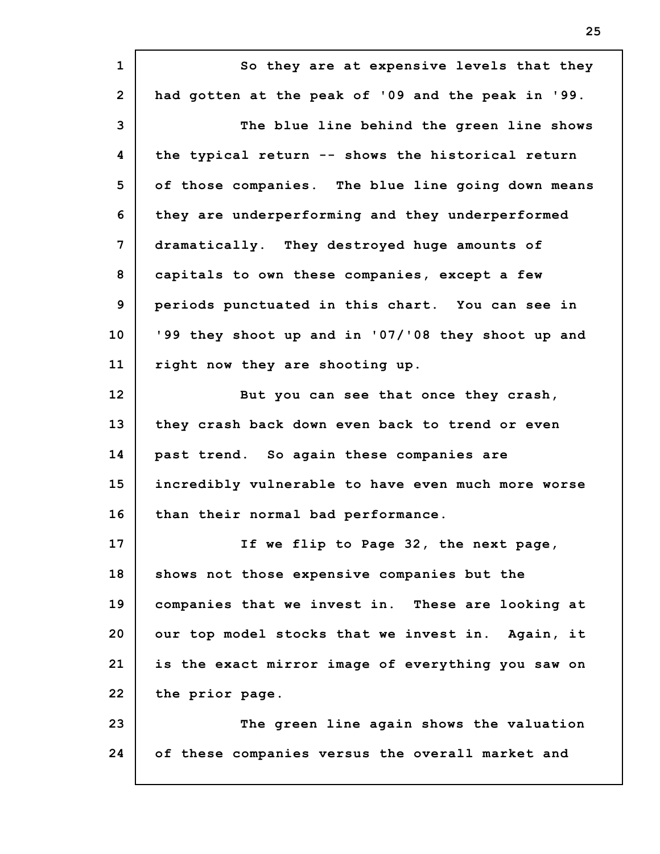**1 2 3 4 5 6 7 8 9 10 11 12 13 14 15 16 17 18 19 20 21 22 23 24 So they are at expensive levels that they had gotten at the peak of '09 and the peak in '99. The blue line behind the green line shows the typical return -- shows the historical return of those companies. The blue line going down means they are underperforming and they underperformed dramatically. They destroyed huge amounts of capitals to own these companies, except a few periods punctuated in this chart. You can see in '99 they shoot up and in '07/'08 they shoot up and right now they are shooting up. But you can see that once they crash, they crash back down even back to trend or even past trend. So again these companies are incredibly vulnerable to have even much more worse than their normal bad performance. If we flip to Page 32, the next page, shows not those expensive companies but the companies that we invest in. These are looking at our top model stocks that we invest in. Again, it is the exact mirror image of everything you saw on the prior page. The green line again shows the valuation of these companies versus the overall market and**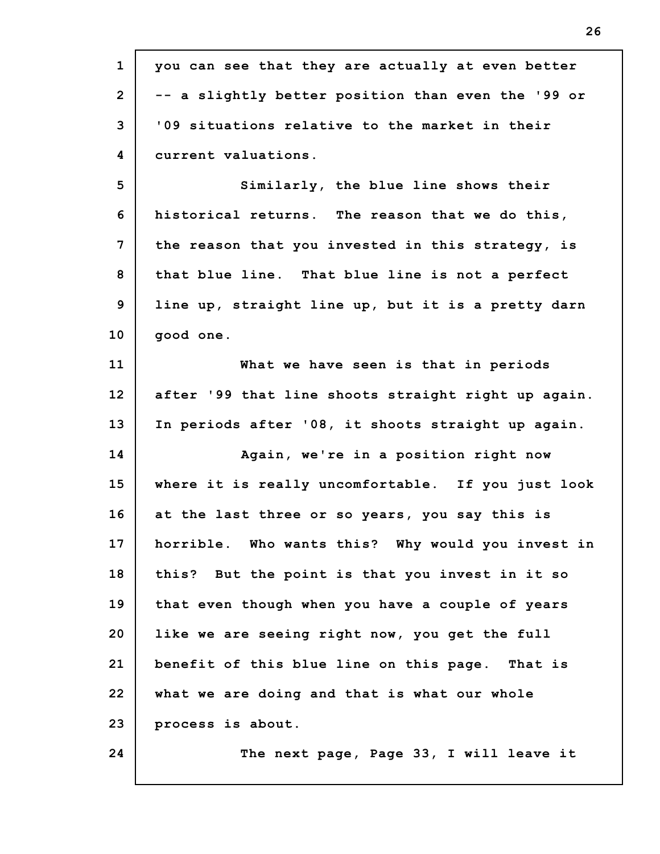| $\mathbf{1}$    | you can see that they are actually at even better   |
|-----------------|-----------------------------------------------------|
| $\overline{2}$  | -- a slightly better position than even the '99 or  |
| 3               | '09 situations relative to the market in their      |
| 4               | current valuations.                                 |
| 5               | Similarly, the blue line shows their                |
| 6               | historical returns. The reason that we do this,     |
| 7               | the reason that you invested in this strategy, is   |
| 8               | that blue line. That blue line is not a perfect     |
| 9               | line up, straight line up, but it is a pretty darn  |
| 10              | good one.                                           |
| 11              | What we have seen is that in periods                |
| 12 <sup>2</sup> | after '99 that line shoots straight right up again. |
| 13              | In periods after '08, it shoots straight up again.  |
| 14              | Again, we're in a position right now                |
| 15              | where it is really uncomfortable. If you just look  |
| 16              | at the last three or so years, you say this is      |
| 17              | horrible. Who wants this? Why would you invest in   |
| 18              | this? But the point is that you invest in it so     |
| 19              | that even though when you have a couple of years    |
| 20              | like we are seeing right now, you get the full      |
| 21              | benefit of this blue line on this page. That is     |
| 22              | what we are doing and that is what our whole        |
| 23              | process is about.                                   |
| 24              | The next page, Page 33, I will leave it             |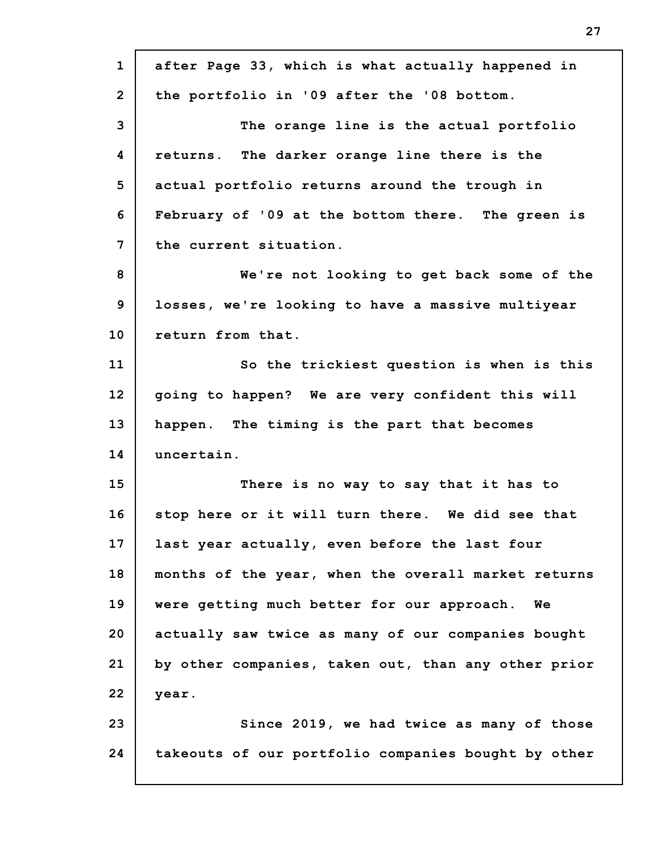**1 2 3 4 5 6 7 8 9 10 11 12 13 14 15 16 17 18 19 20 21 22 23 24 after Page 33, which is what actually happened in the portfolio in '09 after the '08 bottom. The orange line is the actual portfolio returns. The darker orange line there is the actual portfolio returns around the trough in February of '09 at the bottom there. The green is the current situation. We're not looking to get back some of the losses, we're looking to have a massive multiyear return from that. So the trickiest question is when is this going to happen? We are very confident this will happen. The timing is the part that becomes uncertain. There is no way to say that it has to stop here or it will turn there. We did see that last year actually, even before the last four months of the year, when the overall market returns were getting much better for our approach. We actually saw twice as many of our companies bought by other companies, taken out, than any other prior year. Since 2019, we had twice as many of those takeouts of our portfolio companies bought by other**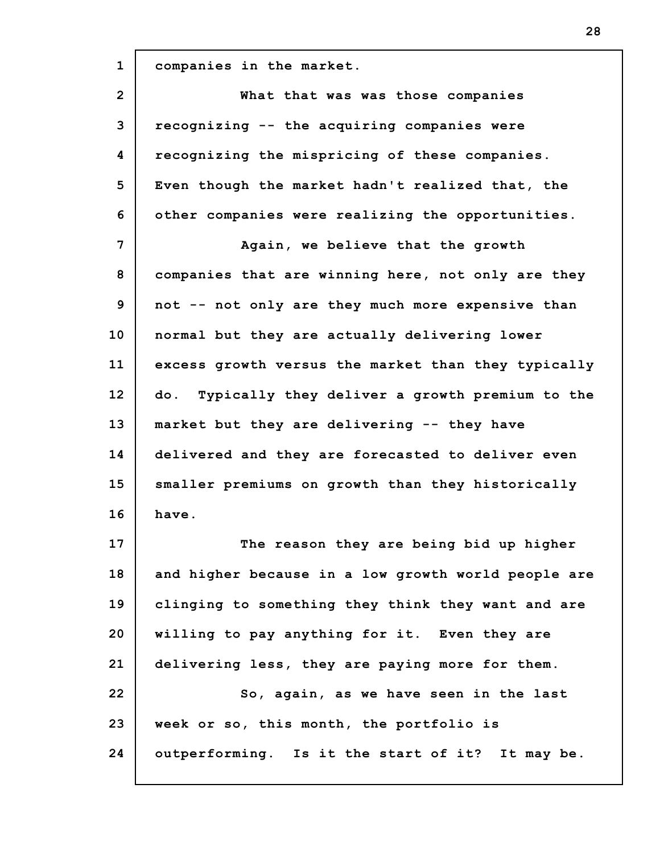**1 2 3 4 5 6 7 8 9 10 11 12 13 14 15 16 17 18 19 20 21 22 23 24 companies in the market. What that was was those companies recognizing -- the acquiring companies were recognizing the mispricing of these companies. Even though the market hadn't realized that, the other companies were realizing the opportunities. Again, we believe that the growth companies that are winning here, not only are they not -- not only are they much more expensive than normal but they are actually delivering lower excess growth versus the market than they typically do. Typically they deliver a growth premium to the market but they are delivering -- they have delivered and they are forecasted to deliver even smaller premiums on growth than they historically have. The reason they are being bid up higher and higher because in a low growth world people are clinging to something they think they want and are willing to pay anything for it. Even they are delivering less, they are paying more for them. So, again, as we have seen in the last week or so, this month, the portfolio is outperforming. Is it the start of it? It may be.**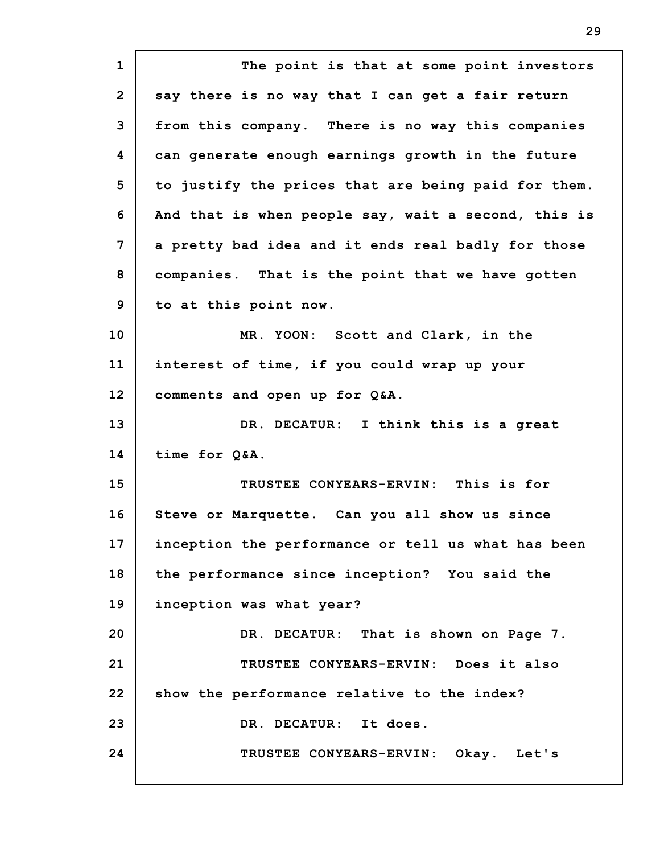**1 2 3 4 5 6 7 8 9 10 11 12 13 14 15 16 17 18 19 20 21 22 23 24 The point is that at some point investors say there is no way that I can get a fair return from this company. There is no way this companies can generate enough earnings growth in the future to justify the prices that are being paid for them. And that is when people say, wait a second, this is a pretty bad idea and it ends real badly for those companies. That is the point that we have gotten to at this point now. MR. YOON: Scott and Clark, in the interest of time, if you could wrap up your comments and open up for Q&A. DR. DECATUR: I think this is a great time for Q&A. TRUSTEE CONYEARS-ERVIN: This is for Steve or Marquette. Can you all show us since inception the performance or tell us what has been the performance since inception? You said the inception was what year? DR. DECATUR: That is shown on Page 7. TRUSTEE CONYEARS-ERVIN: Does it also show the performance relative to the index? DR. DECATUR: It does. TRUSTEE CONYEARS-ERVIN: Okay. Let's**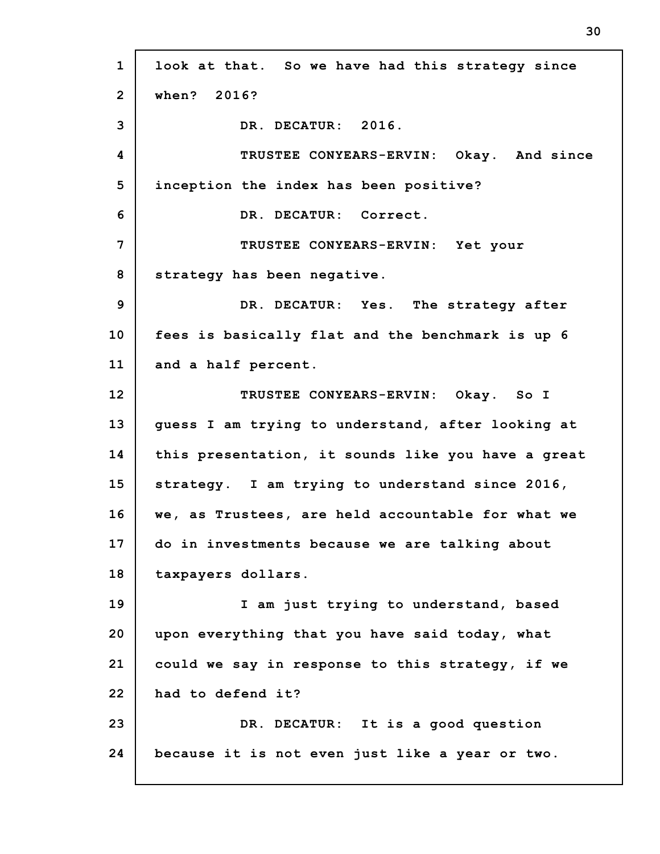**1 2 3 4 5 6 7 8 9 10 11 12 13 14 15 16 17 18 19 20 21 22 23 24 look at that. So we have had this strategy since when? 2016? DR. DECATUR: 2016. TRUSTEE CONYEARS-ERVIN: Okay. And since inception the index has been positive? DR. DECATUR: Correct. TRUSTEE CONYEARS-ERVIN: Yet your strategy has been negative. DR. DECATUR: Yes. The strategy after fees is basically flat and the benchmark is up 6 and a half percent. TRUSTEE CONYEARS-ERVIN: Okay. So I guess I am trying to understand, after looking at this presentation, it sounds like you have a great strategy. I am trying to understand since 2016, we, as Trustees, are held accountable for what we do in investments because we are talking about taxpayers dollars. I am just trying to understand, based upon everything that you have said today, what could we say in response to this strategy, if we had to defend it? DR. DECATUR: It is a good question because it is not even just like a year or two.**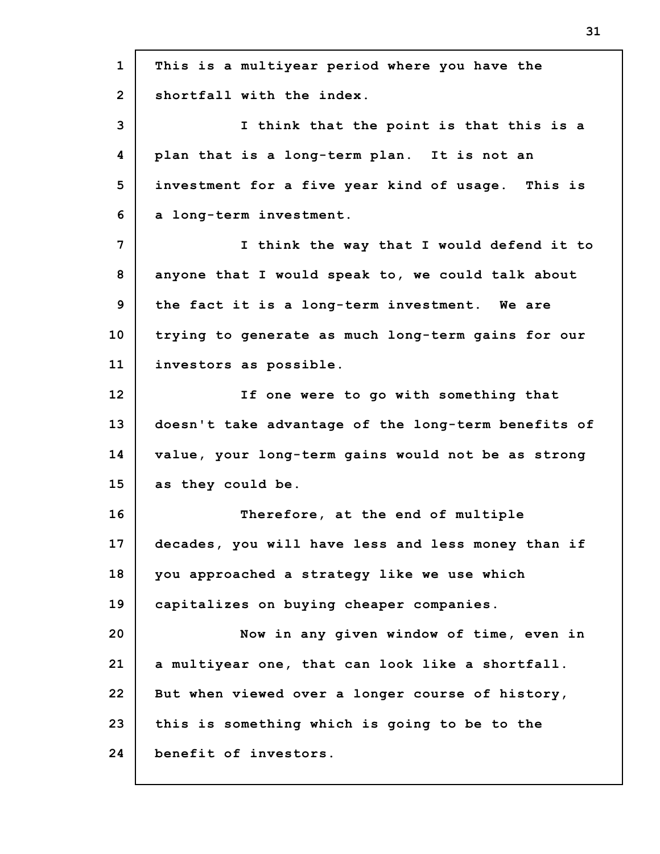| $\mathbf{1}$   | This is a multiyear period where you have the       |
|----------------|-----------------------------------------------------|
| $\mathbf{2}$   | shortfall with the index.                           |
| 3              | I think that the point is that this is a            |
| 4              | plan that is a long-term plan. It is not an         |
| 5              | investment for a five year kind of usage. This is   |
| 6              | a long-term investment.                             |
| $\overline{7}$ | I think the way that I would defend it to           |
| 8              | anyone that I would speak to, we could talk about   |
| 9              | the fact it is a long-term investment. We are       |
| 10             | trying to generate as much long-term gains for our  |
| 11             | investors as possible.                              |
| 12             | If one were to go with something that               |
| 13             | doesn't take advantage of the long-term benefits of |
| 14             | value, your long-term gains would not be as strong  |
| 15             | as they could be.                                   |
| 16             | Therefore, at the end of multiple                   |
| 17             | decades, you will have less and less money than if  |
| 18             | you approached a strategy like we use which         |
| 19             | capitalizes on buying cheaper companies.            |
| 20             | Now in any given window of time, even in            |
| 21             | a multiyear one, that can look like a shortfall.    |
| 22             | But when viewed over a longer course of history,    |
| 23             | this is something which is going to be to the       |
| 24             | benefit of investors.                               |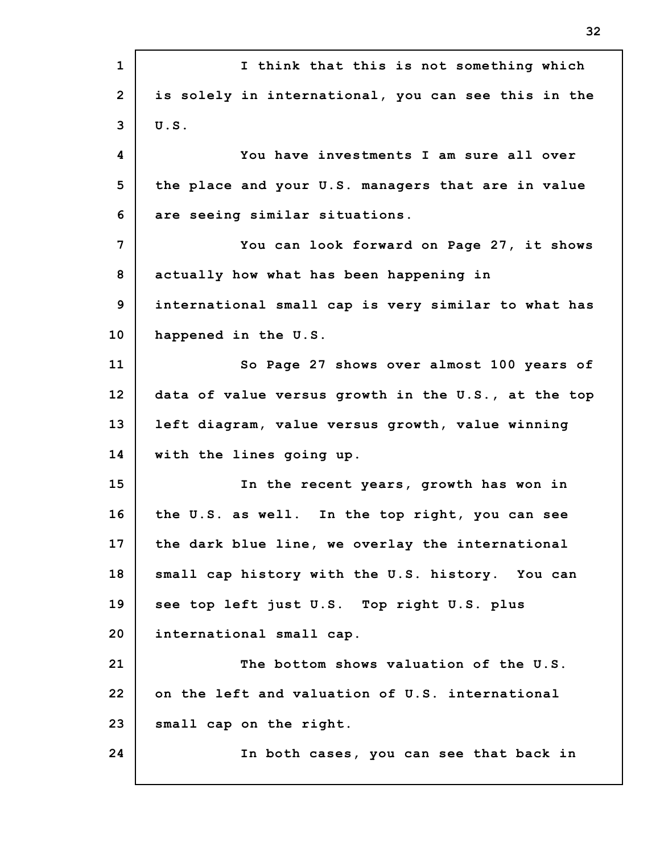| $\mathbf 1$    | I think that this is not something which            |
|----------------|-----------------------------------------------------|
| $\overline{2}$ | is solely in international, you can see this in the |
| 3              | U.S.                                                |
| 4              | You have investments I am sure all over             |
| 5              | the place and your U.S. managers that are in value  |
| 6              | are seeing similar situations.                      |
| 7              | You can look forward on Page 27, it shows           |
| 8              | actually how what has been happening in             |
| 9              | international small cap is very similar to what has |
| 10             | happened in the U.S.                                |
| 11             | So Page 27 shows over almost 100 years of           |
| 12             | data of value versus growth in the U.S., at the top |
| 13             | left diagram, value versus growth, value winning    |
| 14             | with the lines going up.                            |
| 15             | In the recent years, growth has won in              |
| 16             | the U.S. as well. In the top right, you can see     |
| 17             | the dark blue line, we overlay the international    |
| 18             | small cap history with the U.S. history. You can    |
| 19             | see top left just U.S. Top right U.S. plus          |
| 20             | international small cap.                            |
| 21             | The bottom shows valuation of the U.S.              |
| 22             | on the left and valuation of U.S. international     |
| 23             | small cap on the right.                             |
| 24             | In both cases, you can see that back in             |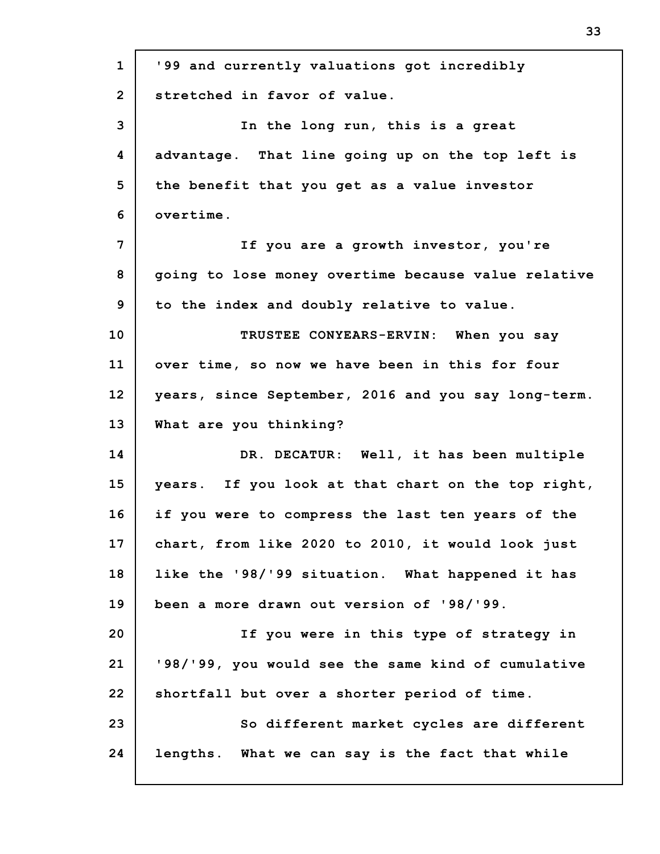| $\mathbf{1}$    | '99 and currently valuations got incredibly         |
|-----------------|-----------------------------------------------------|
| $\overline{2}$  | stretched in favor of value.                        |
| 3               | In the long run, this is a great                    |
| 4               | advantage. That line going up on the top left is    |
| 5               | the benefit that you get as a value investor        |
| 6               | overtime.                                           |
| 7               | If you are a growth investor, you're                |
| 8               | going to lose money overtime because value relative |
| 9               | to the index and doubly relative to value.          |
| 10              | TRUSTEE CONYEARS-ERVIN: When you say                |
| 11              | over time, so now we have been in this for four     |
| 12 <sup>2</sup> | years, since September, 2016 and you say long-term. |
| 13              | What are you thinking?                              |
| 14              | DR. DECATUR: Well, it has been multiple             |
| 15              | years. If you look at that chart on the top right,  |
| 16              | if you were to compress the last ten years of the   |
| 17              | chart, from like 2020 to 2010, it would look just   |
| 18              | like the '98/'99 situation. What happened it has    |
| 19              | been a more drawn out version of '98/'99.           |
| 20              | If you were in this type of strategy in             |
| 21              | '98/'99, you would see the same kind of cumulative  |
| 22              | shortfall but over a shorter period of time.        |
| 23              | So different market cycles are different            |
| 24              | lengths. What we can say is the fact that while     |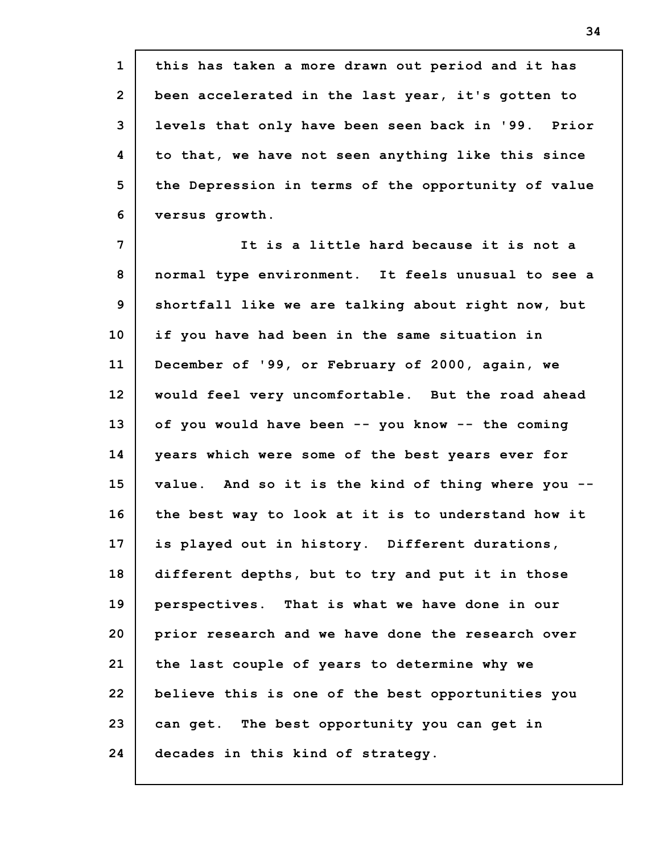**1 2 3 4 5 6 this has taken a more drawn out period and it has been accelerated in the last year, it's gotten to levels that only have been seen back in '99. Prior to that, we have not seen anything like this since the Depression in terms of the opportunity of value versus growth.**

**7 8 9 10 11 12 13 14 15 16 17 18 19 20 21 22 23 24 It is a little hard because it is not a normal type environment. It feels unusual to see a shortfall like we are talking about right now, but if you have had been in the same situation in December of '99, or February of 2000, again, we would feel very uncomfortable. But the road ahead of you would have been -- you know -- the coming years which were some of the best years ever for value. And so it is the kind of thing where you - the best way to look at it is to understand how it is played out in history. Different durations, different depths, but to try and put it in those perspectives. That is what we have done in our prior research and we have done the research over the last couple of years to determine why we believe this is one of the best opportunities you can get. The best opportunity you can get in decades in this kind of strategy.**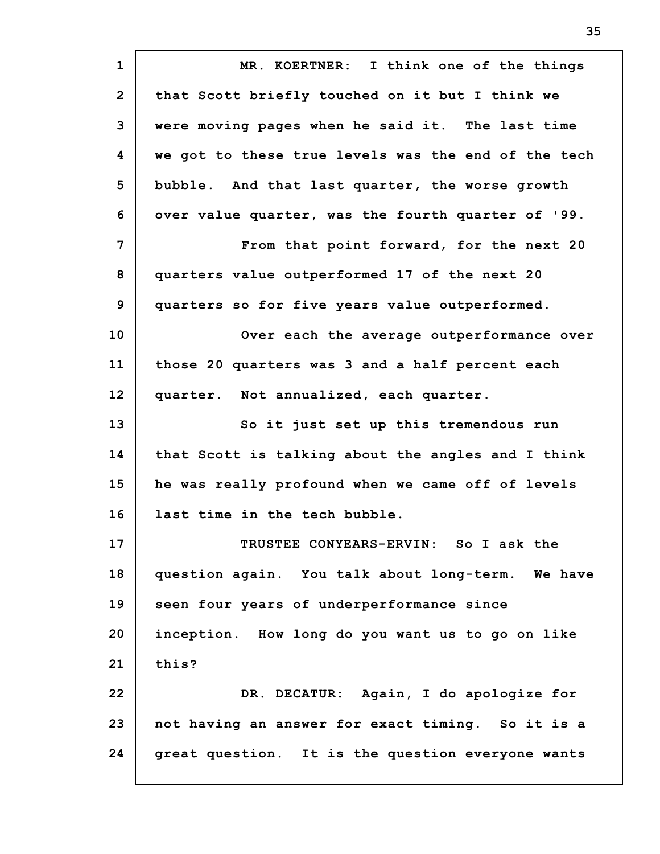**1 2 3 4 5 6 7 8 9 10 11 12 13 14 15 16 17 18 19 20 21 22 23 24 MR. KOERTNER: I think one of the things that Scott briefly touched on it but I think we were moving pages when he said it. The last time we got to these true levels was the end of the tech bubble. And that last quarter, the worse growth over value quarter, was the fourth quarter of '99. From that point forward, for the next 20 quarters value outperformed 17 of the next 20 quarters so for five years value outperformed. Over each the average outperformance over those 20 quarters was 3 and a half percent each quarter. Not annualized, each quarter. So it just set up this tremendous run that Scott is talking about the angles and I think he was really profound when we came off of levels last time in the tech bubble. TRUSTEE CONYEARS-ERVIN: So I ask the question again. You talk about long-term. We have seen four years of underperformance since inception. How long do you want us to go on like this? DR. DECATUR: Again, I do apologize for not having an answer for exact timing. So it is a great question. It is the question everyone wants**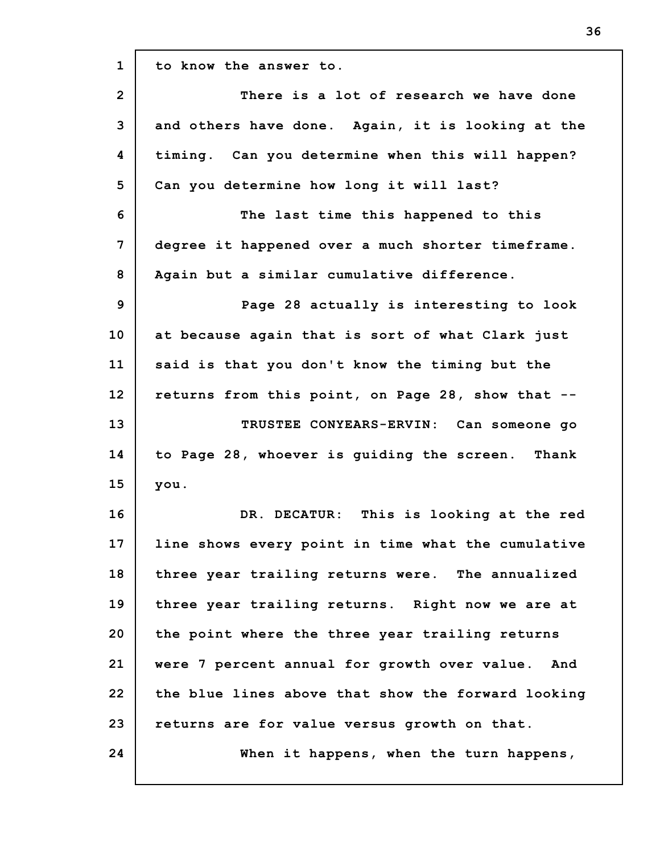**1 2 3 4 5 6 7 8 9 10 11 12 13 14 15 16 17 18 19 20 21 22 23 24 to know the answer to. There is a lot of research we have done and others have done. Again, it is looking at the timing. Can you determine when this will happen? Can you determine how long it will last? The last time this happened to this degree it happened over a much shorter timeframe. Again but a similar cumulative difference. Page 28 actually is interesting to look at because again that is sort of what Clark just said is that you don't know the timing but the returns from this point, on Page 28, show that -- TRUSTEE CONYEARS-ERVIN: Can someone go to Page 28, whoever is guiding the screen. Thank you. DR. DECATUR: This is looking at the red line shows every point in time what the cumulative three year trailing returns were. The annualized three year trailing returns. Right now we are at the point where the three year trailing returns were 7 percent annual for growth over value. And the blue lines above that show the forward looking returns are for value versus growth on that. When it happens, when the turn happens,**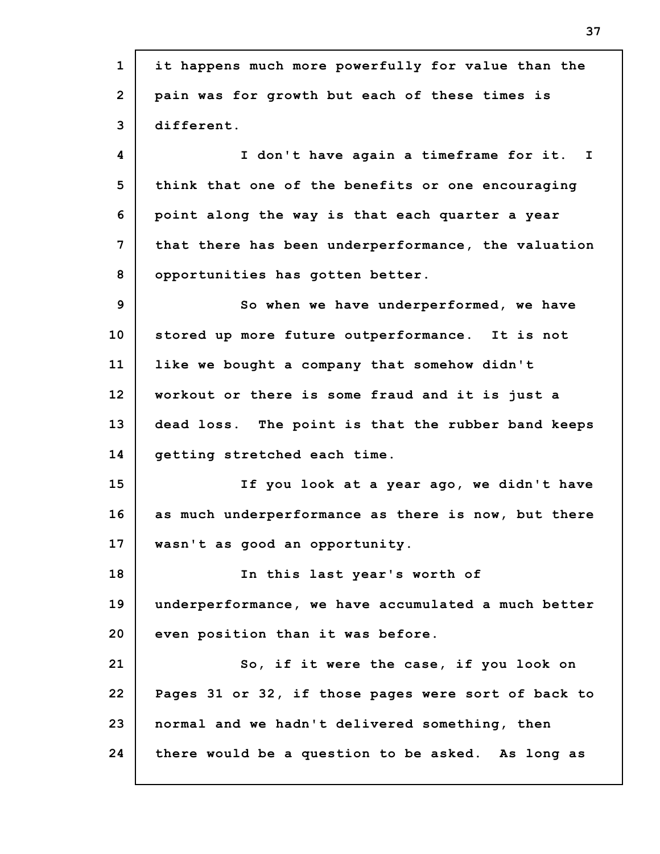**1 2 3 4 5 6 7 8 9 10 11 12 13 14 15 16 17 18 19 20 21 22 23 24 it happens much more powerfully for value than the pain was for growth but each of these times is different. I don't have again a timeframe for it. I think that one of the benefits or one encouraging point along the way is that each quarter a year that there has been underperformance, the valuation opportunities has gotten better. So when we have underperformed, we have stored up more future outperformance. It is not like we bought a company that somehow didn't workout or there is some fraud and it is just a dead loss. The point is that the rubber band keeps getting stretched each time. If you look at a year ago, we didn't have as much underperformance as there is now, but there wasn't as good an opportunity. In this last year's worth of underperformance, we have accumulated a much better even position than it was before. So, if it were the case, if you look on Pages 31 or 32, if those pages were sort of back to normal and we hadn't delivered something, then there would be a question to be asked. As long as**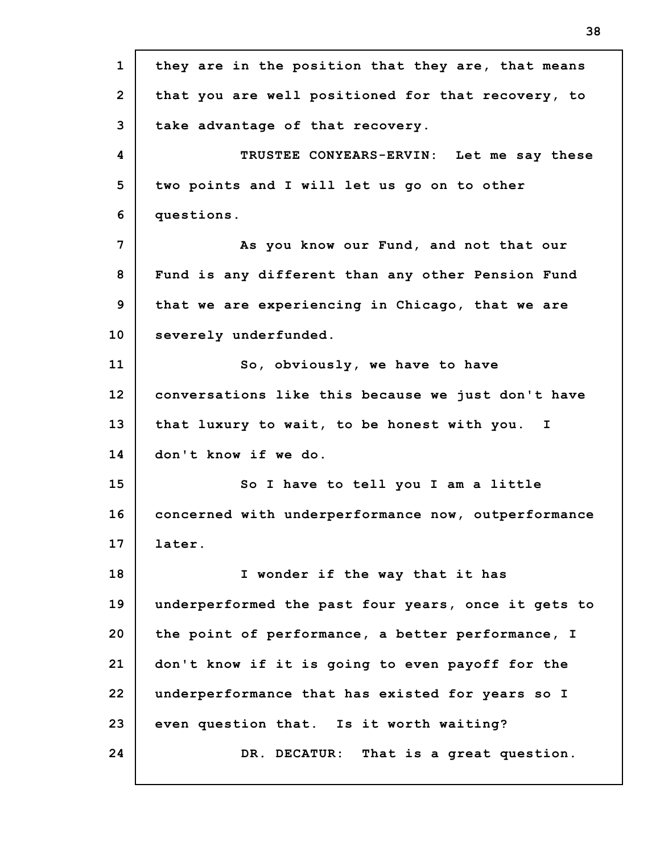**1 2 3 4 5 6 7 8 9 10 11 12 13 14 15 16 17 18 19 20 21 22 23 24 they are in the position that they are, that means that you are well positioned for that recovery, to take advantage of that recovery. TRUSTEE CONYEARS-ERVIN: Let me say these two points and I will let us go on to other questions. As you know our Fund, and not that our Fund is any different than any other Pension Fund that we are experiencing in Chicago, that we are severely underfunded. So, obviously, we have to have conversations like this because we just don't have that luxury to wait, to be honest with you. I don't know if we do. So I have to tell you I am a little concerned with underperformance now, outperformance later. I wonder if the way that it has underperformed the past four years, once it gets to the point of performance, a better performance, I don't know if it is going to even payoff for the underperformance that has existed for years so I even question that. Is it worth waiting? DR. DECATUR: That is a great question.**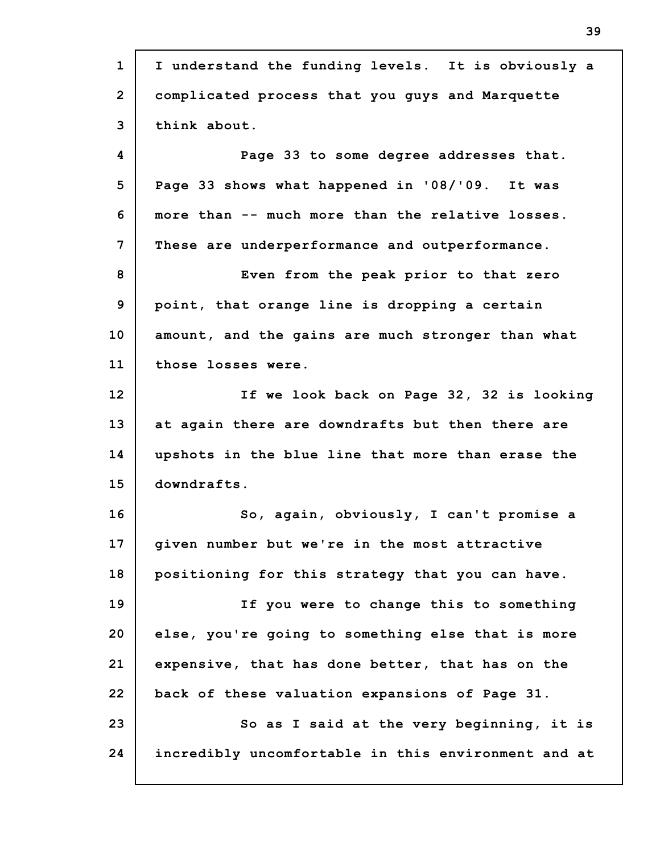**1 2 3 4 5 6 7 8 9 10 11 12 13 14 15 16 17 18 19 20 21 22 23 24 I understand the funding levels. It is obviously a complicated process that you guys and Marquette think about. Page 33 to some degree addresses that. Page 33 shows what happened in '08/'09. It was more than -- much more than the relative losses. These are underperformance and outperformance. Even from the peak prior to that zero point, that orange line is dropping a certain amount, and the gains are much stronger than what those losses were. If we look back on Page 32, 32 is looking at again there are downdrafts but then there are upshots in the blue line that more than erase the downdrafts. So, again, obviously, I can't promise a given number but we're in the most attractive positioning for this strategy that you can have. If you were to change this to something else, you're going to something else that is more expensive, that has done better, that has on the back of these valuation expansions of Page 31. So as I said at the very beginning, it is incredibly uncomfortable in this environment and at**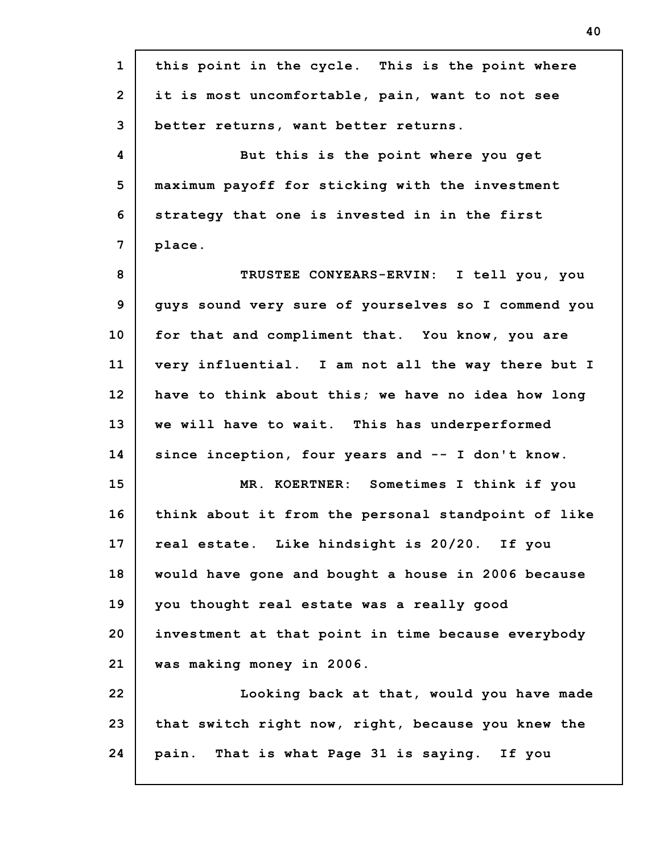| $\mathbf{1}$   | this point in the cycle. This is the point where    |
|----------------|-----------------------------------------------------|
| $\overline{2}$ | it is most uncomfortable, pain, want to not see     |
| 3              | better returns, want better returns.                |
| 4              | But this is the point where you get                 |
| 5              | maximum payoff for sticking with the investment     |
| 6              | strategy that one is invested in in the first       |
| $\overline{7}$ | place.                                              |
| 8              | TRUSTEE CONYEARS-ERVIN: I tell you, you             |
| 9              | guys sound very sure of yourselves so I commend you |
| 10             | for that and compliment that. You know, you are     |
| 11             | very influential. I am not all the way there but I  |
| 12             | have to think about this; we have no idea how long  |
| 13             | we will have to wait. This has underperformed       |
| 14             | since inception, four years and -- I don't know.    |
| 15             | MR. KOERTNER: Sometimes I think if you              |
| 16             | think about it from the personal standpoint of like |
| 17             | real estate. Like hindsight is 20/20. If you        |
| 18             | would have gone and bought a house in 2006 because  |
| 19             | you thought real estate was a really good           |
| 20             | investment at that point in time because everybody  |
| 21             | was making money in 2006.                           |
| 22             | Looking back at that, would you have made           |
| 23             | that switch right now, right, because you knew the  |
| 24             | pain. That is what Page 31 is saying. If you        |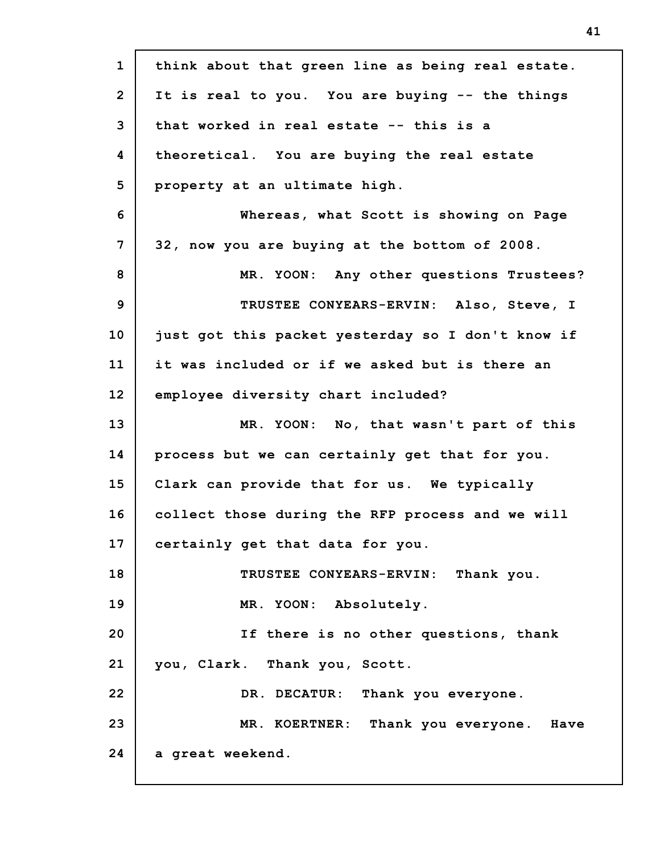| $\mathbf{1}$   | think about that green line as being real estate. |
|----------------|---------------------------------------------------|
| $\overline{2}$ | It is real to you. You are buying -- the things   |
| 3              | that worked in real estate -- this is a           |
| 4              | theoretical. You are buying the real estate       |
| 5              | property at an ultimate high.                     |
| 6              | Whereas, what Scott is showing on Page            |
| 7              | 32, now you are buying at the bottom of 2008.     |
| 8              | MR. YOON: Any other questions Trustees?           |
| 9              | TRUSTEE CONYEARS-ERVIN: Also, Steve, I            |
| 10             | just got this packet yesterday so I don't know if |
| 11             | it was included or if we asked but is there an    |
| 12             | employee diversity chart included?                |
| 13             | MR. YOON: No, that wasn't part of this            |
| 14             | process but we can certainly get that for you.    |
| 15             | Clark can provide that for us. We typically       |
| 16             | collect those during the RFP process and we will  |
| 17             | certainly get that data for you.                  |
| 18             | TRUSTEE CONYEARS-ERVIN: Thank you.                |
| 19             | MR. YOON: Absolutely.                             |
| 20             | If there is no other questions, thank             |
| 21             | you, Clark. Thank you, Scott.                     |
| 22             | DR. DECATUR: Thank you everyone.                  |
| 23             | MR. KOERTNER: Thank you everyone. Have            |
| 24             | a great weekend.                                  |
|                |                                                   |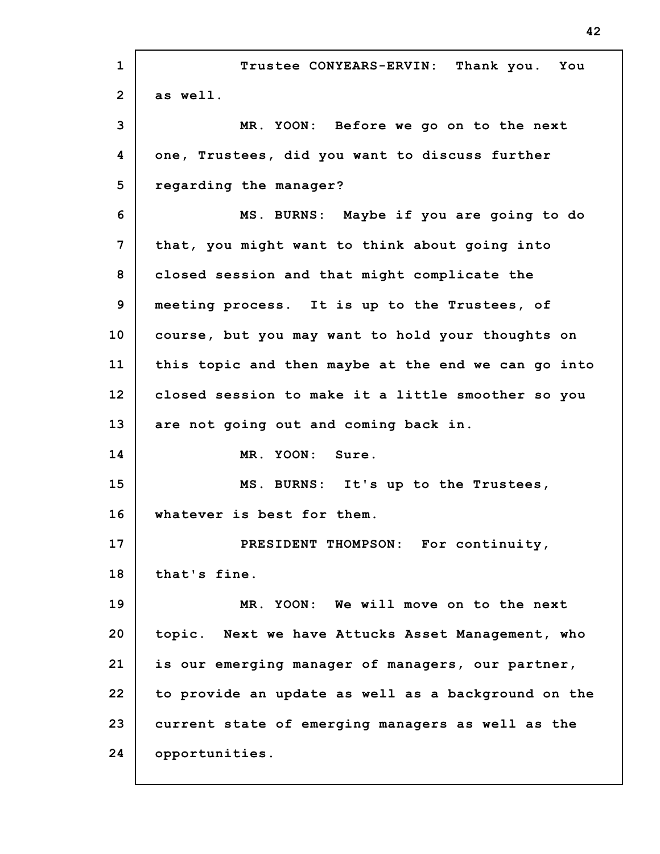| $\mathbf{1}$   | Trustee CONYEARS-ERVIN: Thank you. You              |
|----------------|-----------------------------------------------------|
| $\overline{2}$ | as well.                                            |
| 3              | MR. YOON: Before we go on to the next               |
| 4              | one, Trustees, did you want to discuss further      |
| 5              | regarding the manager?                              |
| 6              | MS. BURNS: Maybe if you are going to do             |
| 7              | that, you might want to think about going into      |
| 8              | closed session and that might complicate the        |
| 9              | meeting process. It is up to the Trustees, of       |
| 10             | course, but you may want to hold your thoughts on   |
| 11             | this topic and then maybe at the end we can go into |
| 12             | closed session to make it a little smoother so you  |
| 13             | are not going out and coming back in.               |
| 14             | MR. YOON: Sure.                                     |
| 15             | MS. BURNS: It's up to the Trustees,                 |
| 16             | whatever is best for them.                          |
| 17             | PRESIDENT THOMPSON: For continuity,                 |
| 18             | that's fine.                                        |
| 19             | MR. YOON: We will move on to the next               |
| 20             | topic. Next we have Attucks Asset Management, who   |
| 21             |                                                     |
|                | is our emerging manager of managers, our partner,   |
| 22             | to provide an update as well as a background on the |
| 23             | current state of emerging managers as well as the   |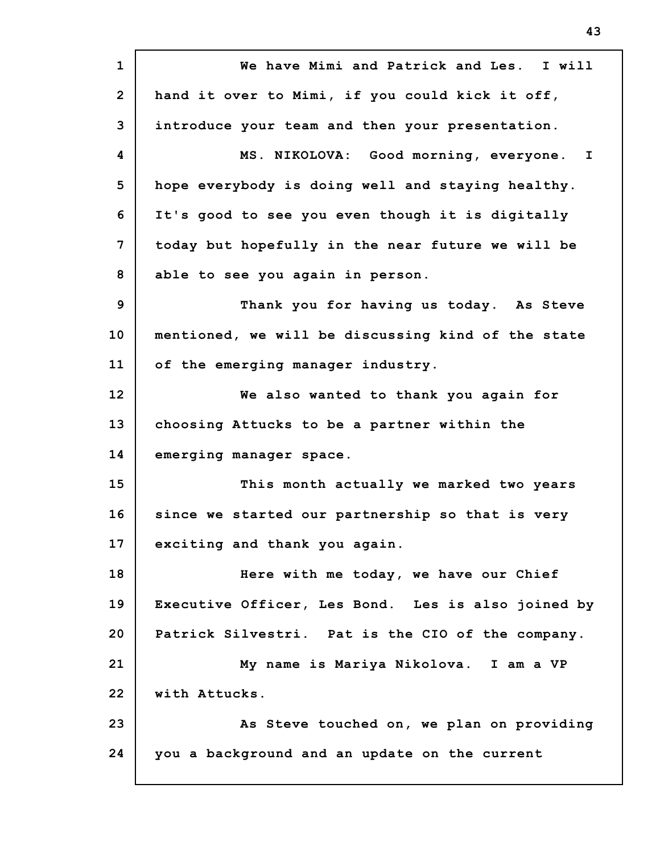**1 2 3 4 5 6 7 8 9 10 11 12 13 14 15 16 17 18 19 20 21 22 23 24 We have Mimi and Patrick and Les. I will hand it over to Mimi, if you could kick it off, introduce your team and then your presentation. MS. NIKOLOVA: Good morning, everyone. I hope everybody is doing well and staying healthy. It's good to see you even though it is digitally today but hopefully in the near future we will be able to see you again in person. Thank you for having us today. As Steve mentioned, we will be discussing kind of the state of the emerging manager industry. We also wanted to thank you again for choosing Attucks to be a partner within the emerging manager space. This month actually we marked two years since we started our partnership so that is very exciting and thank you again. Here with me today, we have our Chief Executive Officer, Les Bond. Les is also joined by Patrick Silvestri. Pat is the CIO of the company. My name is Mariya Nikolova. I am a VP with Attucks. As Steve touched on, we plan on providing you a background and an update on the current**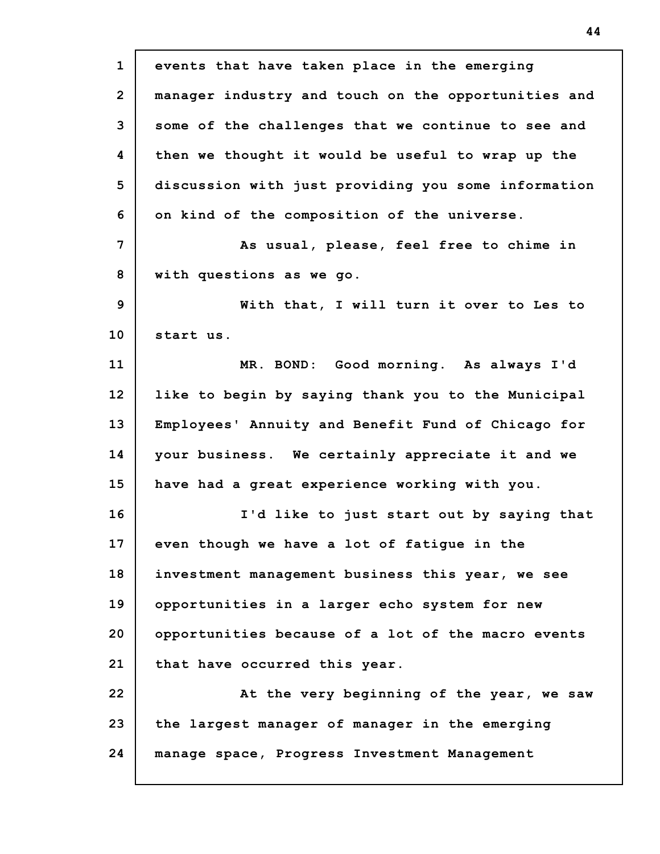| $\mathbf{1}$   | events that have taken place in the emerging        |
|----------------|-----------------------------------------------------|
| $\overline{2}$ | manager industry and touch on the opportunities and |
|                |                                                     |
| 3              | some of the challenges that we continue to see and  |
| 4              | then we thought it would be useful to wrap up the   |
| 5              | discussion with just providing you some information |
| 6              | on kind of the composition of the universe.         |
| 7              | As usual, please, feel free to chime in             |
| 8              | with questions as we go.                            |
| 9              | With that, I will turn it over to Les to            |
| 10             | start us.                                           |
| 11             | MR. BOND: Good morning. As always I'd               |
| 12             | like to begin by saying thank you to the Municipal  |
| 13             | Employees' Annuity and Benefit Fund of Chicago for  |
| 14             | your business. We certainly appreciate it and we    |
| 15             | have had a great experience working with you.       |
| 16             | I'd like to just start out by saying that           |
| 17             | even though we have a lot of fatigue in the         |
| 18             | investment management business this year, we see    |
| 19             | opportunities in a larger echo system for new       |
| 20             | opportunities because of a lot of the macro events  |
| 21             | that have occurred this year.                       |
| 22             | At the very beginning of the year, we saw           |
| 23             | the largest manager of manager in the emerging      |
| 24             | manage space, Progress Investment Management        |
|                |                                                     |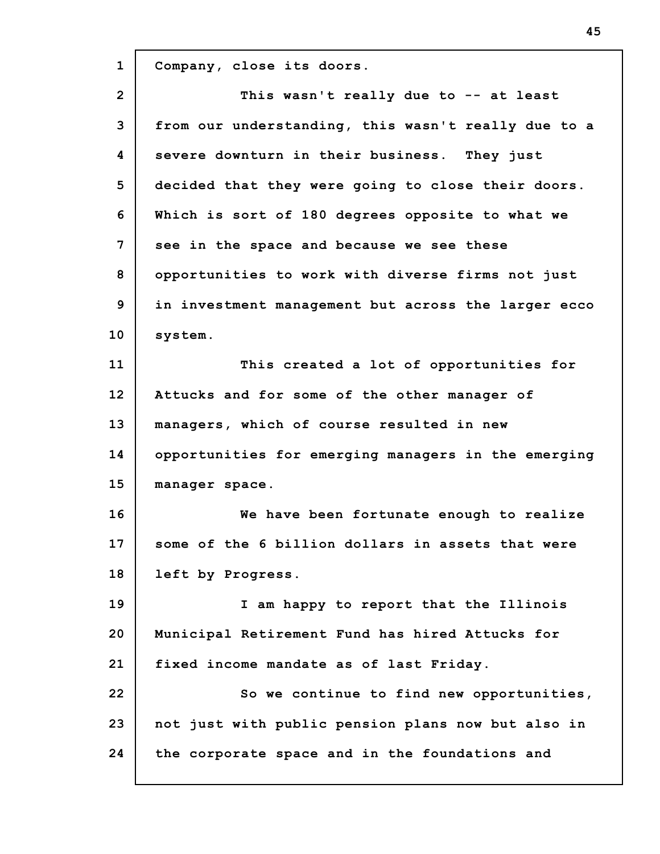**1 2 3 4 5 6 7 8 9 10 11 12 13 14 15 16 17 18 19 20 21 22 23 24 Company, close its doors. This wasn't really due to -- at least from our understanding, this wasn't really due to a severe downturn in their business. They just decided that they were going to close their doors. Which is sort of 180 degrees opposite to what we see in the space and because we see these opportunities to work with diverse firms not just in investment management but across the larger ecco system. This created a lot of opportunities for Attucks and for some of the other manager of managers, which of course resulted in new opportunities for emerging managers in the emerging manager space. We have been fortunate enough to realize some of the 6 billion dollars in assets that were left by Progress. I am happy to report that the Illinois Municipal Retirement Fund has hired Attucks for fixed income mandate as of last Friday. So we continue to find new opportunities, not just with public pension plans now but also in the corporate space and in the foundations and**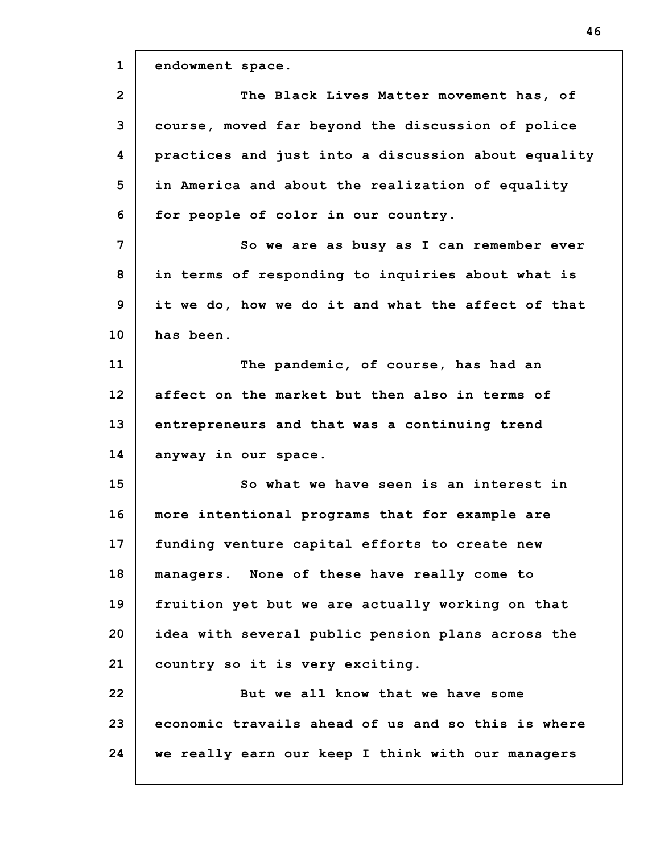**1 2 3 4 5 6 7 8 9 10 11 12 13 14 15 16 17 18 19 20 21 22 23 24 endowment space. The Black Lives Matter movement has, of course, moved far beyond the discussion of police practices and just into a discussion about equality in America and about the realization of equality for people of color in our country. So we are as busy as I can remember ever in terms of responding to inquiries about what is it we do, how we do it and what the affect of that has been. The pandemic, of course, has had an affect on the market but then also in terms of entrepreneurs and that was a continuing trend anyway in our space. So what we have seen is an interest in more intentional programs that for example are funding venture capital efforts to create new managers. None of these have really come to fruition yet but we are actually working on that idea with several public pension plans across the country so it is very exciting. But we all know that we have some economic travails ahead of us and so this is where we really earn our keep I think with our managers**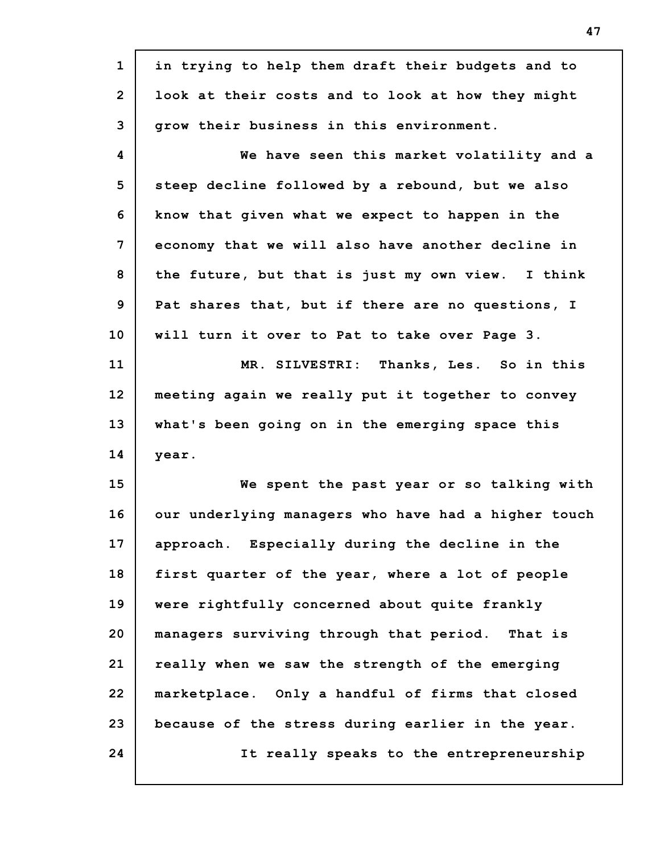| $\mathbf{1}$    | in trying to help them draft their budgets and to   |
|-----------------|-----------------------------------------------------|
| $\overline{2}$  | look at their costs and to look at how they might   |
| 3               | grow their business in this environment.            |
| 4               | We have seen this market volatility and a           |
| 5               | steep decline followed by a rebound, but we also    |
| 6               | know that given what we expect to happen in the     |
| 7               | economy that we will also have another decline in   |
| 8               | the future, but that is just my own view. I think   |
| 9               | Pat shares that, but if there are no questions, I   |
| 10 <sub>1</sub> | will turn it over to Pat to take over Page 3.       |
| 11              | MR. SILVESTRI: Thanks, Les. So in this              |
| 12              | meeting again we really put it together to convey   |
| 13              | what's been going on in the emerging space this     |
| 14              | year.                                               |
| 15              | We spent the past year or so talking with           |
| 16              | our underlying managers who have had a higher touch |
| 17              | approach. Especially during the decline in the      |
| 18              | first quarter of the year, where a lot of people    |
| 19              | were rightfully concerned about quite frankly       |
| 20              | managers surviving through that period. That is     |
| 21              | really when we saw the strength of the emerging     |
|                 | marketplace. Only a handful of firms that closed    |
| 22              |                                                     |
| 23              | because of the stress during earlier in the year.   |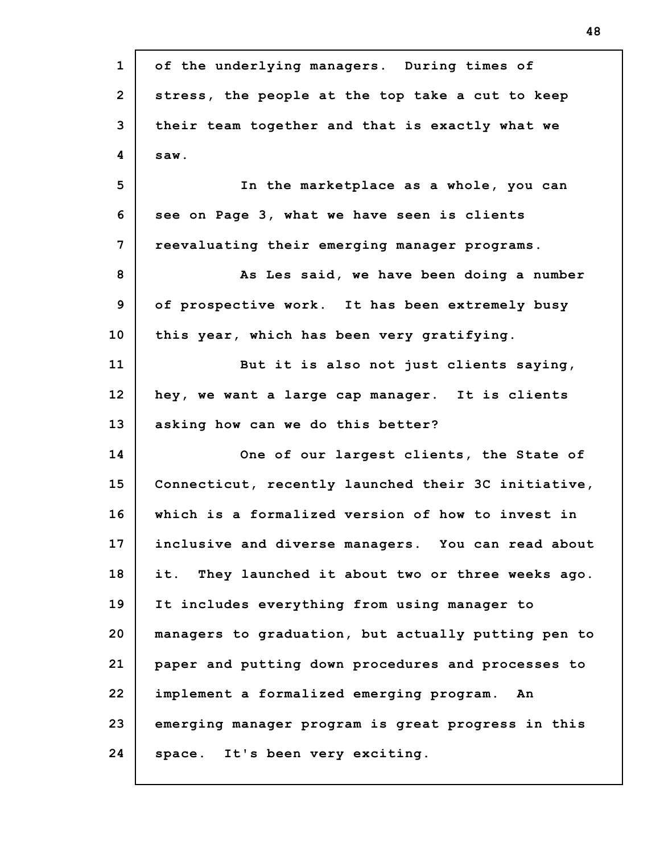| $\mathbf{1}$   | of the underlying managers. During times of         |
|----------------|-----------------------------------------------------|
| $\overline{2}$ | stress, the people at the top take a cut to keep    |
| 3              | their team together and that is exactly what we     |
| 4              | saw.                                                |
| 5              | In the marketplace as a whole, you can              |
| 6              | see on Page 3, what we have seen is clients         |
| 7              | reevaluating their emerging manager programs.       |
| 8              | As Les said, we have been doing a number            |
| 9              | of prospective work. It has been extremely busy     |
| 10             | this year, which has been very gratifying.          |
| 11             | But it is also not just clients saying,             |
| 12             | hey, we want a large cap manager. It is clients     |
| 13             | asking how can we do this better?                   |
| 14             | One of our largest clients, the State of            |
| 15             | Connecticut, recently launched their 3C initiative, |
| 16             | which is a formalized version of how to invest in   |
| 17             | inclusive and diverse managers. You can read about  |
| 18             | it. They launched it about two or three weeks ago.  |
| 19             | It includes everything from using manager to        |
| 20             | managers to graduation, but actually putting pen to |
| 21             | paper and putting down procedures and processes to  |
| 22             | implement a formalized emerging program.<br>An      |
| 23             | emerging manager program is great progress in this  |
| 24             | space. It's been very exciting.                     |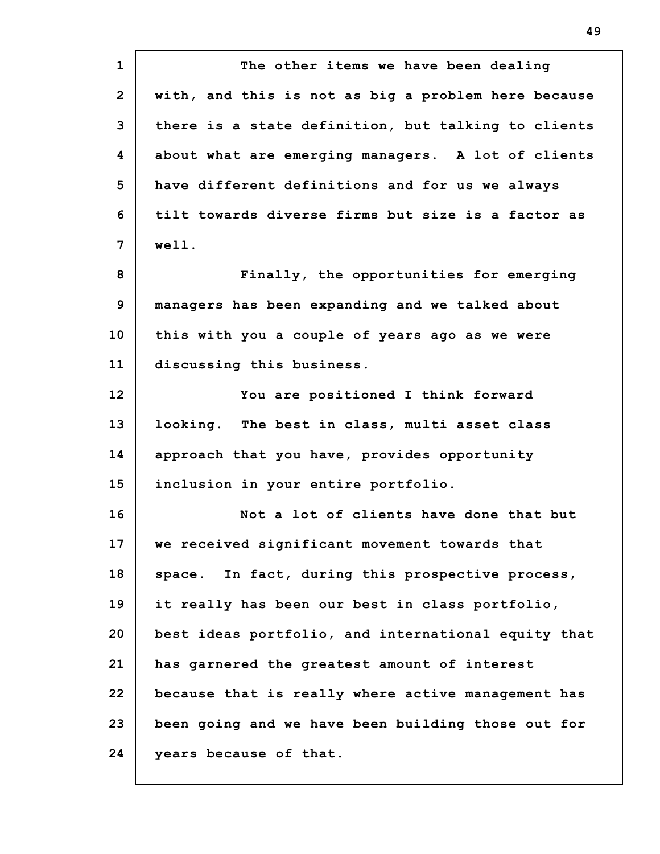**1 2 3 4 5 6 7 8 9 10 11 12 13 14 15 16 17 18 19 20 21 22 23 24 The other items we have been dealing with, and this is not as big a problem here because there is a state definition, but talking to clients about what are emerging managers. A lot of clients have different definitions and for us we always tilt towards diverse firms but size is a factor as well. Finally, the opportunities for emerging managers has been expanding and we talked about this with you a couple of years ago as we were discussing this business. You are positioned I think forward looking. The best in class, multi asset class approach that you have, provides opportunity inclusion in your entire portfolio. Not a lot of clients have done that but we received significant movement towards that space. In fact, during this prospective process, it really has been our best in class portfolio, best ideas portfolio, and international equity that has garnered the greatest amount of interest because that is really where active management has been going and we have been building those out for years because of that.**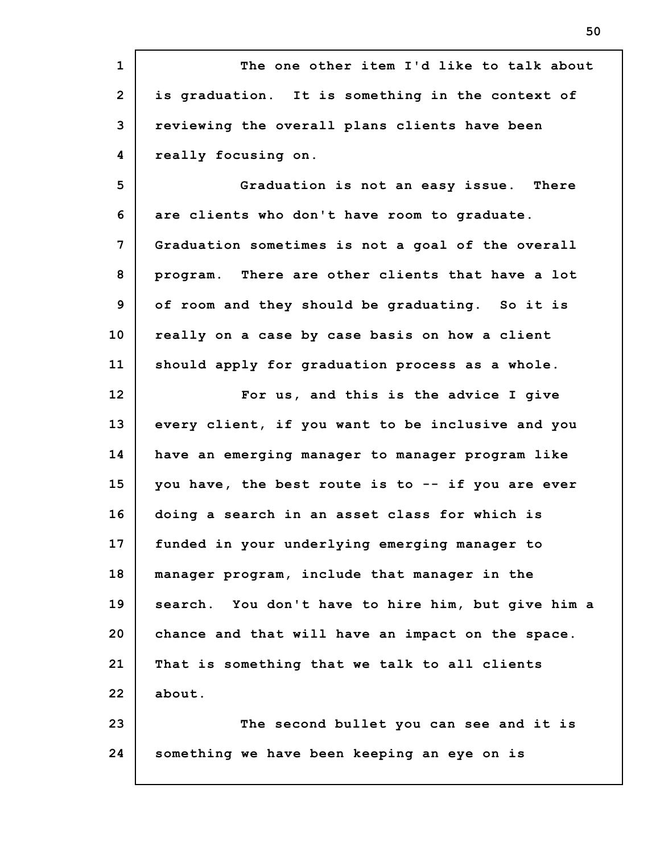**1 2 3 4 5 6 7 8 9 10 11 12 13 14 15 16 17 18 19 20 21 22 23 24 The one other item I'd like to talk about is graduation. It is something in the context of reviewing the overall plans clients have been really focusing on. Graduation is not an easy issue. There are clients who don't have room to graduate. Graduation sometimes is not a goal of the overall program. There are other clients that have a lot of room and they should be graduating. So it is really on a case by case basis on how a client should apply for graduation process as a whole. For us, and this is the advice I give every client, if you want to be inclusive and you have an emerging manager to manager program like you have, the best route is to -- if you are ever doing a search in an asset class for which is funded in your underlying emerging manager to manager program, include that manager in the search. You don't have to hire him, but give him a chance and that will have an impact on the space. That is something that we talk to all clients about. The second bullet you can see and it is something we have been keeping an eye on is**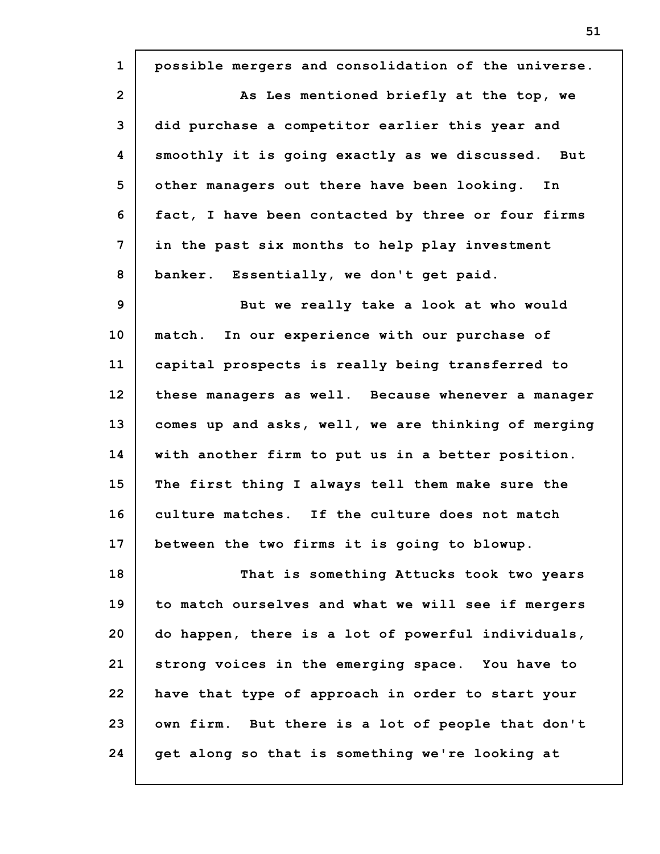| $\mathbf{1}$   | possible mergers and consolidation of the universe. |
|----------------|-----------------------------------------------------|
| $\overline{2}$ | As Les mentioned briefly at the top, we             |
| 3              | did purchase a competitor earlier this year and     |
| 4              | smoothly it is going exactly as we discussed. But   |
| 5              | other managers out there have been looking. In      |
| 6              | fact, I have been contacted by three or four firms  |
| 7              | in the past six months to help play investment      |
| 8              | banker. Essentially, we don't get paid.             |
| 9              | But we really take a look at who would              |
| 10             | In our experience with our purchase of<br>match.    |
| 11             | capital prospects is really being transferred to    |
| 12             | these managers as well. Because whenever a manager  |
| 13             | comes up and asks, well, we are thinking of merging |
| 14             | with another firm to put us in a better position.   |
| 15             | The first thing I always tell them make sure the    |
| 16             | culture matches. If the culture does not match      |
| 17             | between the two firms it is going to blowup.        |
| 18             | That is something Attucks took two years            |
| 19             | to match ourselves and what we will see if mergers  |
| 20             | do happen, there is a lot of powerful individuals,  |
| 21             | strong voices in the emerging space. You have to    |
| 22             | have that type of approach in order to start your   |
| 23             | own firm. But there is a lot of people that don't   |
| 24             | get along so that is something we're looking at     |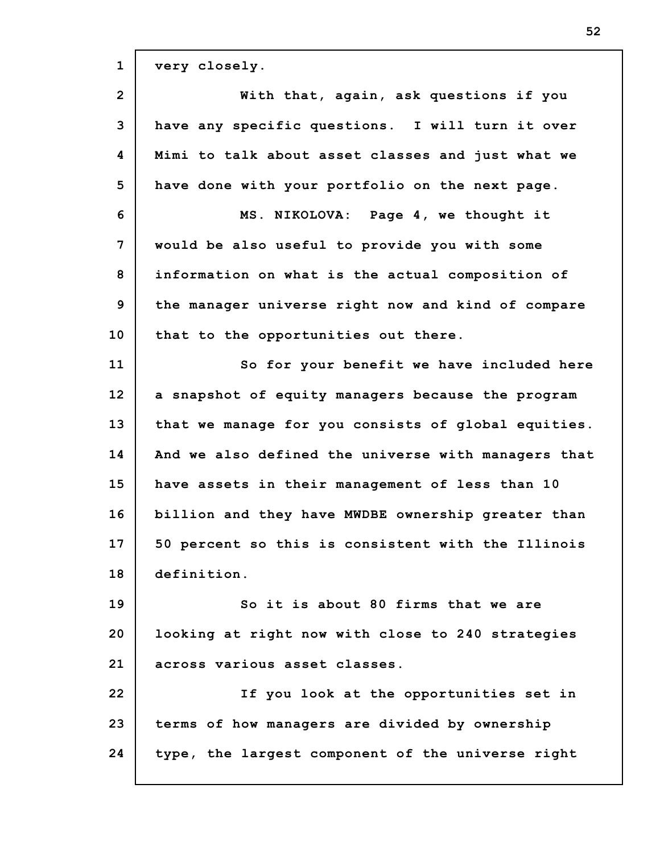**1 2 3 4 5 6 7 8 9 10 11 12 13 14 15 16 17 18 19 20 21 22 23 24 very closely. With that, again, ask questions if you have any specific questions. I will turn it over Mimi to talk about asset classes and just what we have done with your portfolio on the next page. MS. NIKOLOVA: Page 4, we thought it would be also useful to provide you with some information on what is the actual composition of the manager universe right now and kind of compare that to the opportunities out there. So for your benefit we have included here a snapshot of equity managers because the program that we manage for you consists of global equities. And we also defined the universe with managers that have assets in their management of less than 10 billion and they have MWDBE ownership greater than 50 percent so this is consistent with the Illinois definition. So it is about 80 firms that we are looking at right now with close to 240 strategies across various asset classes. If you look at the opportunities set in terms of how managers are divided by ownership type, the largest component of the universe right**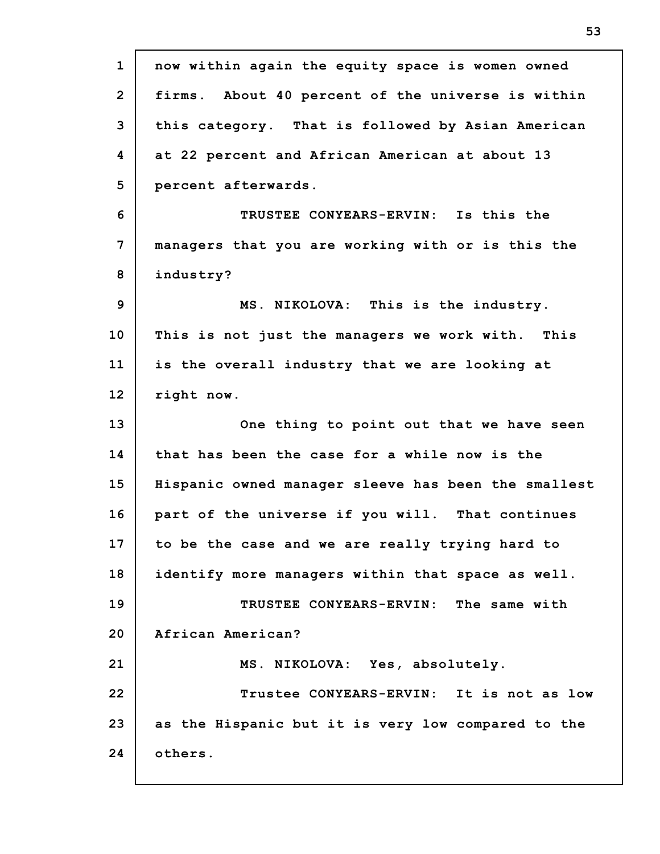| $\mathbf{1}$   | now within again the equity space is women owned    |
|----------------|-----------------------------------------------------|
| $\overline{2}$ | firms. About 40 percent of the universe is within   |
| 3              | this category. That is followed by Asian American   |
| 4              | at 22 percent and African American at about 13      |
| 5              | percent afterwards.                                 |
| 6              | TRUSTEE CONYEARS-ERVIN: Is this the                 |
| 7              | managers that you are working with or is this the   |
| 8              | industry?                                           |
| $\mathbf{9}$   | MS. NIKOLOVA: This is the industry.                 |
| 10             | This is not just the managers we work with. This    |
| 11             | is the overall industry that we are looking at      |
| 12             | right now.                                          |
|                |                                                     |
|                | One thing to point out that we have seen            |
| 13<br>14       | that has been the case for a while now is the       |
| 15             | Hispanic owned manager sleeve has been the smallest |
| 16             | part of the universe if you will. That continues    |
| 17             | to be the case and we are really trying hard to     |
| 18             | identify more managers within that space as well.   |
| 19             | TRUSTEE CONYEARS-ERVIN: The same with               |
| 20             | African American?                                   |
| 21             | MS. NIKOLOVA: Yes, absolutely.                      |
| 22             | Trustee CONYEARS-ERVIN: It is not as low            |
| 23             | as the Hispanic but it is very low compared to the  |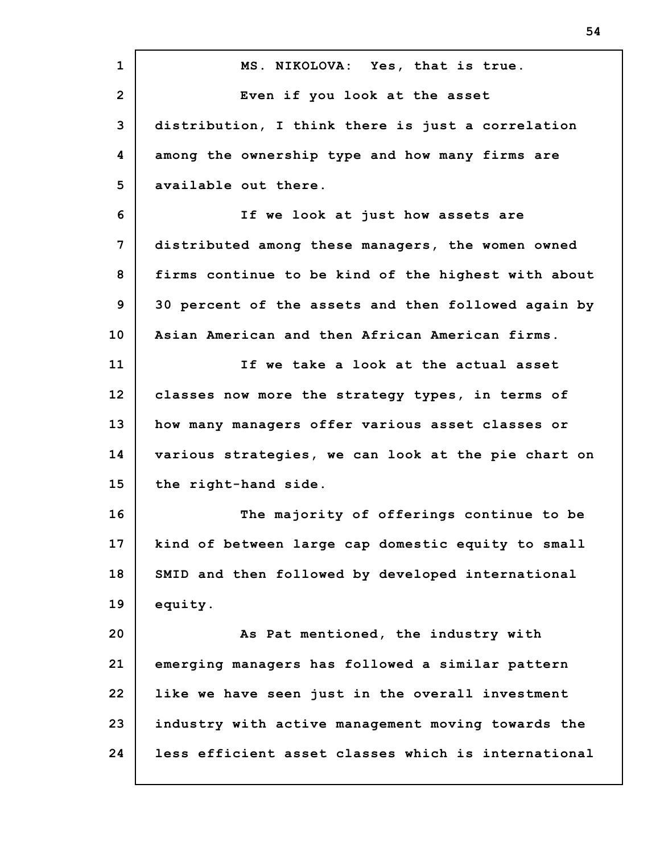**1 2 3 4 5 6 7 8 9 10 11 12 13 14 15 16 17 18 19 20 21 22 23 24 MS. NIKOLOVA: Yes, that is true. Even if you look at the asset distribution, I think there is just a correlation among the ownership type and how many firms are available out there. If we look at just how assets are distributed among these managers, the women owned firms continue to be kind of the highest with about 30 percent of the assets and then followed again by Asian American and then African American firms. If we take a look at the actual asset classes now more the strategy types, in terms of how many managers offer various asset classes or various strategies, we can look at the pie chart on the right-hand side. The majority of offerings continue to be kind of between large cap domestic equity to small SMID and then followed by developed international equity. As Pat mentioned, the industry with emerging managers has followed a similar pattern like we have seen just in the overall investment industry with active management moving towards the less efficient asset classes which is international**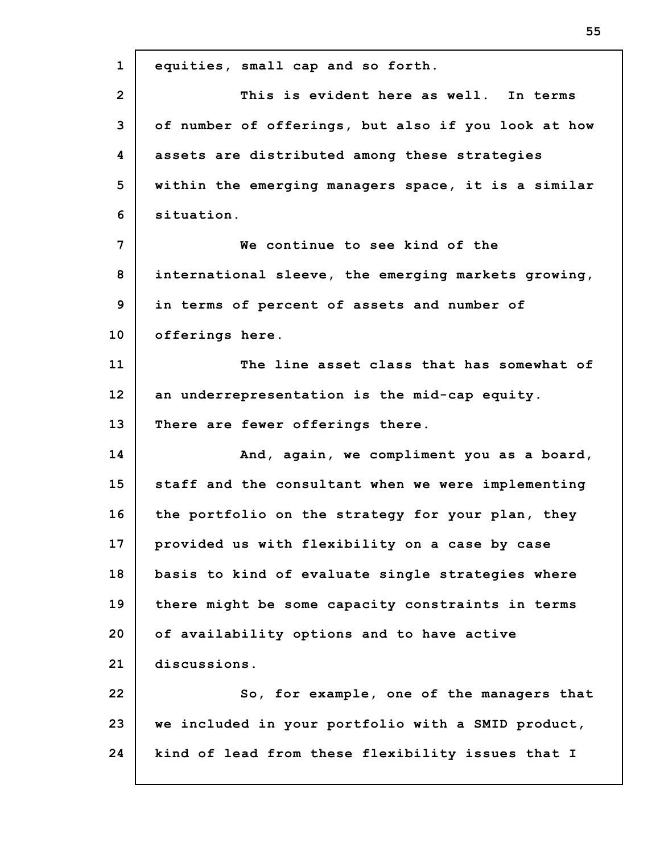**1 2 3 4 5 6 7 8 9 10 11 12 13 14 15 16 17 18 19 20 21 22 23 24 equities, small cap and so forth. This is evident here as well. In terms of number of offerings, but also if you look at how assets are distributed among these strategies within the emerging managers space, it is a similar situation. We continue to see kind of the international sleeve, the emerging markets growing, in terms of percent of assets and number of offerings here. The line asset class that has somewhat of an underrepresentation is the mid-cap equity. There are fewer offerings there. And, again, we compliment you as a board, staff and the consultant when we were implementing the portfolio on the strategy for your plan, they provided us with flexibility on a case by case basis to kind of evaluate single strategies where there might be some capacity constraints in terms of availability options and to have active discussions. So, for example, one of the managers that we included in your portfolio with a SMID product, kind of lead from these flexibility issues that I**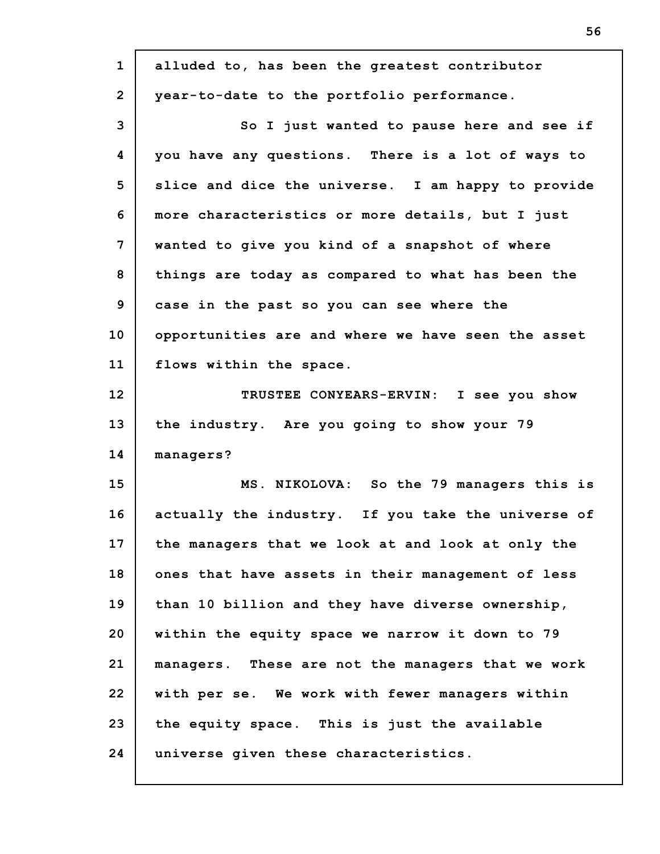| $\mathbf{1}$   | alluded to, has been the greatest contributor      |
|----------------|----------------------------------------------------|
| $\overline{2}$ | year-to-date to the portfolio performance.         |
| 3              | So I just wanted to pause here and see if          |
| 4              | you have any questions. There is a lot of ways to  |
| 5              | slice and dice the universe. I am happy to provide |
| 6              | more characteristics or more details, but I just   |
| 7              | wanted to give you kind of a snapshot of where     |
| 8              | things are today as compared to what has been the  |
| 9              | case in the past so you can see where the          |
| 10             | opportunities are and where we have seen the asset |
| 11             | flows within the space.                            |
| 12             | TRUSTEE CONYEARS-ERVIN: I see you show             |
| 13             | the industry. Are you going to show your 79        |
| 14             | managers?                                          |
| 15             | MS. NIKOLOVA: So the 79 managers this is           |
| 16             | actually the industry. If you take the universe of |
| 17             | the managers that we look at and look at only the  |
| 18             | ones that have assets in their management of less  |
| 19             | than 10 billion and they have diverse ownership,   |
| 20             | within the equity space we narrow it down to 79    |
| 21             | managers. These are not the managers that we work  |
| 22             | with per se. We work with fewer managers within    |
| 23             | the equity space. This is just the available       |
| 24             | universe given these characteristics.              |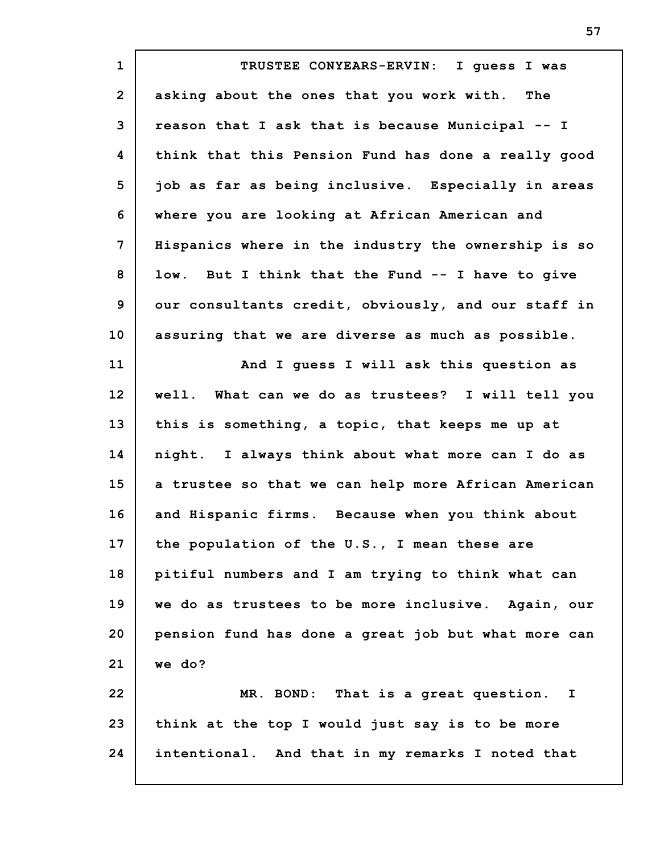**1 2 3 4 5 6 7 8 9 10 11 12 13 14 15 16 17 18 19 20 21 22 23 24 TRUSTEE CONYEARS-ERVIN: I guess I was asking about the ones that you work with. The reason that I ask that is because Municipal -- I think that this Pension Fund has done a really good job as far as being inclusive. Especially in areas where you are looking at African American and Hispanics where in the industry the ownership is so low. But I think that the Fund -- I have to give our consultants credit, obviously, and our staff in assuring that we are diverse as much as possible. And I guess I will ask this question as well. What can we do as trustees? I will tell you this is something, a topic, that keeps me up at night. I always think about what more can I do as a trustee so that we can help more African American and Hispanic firms. Because when you think about the population of the U.S., I mean these are pitiful numbers and I am trying to think what can we do as trustees to be more inclusive. Again, our pension fund has done a great job but what more can we do? MR. BOND: That is a great question. I think at the top I would just say is to be more intentional. And that in my remarks I noted that**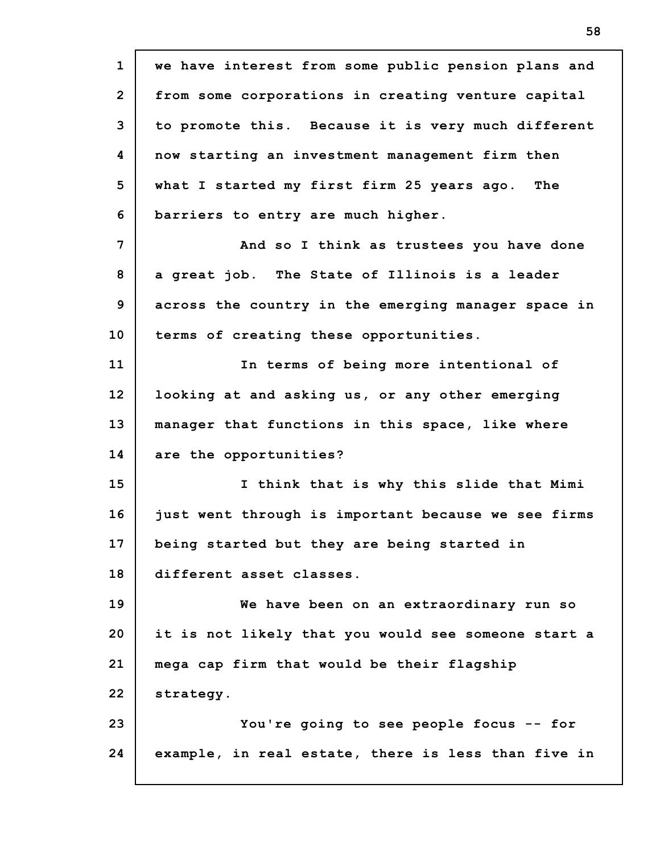**1 2 3 4 5 6 7 8 9 10 11 12 13 14 15 16 17 18 19 20 21 22 23 24 we have interest from some public pension plans and from some corporations in creating venture capital to promote this. Because it is very much different now starting an investment management firm then what I started my first firm 25 years ago. The barriers to entry are much higher. And so I think as trustees you have done a great job. The State of Illinois is a leader across the country in the emerging manager space in terms of creating these opportunities. In terms of being more intentional of looking at and asking us, or any other emerging manager that functions in this space, like where are the opportunities? I think that is why this slide that Mimi just went through is important because we see firms being started but they are being started in different asset classes. We have been on an extraordinary run so it is not likely that you would see someone start a mega cap firm that would be their flagship strategy. You're going to see people focus -- for example, in real estate, there is less than five in**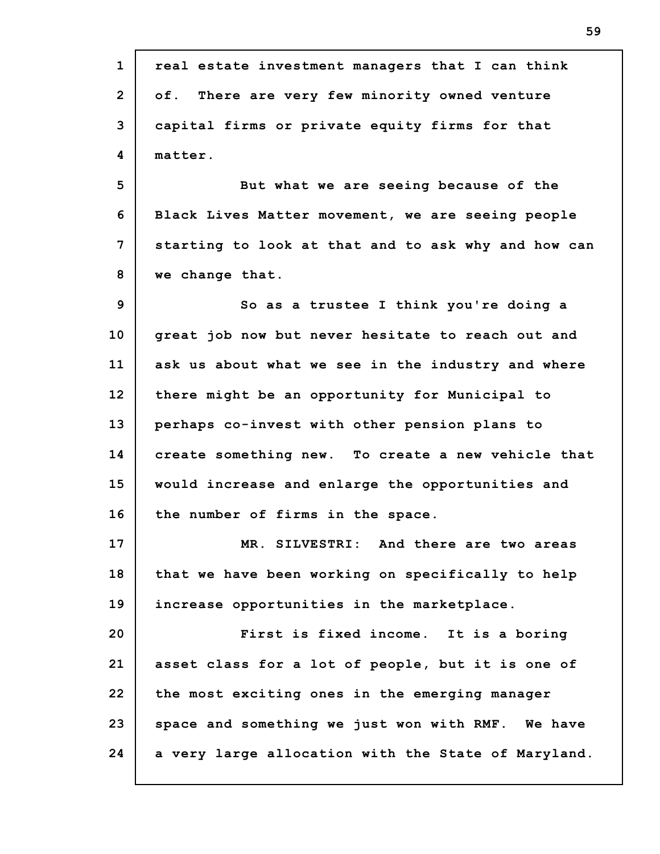| $\mathbf{1}$    | real estate investment managers that I can think    |
|-----------------|-----------------------------------------------------|
| $\overline{2}$  | There are very few minority owned venture<br>of.    |
| 3               | capital firms or private equity firms for that      |
| 4               | matter.                                             |
| 5               | But what we are seeing because of the               |
| 6               | Black Lives Matter movement, we are seeing people   |
| 7               | starting to look at that and to ask why and how can |
| 8               | we change that.                                     |
| 9               | So as a trustee I think you're doing a              |
| 10              | great job now but never hesitate to reach out and   |
| 11              | ask us about what we see in the industry and where  |
| 12 <sup>2</sup> | there might be an opportunity for Municipal to      |
| 13              | perhaps co-invest with other pension plans to       |
| 14              | create something new. To create a new vehicle that  |
| 15              | would increase and enlarge the opportunities and    |
| 16              | the number of firms in the space.                   |
| 17              | MR. SILVESTRI: And there are two areas              |
| 18              | that we have been working on specifically to help   |
| 19              | increase opportunities in the marketplace.          |
| 20              | First is fixed income. It is a boring               |
| 21              | asset class for a lot of people, but it is one of   |
| 22              | the most exciting ones in the emerging manager      |
| 23              | space and something we just won with RMF. We have   |
| 24              | a very large allocation with the State of Maryland. |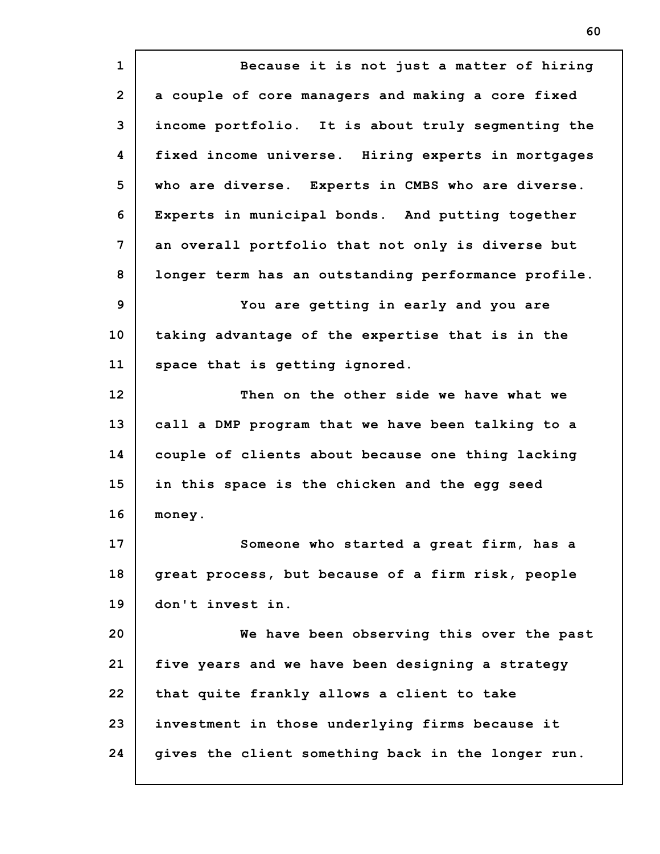**1 2 3 4 5 6 7 8 9 10 11 12 13 14 15 16 17 18 19 20 21 22 23 24 Because it is not just a matter of hiring a couple of core managers and making a core fixed income portfolio. It is about truly segmenting the fixed income universe. Hiring experts in mortgages who are diverse. Experts in CMBS who are diverse. Experts in municipal bonds. And putting together an overall portfolio that not only is diverse but longer term has an outstanding performance profile. You are getting in early and you are taking advantage of the expertise that is in the space that is getting ignored. Then on the other side we have what we call a DMP program that we have been talking to a couple of clients about because one thing lacking in this space is the chicken and the egg seed money. Someone who started a great firm, has a great process, but because of a firm risk, people don't invest in. We have been observing this over the past five years and we have been designing a strategy that quite frankly allows a client to take investment in those underlying firms because it gives the client something back in the longer run.**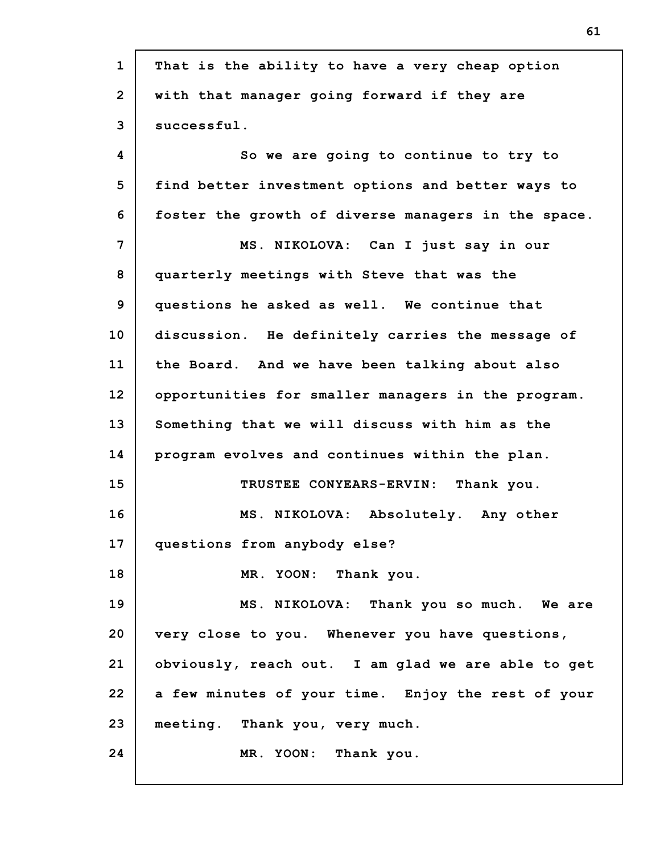| $\mathbf{1}$    | That is the ability to have a very cheap option     |
|-----------------|-----------------------------------------------------|
| $\overline{2}$  | with that manager going forward if they are         |
| 3               | successful.                                         |
| 4               | So we are going to continue to try to               |
| 5               | find better investment options and better ways to   |
| 6               | foster the growth of diverse managers in the space. |
| 7               | MS. NIKOLOVA: Can I just say in our                 |
| 8               | quarterly meetings with Steve that was the          |
| 9               | questions he asked as well. We continue that        |
| 10              | discussion. He definitely carries the message of    |
| 11              | the Board. And we have been talking about also      |
| 12 <sup>2</sup> | opportunities for smaller managers in the program.  |
| 13              | Something that we will discuss with him as the      |
| 14              | program evolves and continues within the plan.      |
| 15              | TRUSTEE CONYEARS-ERVIN: Thank you.                  |
| 16              | MS. NIKOLOVA: Absolutely. Any other                 |
| 17              | questions from anybody else?                        |
| 18              | MR. YOON: Thank you.                                |
| 19              | MS. NIKOLOVA: Thank you so much. We are             |
| 20              | very close to you. Whenever you have questions,     |
| 21              | obviously, reach out. I am glad we are able to get  |
| 22              | a few minutes of your time. Enjoy the rest of your  |
| 23              | meeting. Thank you, very much.                      |
| 24              | MR. YOON: Thank you.                                |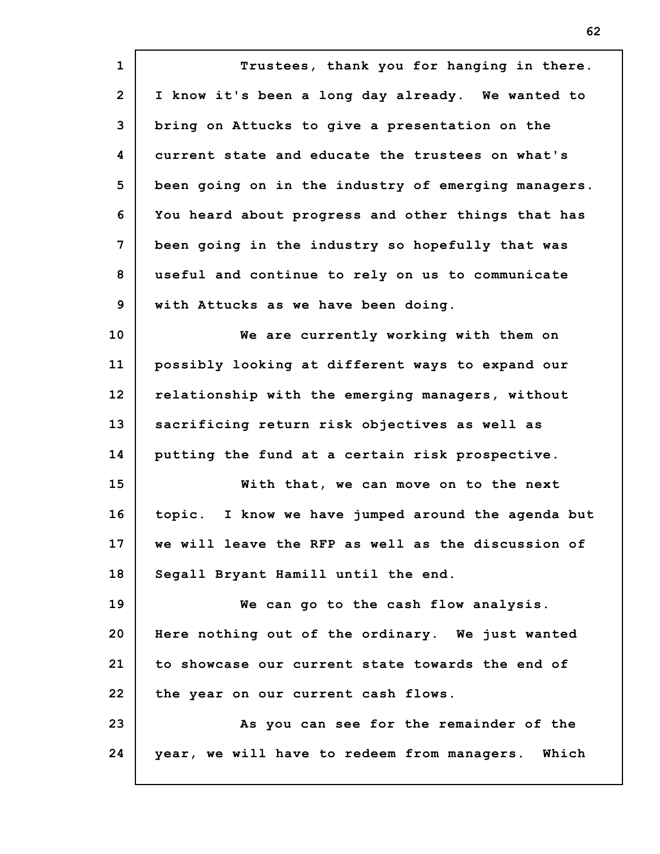**1 2 3 4 5 6 7 8 9 10 11 12 13 14 15 16 17 18 19 20 21 22 23 24 Trustees, thank you for hanging in there. I know it's been a long day already. We wanted to bring on Attucks to give a presentation on the current state and educate the trustees on what's been going on in the industry of emerging managers. You heard about progress and other things that has been going in the industry so hopefully that was useful and continue to rely on us to communicate with Attucks as we have been doing. We are currently working with them on possibly looking at different ways to expand our relationship with the emerging managers, without sacrificing return risk objectives as well as putting the fund at a certain risk prospective. With that, we can move on to the next topic. I know we have jumped around the agenda but we will leave the RFP as well as the discussion of Segall Bryant Hamill until the end. We can go to the cash flow analysis. Here nothing out of the ordinary. We just wanted to showcase our current state towards the end of the year on our current cash flows. As you can see for the remainder of the year, we will have to redeem from managers. Which**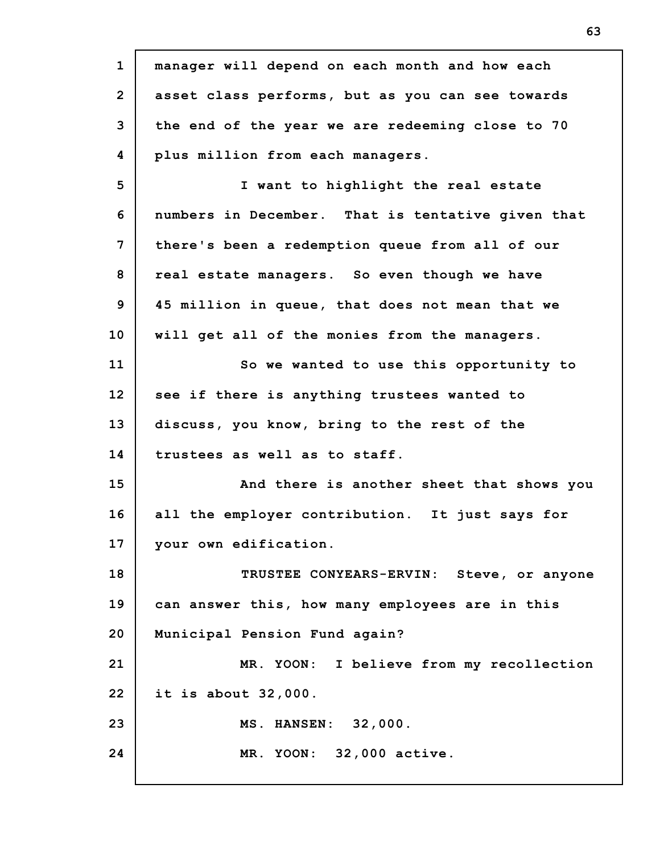**1 2 3 4 5 6 7 8 9 10 11 12 13 14 15 16 17 18 19 20 21 22 23 24 manager will depend on each month and how each asset class performs, but as you can see towards the end of the year we are redeeming close to 70 plus million from each managers. I want to highlight the real estate numbers in December. That is tentative given that there's been a redemption queue from all of our real estate managers. So even though we have 45 million in queue, that does not mean that we will get all of the monies from the managers. So we wanted to use this opportunity to see if there is anything trustees wanted to discuss, you know, bring to the rest of the trustees as well as to staff. And there is another sheet that shows you all the employer contribution. It just says for your own edification. TRUSTEE CONYEARS-ERVIN: Steve, or anyone can answer this, how many employees are in this Municipal Pension Fund again? MR. YOON: I believe from my recollection it is about 32,000. MS. HANSEN: 32,000. MR. YOON: 32,000 active.**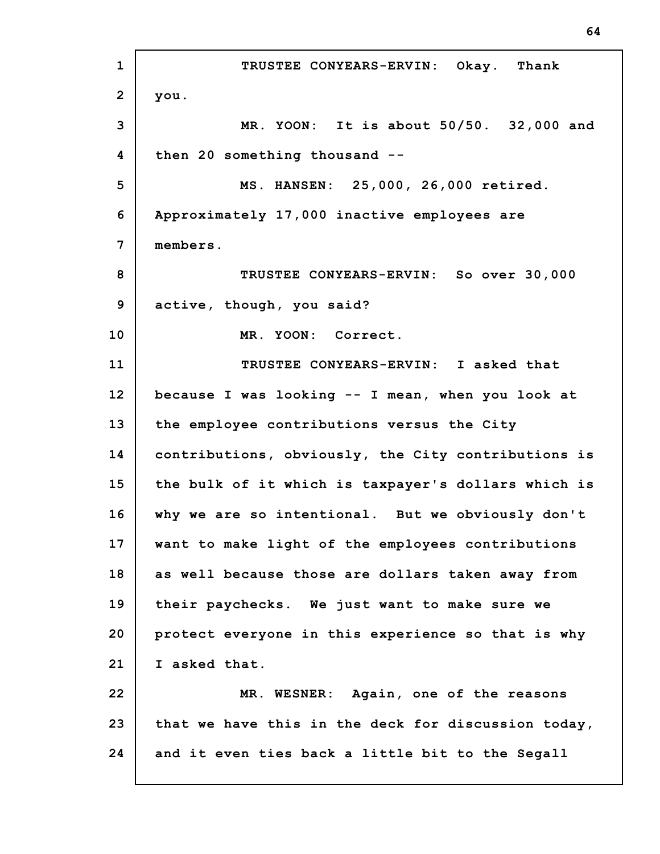**1 2 3 4 5 6 7 8 9 10 11 12 13 14 15 16 17 18 19 20 21 22 23 24 TRUSTEE CONYEARS-ERVIN: Okay. Thank you. MR. YOON: It is about 50/50. 32,000 and then 20 something thousand -- MS. HANSEN: 25,000, 26,000 retired. Approximately 17,000 inactive employees are members. TRUSTEE CONYEARS-ERVIN: So over 30,000 active, though, you said? MR. YOON: Correct. TRUSTEE CONYEARS-ERVIN: I asked that because I was looking -- I mean, when you look at the employee contributions versus the City contributions, obviously, the City contributions is the bulk of it which is taxpayer's dollars which is why we are so intentional. But we obviously don't want to make light of the employees contributions as well because those are dollars taken away from their paychecks. We just want to make sure we protect everyone in this experience so that is why I asked that. MR. WESNER: Again, one of the reasons that we have this in the deck for discussion today, and it even ties back a little bit to the Segall**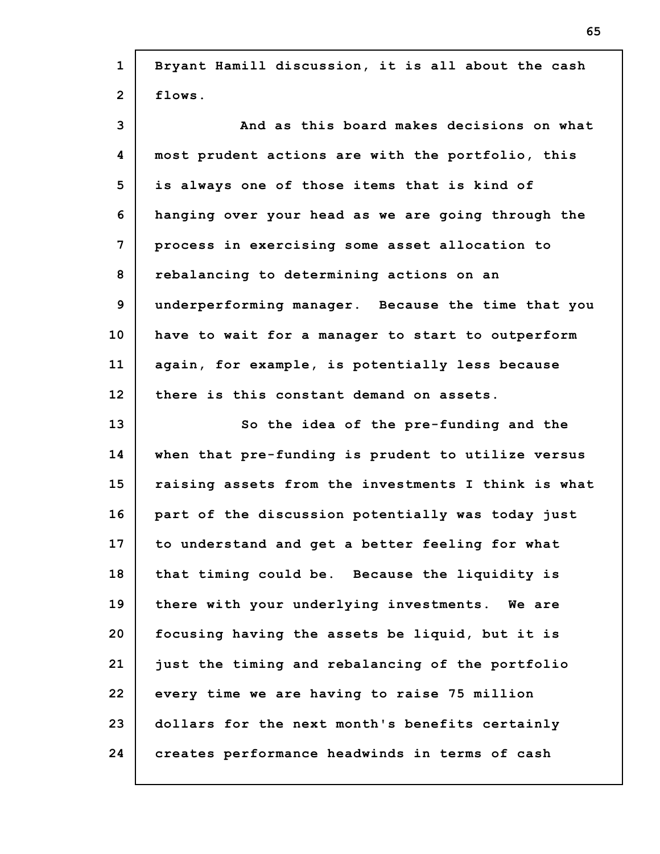| $\mathbf{1}$   | Bryant Hamill discussion, it is all about the cash  |
|----------------|-----------------------------------------------------|
| $\overline{2}$ | flows.                                              |
| 3              | And as this board makes decisions on what           |
| 4              | most prudent actions are with the portfolio, this   |
| 5              | is always one of those items that is kind of        |
| 6              | hanging over your head as we are going through the  |
| 7              | process in exercising some asset allocation to      |
| 8              | rebalancing to determining actions on an            |
| 9              | underperforming manager. Because the time that you  |
| 10             | have to wait for a manager to start to outperform   |
| 11             | again, for example, is potentially less because     |
| 12             | there is this constant demand on assets.            |
|                |                                                     |
| 13             | So the idea of the pre-funding and the              |
| 14             | when that pre-funding is prudent to utilize versus  |
| 15             | raising assets from the investments I think is what |
| 16             | part of the discussion potentially was today just   |
| 17             | to understand and get a better feeling for what     |
| 18             | that timing could be. Because the liquidity is      |
| 19             | there with your underlying investments. We are      |
| 20             | focusing having the assets be liquid, but it is     |
| 21             | just the timing and rebalancing of the portfolio    |
| 22             | every time we are having to raise 75 million        |
| 23             | dollars for the next month's benefits certainly     |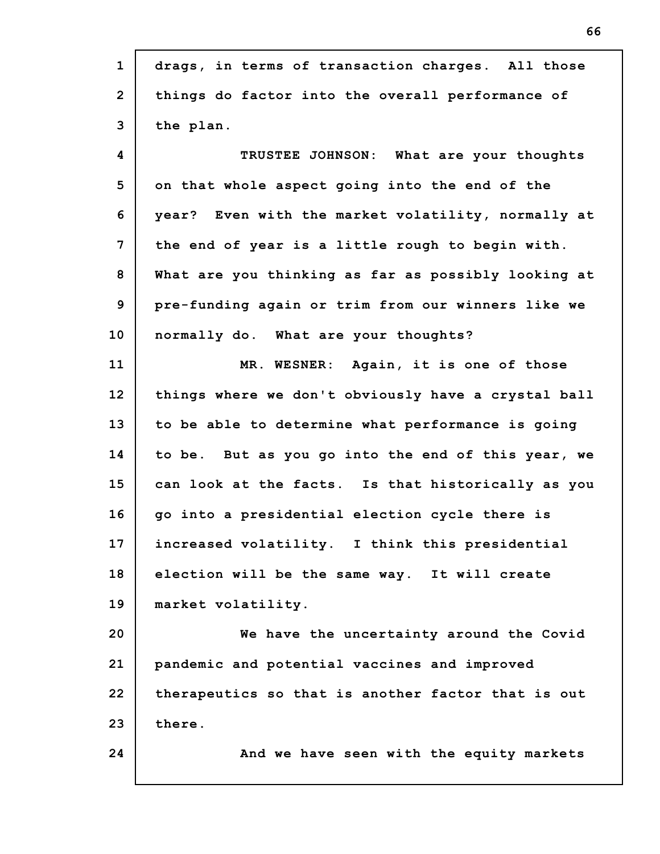| $\mathbf{1}$   | drags, in terms of transaction charges. All those   |
|----------------|-----------------------------------------------------|
| $\overline{2}$ | things do factor into the overall performance of    |
| 3              | the plan.                                           |
| 4              | TRUSTEE JOHNSON: What are your thoughts             |
| 5              | on that whole aspect going into the end of the      |
| 6              | year? Even with the market volatility, normally at  |
| $\overline{7}$ | the end of year is a little rough to begin with.    |
| 8              | What are you thinking as far as possibly looking at |
| 9              | pre-funding again or trim from our winners like we  |
| 10             | normally do. What are your thoughts?                |
| 11             | MR. WESNER: Again, it is one of those               |
| 12             | things where we don't obviously have a crystal ball |
| 13             | to be able to determine what performance is going   |
| 14             | to be. But as you go into the end of this year, we  |
| 15             | can look at the facts. Is that historically as you  |
| 16             | go into a presidential election cycle there is      |
| 17             | increased volatility. I think this presidential     |
| 18             | election will be the same way. It will create       |
| 19             | market volatility.                                  |
| 20             | We have the uncertainty around the Covid            |
| 21             | pandemic and potential vaccines and improved        |
| 22             | therapeutics so that is another factor that is out  |
| 23             | there.                                              |
| 24             | And we have seen with the equity markets            |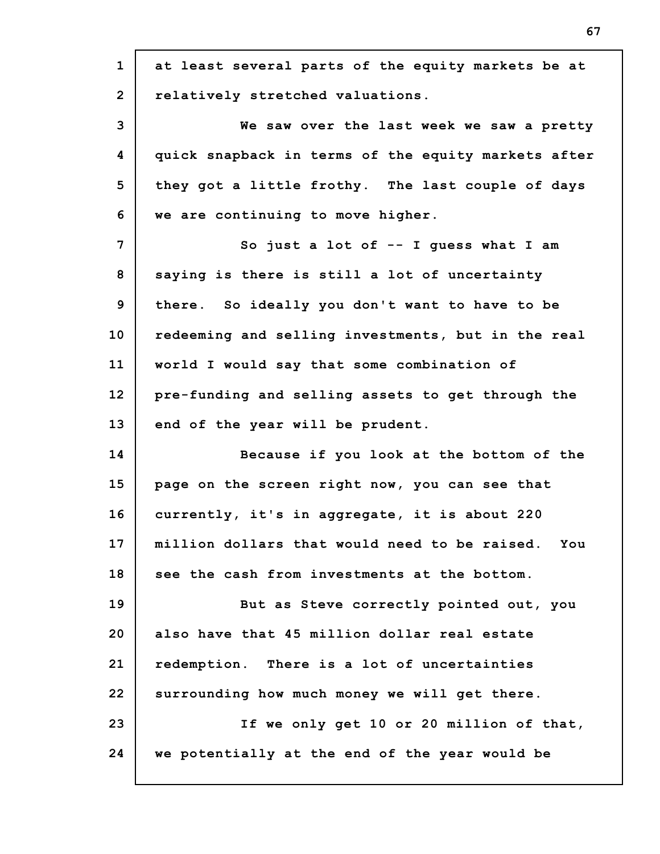| $\mathbf{1}$   | at least several parts of the equity markets be at  |
|----------------|-----------------------------------------------------|
| $\overline{2}$ | relatively stretched valuations.                    |
| 3              | We saw over the last week we saw a pretty           |
| 4              | quick snapback in terms of the equity markets after |
| 5              | they got a little frothy. The last couple of days   |
| 6              | we are continuing to move higher.                   |
| $\overline{7}$ | So just a lot of $-$ I guess what I am              |
| 8              | saying is there is still a lot of uncertainty       |
| 9              | there. So ideally you don't want to have to be      |
| 10             | redeeming and selling investments, but in the real  |
| 11             | world I would say that some combination of          |
| 12             | pre-funding and selling assets to get through the   |
| 13             | end of the year will be prudent.                    |
| 14             | Because if you look at the bottom of the            |
| 15             | page on the screen right now, you can see that      |
| 16             | currently, it's in aggregate, it is about 220       |
| 17             | million dollars that would need to be raised. You   |
| 18             | see the cash from investments at the bottom.        |
| 19             | But as Steve correctly pointed out, you             |
| 20             | also have that 45 million dollar real estate        |
| 21             | redemption. There is a lot of uncertainties         |
| 22             | surrounding how much money we will get there.       |
| 23             | If we only get 10 or 20 million of that,            |
| 24             | we potentially at the end of the year would be      |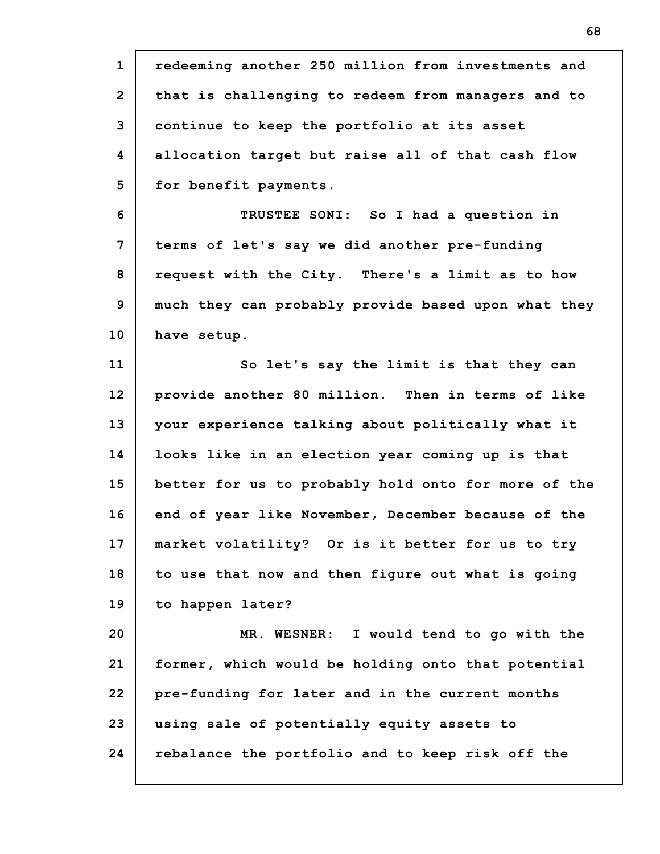| $\mathbf{1}$   | redeeming another 250 million from investments and  |
|----------------|-----------------------------------------------------|
| $\overline{2}$ | that is challenging to redeem from managers and to  |
| 3              | continue to keep the portfolio at its asset         |
| 4              | allocation target but raise all of that cash flow   |
| 5              | for benefit payments.                               |
| 6              | TRUSTEE SONI: So I had a question in                |
| 7              | terms of let's say we did another pre-funding       |
| 8              | request with the City. There's a limit as to how    |
| 9              | much they can probably provide based upon what they |
| 10             | have setup.                                         |
| 11             | So let's say the limit is that they can             |
| 12             | provide another 80 million. Then in terms of like   |
| 13             | your experience talking about politically what it   |
| 14             | looks like in an election year coming up is that    |
| 15             | better for us to probably hold onto for more of the |
| 16             | end of year like November, December because of the  |
| 17             | market volatility? Or is it better for us to try    |
| 18             | to use that now and then figure out what is going   |
| 19             | to happen later?                                    |
| 20             | MR. WESNER: I would tend to go with the             |
| 21             | former, which would be holding onto that potential  |
| 22             | pre-funding for later and in the current months     |
| 23             | using sale of potentially equity assets to          |
| 24             | rebalance the portfolio and to keep risk off the    |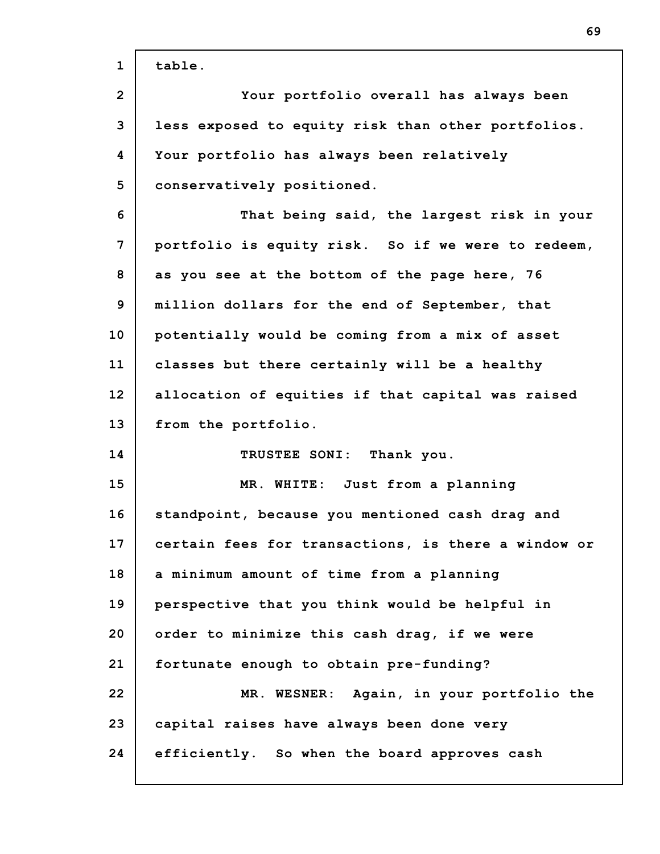| $\mathbf{1}$   | table.                                              |
|----------------|-----------------------------------------------------|
| $\overline{2}$ | Your portfolio overall has always been              |
| 3              | less exposed to equity risk than other portfolios.  |
| 4              | Your portfolio has always been relatively           |
| 5              | conservatively positioned.                          |
| 6              | That being said, the largest risk in your           |
| 7              | portfolio is equity risk. So if we were to redeem,  |
| 8              | as you see at the bottom of the page here, 76       |
| 9              | million dollars for the end of September, that      |
| 10             | potentially would be coming from a mix of asset     |
| 11             | classes but there certainly will be a healthy       |
| 12             | allocation of equities if that capital was raised   |
| 13             | from the portfolio.                                 |
| 14             | TRUSTEE SONI: Thank you.                            |
| 15             | MR. WHITE: Just from a planning                     |
| 16             | standpoint, because you mentioned cash drag and     |
| 17             | certain fees for transactions, is there a window or |
| 18             | a minimum amount of time from a planning            |
| 19             | perspective that you think would be helpful in      |
| 20             | order to minimize this cash drag, if we were        |
| 21             | fortunate enough to obtain pre-funding?             |
| 22             | Again, in your portfolio the<br>MR. WESNER:         |
| 23             | capital raises have always been done very           |
| 24             | efficiently. So when the board approves cash        |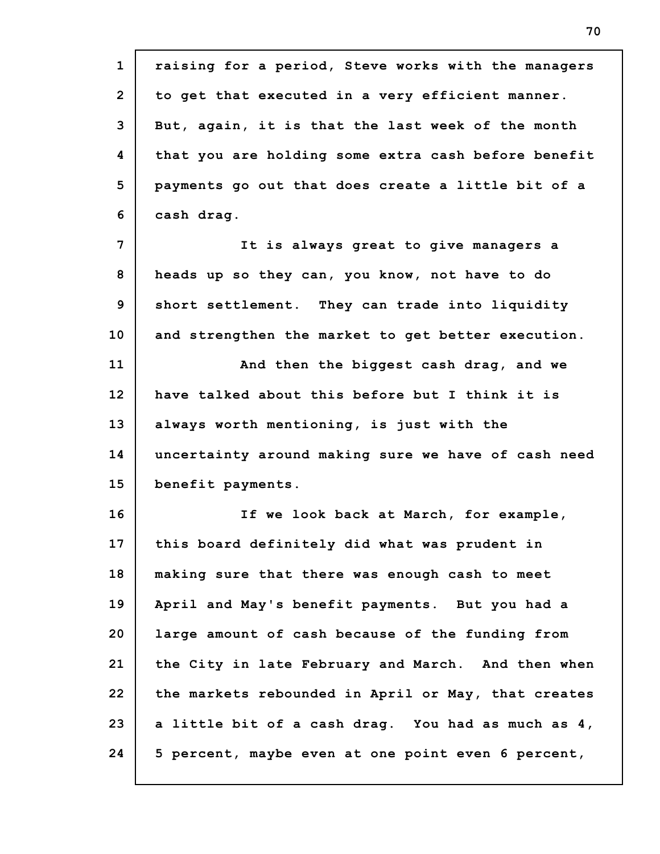**1 2 3 4 5 6 7 8 9 10 11 12 13 14 15 16 17 18 19 20 21 22 23 24 raising for a period, Steve works with the managers to get that executed in a very efficient manner. But, again, it is that the last week of the month that you are holding some extra cash before benefit payments go out that does create a little bit of a cash drag. It is always great to give managers a heads up so they can, you know, not have to do short settlement. They can trade into liquidity and strengthen the market to get better execution. And then the biggest cash drag, and we have talked about this before but I think it is always worth mentioning, is just with the uncertainty around making sure we have of cash need benefit payments. If we look back at March, for example, this board definitely did what was prudent in making sure that there was enough cash to meet April and May's benefit payments. But you had a large amount of cash because of the funding from the City in late February and March. And then when the markets rebounded in April or May, that creates a little bit of a cash drag. You had as much as 4, 5 percent, maybe even at one point even 6 percent,**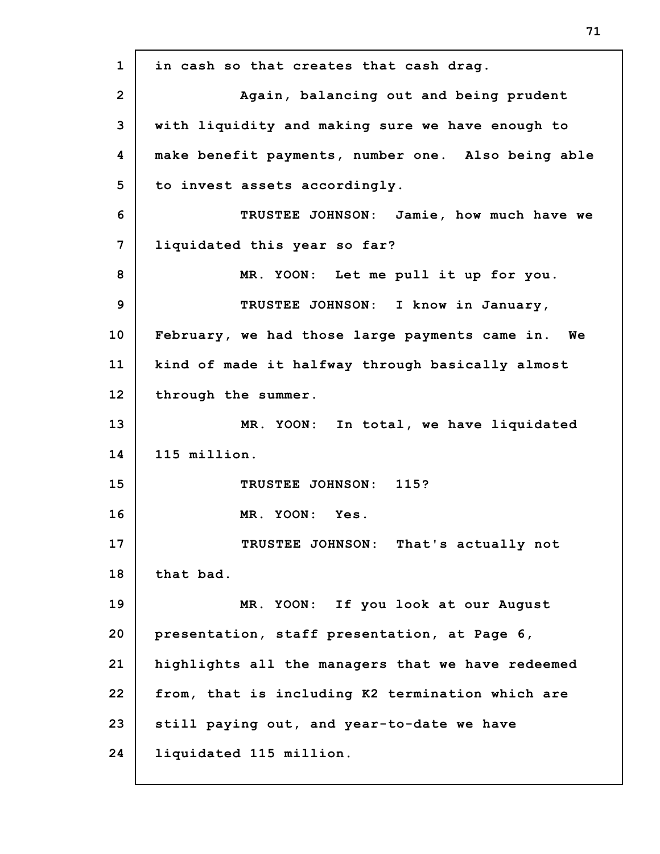**1 2 3 4 5 6 7 8 9 10 11 12 13 14 15 16 17 18 19 20 21 22 23 24 in cash so that creates that cash drag. Again, balancing out and being prudent with liquidity and making sure we have enough to make benefit payments, number one. Also being able to invest assets accordingly. TRUSTEE JOHNSON: Jamie, how much have we liquidated this year so far? MR. YOON: Let me pull it up for you. TRUSTEE JOHNSON: I know in January, February, we had those large payments came in. We kind of made it halfway through basically almost through the summer. MR. YOON: In total, we have liquidated 115 million. TRUSTEE JOHNSON: 115? MR. YOON: Yes. TRUSTEE JOHNSON: That's actually not that bad. MR. YOON: If you look at our August presentation, staff presentation, at Page 6, highlights all the managers that we have redeemed from, that is including K2 termination which are still paying out, and year-to-date we have liquidated 115 million.**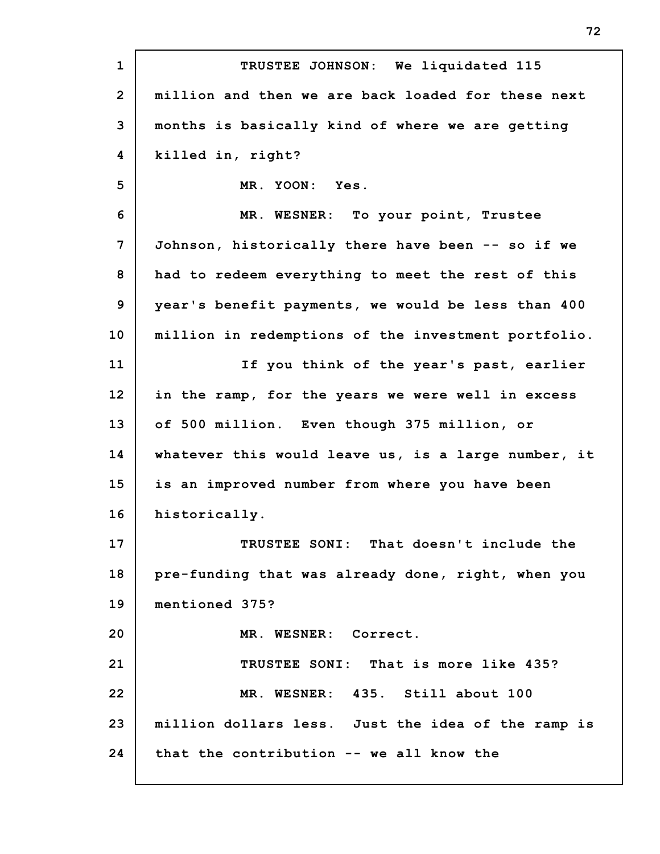**1 2 3 4 5 6 7 8 9 10 11 12 13 14 15 16 17 18 19 20 21 22 23 24 TRUSTEE JOHNSON: We liquidated 115 million and then we are back loaded for these next months is basically kind of where we are getting killed in, right? MR. YOON: Yes. MR. WESNER: To your point, Trustee Johnson, historically there have been -- so if we had to redeem everything to meet the rest of this year's benefit payments, we would be less than 400 million in redemptions of the investment portfolio. If you think of the year's past, earlier in the ramp, for the years we were well in excess of 500 million. Even though 375 million, or whatever this would leave us, is a large number, it is an improved number from where you have been historically. TRUSTEE SONI: That doesn't include the pre-funding that was already done, right, when you mentioned 375? MR. WESNER: Correct. TRUSTEE SONI: That is more like 435? MR. WESNER: 435. Still about 100 million dollars less. Just the idea of the ramp is that the contribution -- we all know the**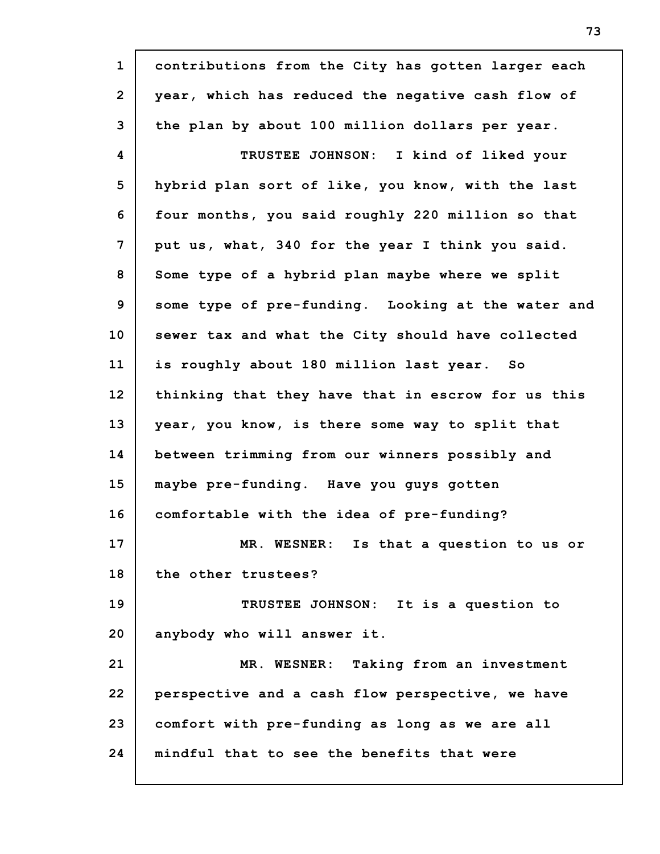| $\mathbf{1}$   | contributions from the City has gotten larger each |
|----------------|----------------------------------------------------|
| $\overline{2}$ | year, which has reduced the negative cash flow of  |
| 3              | the plan by about 100 million dollars per year.    |
| 4              | TRUSTEE JOHNSON: I kind of liked your              |
| 5              | hybrid plan sort of like, you know, with the last  |
| 6              | four months, you said roughly 220 million so that  |
| 7              | put us, what, 340 for the year I think you said.   |
| 8              | Some type of a hybrid plan maybe where we split    |
| 9              | some type of pre-funding. Looking at the water and |
| 10             | sewer tax and what the City should have collected  |
| 11             | is roughly about 180 million last year. So         |
| 12             | thinking that they have that in escrow for us this |
| 13             | year, you know, is there some way to split that    |
| 14             | between trimming from our winners possibly and     |
| 15             | maybe pre-funding. Have you guys gotten            |
| 16             | comfortable with the idea of pre-funding?          |
| 17             | MR. WESNER: Is that a question to us or            |
| 18             | the other trustees?                                |
| 19             | TRUSTEE JOHNSON: It is a question to               |
| 20             | anybody who will answer it.                        |
| 21             | MR. WESNER: Taking from an investment              |
| 22             | perspective and a cash flow perspective, we have   |
| 23             | comfort with pre-funding as long as we are all     |
| 24             | mindful that to see the benefits that were         |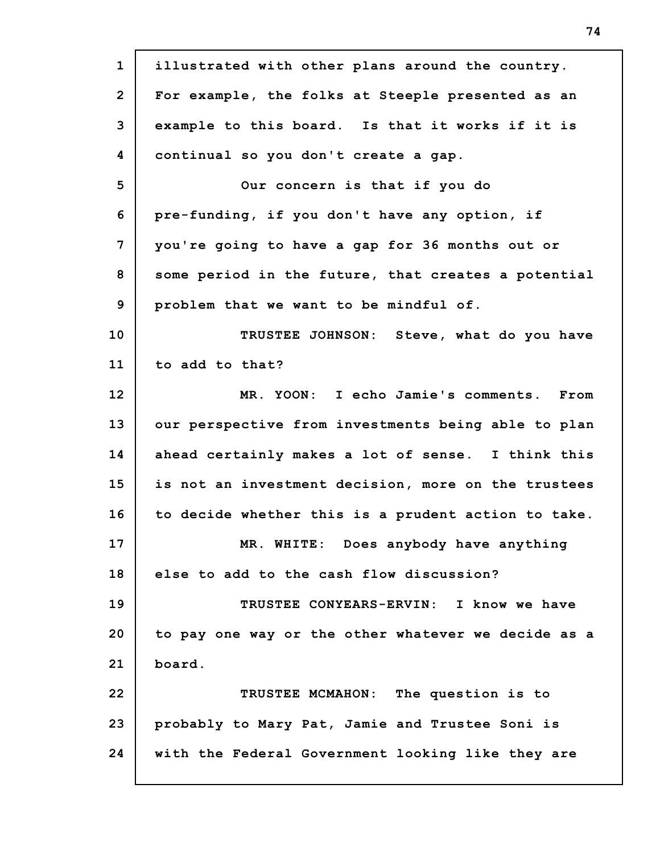**1 2 3 4 5 6 7 8 9 10 11 12 13 14 15 16 17 18 19 20 21 22 23 24 illustrated with other plans around the country. For example, the folks at Steeple presented as an example to this board. Is that it works if it is continual so you don't create a gap. Our concern is that if you do pre-funding, if you don't have any option, if you're going to have a gap for 36 months out or some period in the future, that creates a potential problem that we want to be mindful of. TRUSTEE JOHNSON: Steve, what do you have to add to that? MR. YOON: I echo Jamie's comments. From our perspective from investments being able to plan ahead certainly makes a lot of sense. I think this is not an investment decision, more on the trustees to decide whether this is a prudent action to take. MR. WHITE: Does anybody have anything else to add to the cash flow discussion? TRUSTEE CONYEARS-ERVIN: I know we have to pay one way or the other whatever we decide as a board. TRUSTEE MCMAHON: The question is to probably to Mary Pat, Jamie and Trustee Soni is with the Federal Government looking like they are**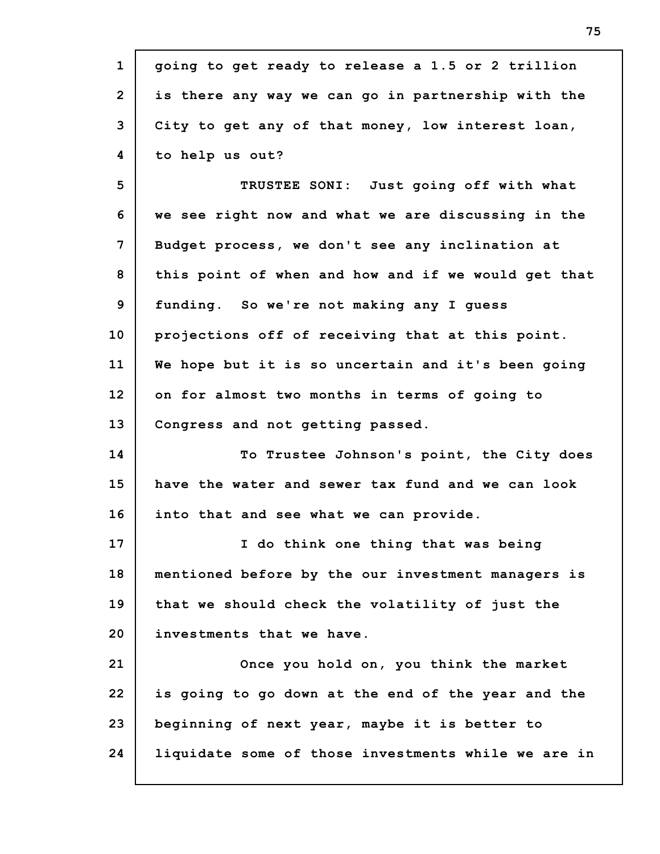| $\mathbf{1}$   |                                                     |
|----------------|-----------------------------------------------------|
|                | going to get ready to release a 1.5 or 2 trillion   |
| $\overline{2}$ | is there any way we can go in partnership with the  |
| 3              | City to get any of that money, low interest loan,   |
| 4              | to help us out?                                     |
| 5              | TRUSTEE SONI: Just going off with what              |
| 6              | we see right now and what we are discussing in the  |
| 7              | Budget process, we don't see any inclination at     |
| 8              | this point of when and how and if we would get that |
| 9              | funding. So we're not making any I guess            |
| 10             | projections off of receiving that at this point.    |
| 11             | We hope but it is so uncertain and it's been going  |
| 12             | on for almost two months in terms of going to       |
| 13             | Congress and not getting passed.                    |
| 14             | To Trustee Johnson's point, the City does           |
| 15             | have the water and sewer tax fund and we can look   |
| 16             | into that and see what we can provide.              |
| 17             | I do think one thing that was being                 |
| 18             | mentioned before by the our investment managers is  |
| 19             | that we should check the volatility of just the     |
| 20             | investments that we have.                           |
| 21             | Once you hold on, you think the market              |
| 22             | is going to go down at the end of the year and the  |
| 23             | beginning of next year, maybe it is better to       |
| 24             | liquidate some of those investments while we are in |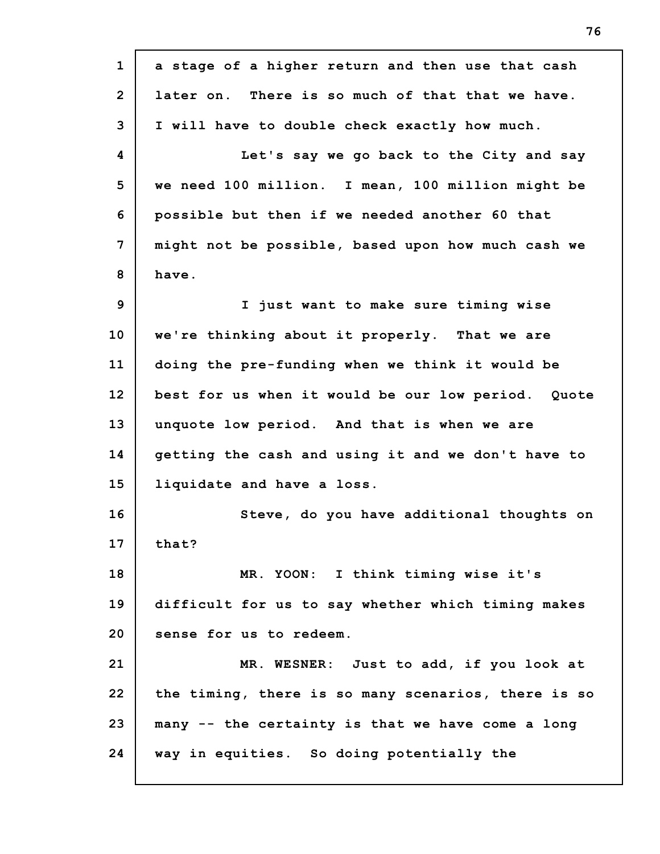| $\mathbf{1}$   | a stage of a higher return and then use that cash   |
|----------------|-----------------------------------------------------|
| $\overline{2}$ | later on. There is so much of that that we have.    |
| 3              | I will have to double check exactly how much.       |
| 4              | Let's say we go back to the City and say            |
| 5              | we need 100 million. I mean, 100 million might be   |
| 6              | possible but then if we needed another 60 that      |
| 7              | might not be possible, based upon how much cash we  |
| 8              | have.                                               |
| 9              | I just want to make sure timing wise                |
| 10             | we're thinking about it properly. That we are       |
| 11             | doing the pre-funding when we think it would be     |
| 12             | best for us when it would be our low period. Quote  |
| 13             | unquote low period. And that is when we are         |
| 14             | getting the cash and using it and we don't have to  |
| 15             | liquidate and have a loss.                          |
| 16             | Steve, do you have additional thoughts on           |
| 17             | that?                                               |
| 18             | MR. YOON: I think timing wise it's                  |
| 19             | difficult for us to say whether which timing makes  |
| 20             | sense for us to redeem.                             |
| 21             | MR. WESNER: Just to add, if you look at             |
| 22             | the timing, there is so many scenarios, there is so |
| 23             | many -- the certainty is that we have come a long   |
| 24             | way in equities. So doing potentially the           |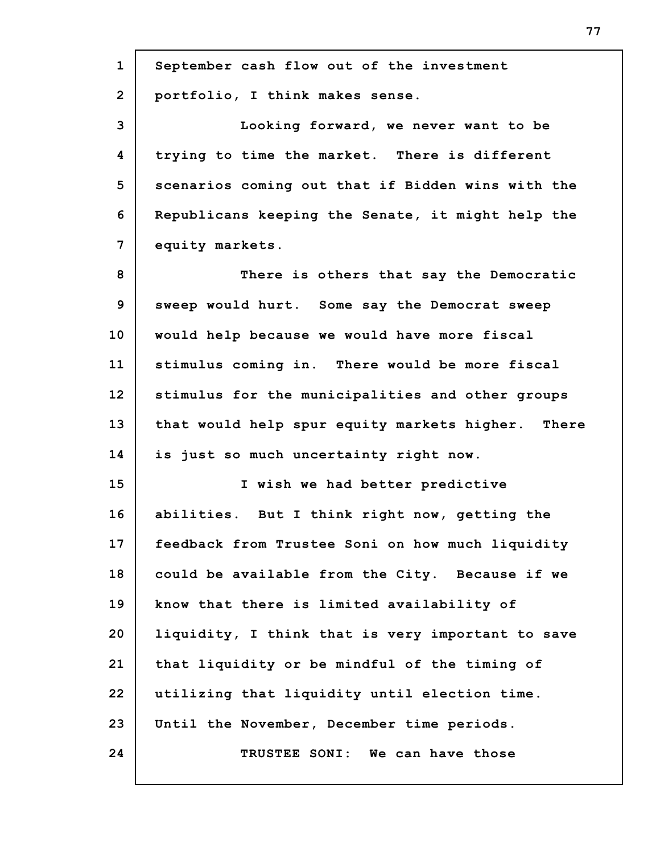| $\mathbf{1}$    | September cash flow out of the investment         |
|-----------------|---------------------------------------------------|
| $\overline{2}$  | portfolio, I think makes sense.                   |
| 3               | Looking forward, we never want to be              |
| 4               | trying to time the market. There is different     |
| 5               | scenarios coming out that if Bidden wins with the |
| 6               | Republicans keeping the Senate, it might help the |
| 7               | equity markets.                                   |
| 8               | There is others that say the Democratic           |
| 9               | sweep would hurt. Some say the Democrat sweep     |
| 10              | would help because we would have more fiscal      |
| 11              | stimulus coming in. There would be more fiscal    |
| 12 <sub>2</sub> | stimulus for the municipalities and other groups  |
| 13              | that would help spur equity markets higher. There |
| 14              | is just so much uncertainty right now.            |
| 15              | I wish we had better predictive                   |
| 16              | abilities. But I think right now, getting the     |
| 17              | feedback from Trustee Soni on how much liquidity  |
| 18              | could be available from the City. Because if we   |
| 19              | know that there is limited availability of        |
| 20              | liquidity, I think that is very important to save |
| 21              | that liquidity or be mindful of the timing of     |
| 22              | utilizing that liquidity until election time.     |
|                 |                                                   |
| 23              | Until the November, December time periods.        |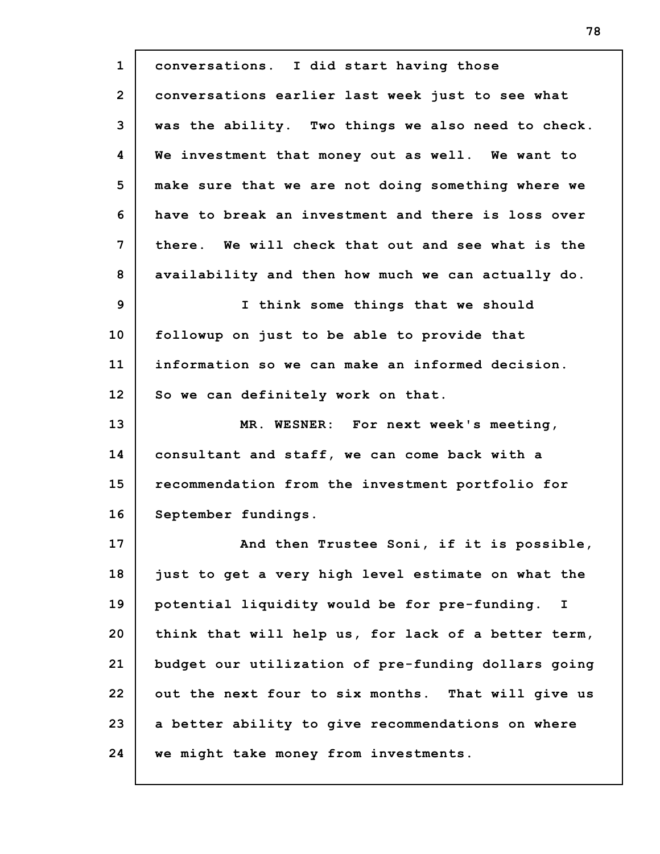**1 2 3 4 5 6 7 8 9 10 11 12 13 14 15 16 17 18 19 20 21 22 23 24 conversations. I did start having those conversations earlier last week just to see what was the ability. Two things we also need to check. We investment that money out as well. We want to make sure that we are not doing something where we have to break an investment and there is loss over there. We will check that out and see what is the availability and then how much we can actually do. I think some things that we should followup on just to be able to provide that information so we can make an informed decision. So we can definitely work on that. MR. WESNER: For next week's meeting, consultant and staff, we can come back with a recommendation from the investment portfolio for September fundings. And then Trustee Soni, if it is possible, just to get a very high level estimate on what the potential liquidity would be for pre-funding. I think that will help us, for lack of a better term, budget our utilization of pre-funding dollars going out the next four to six months. That will give us a better ability to give recommendations on where we might take money from investments.**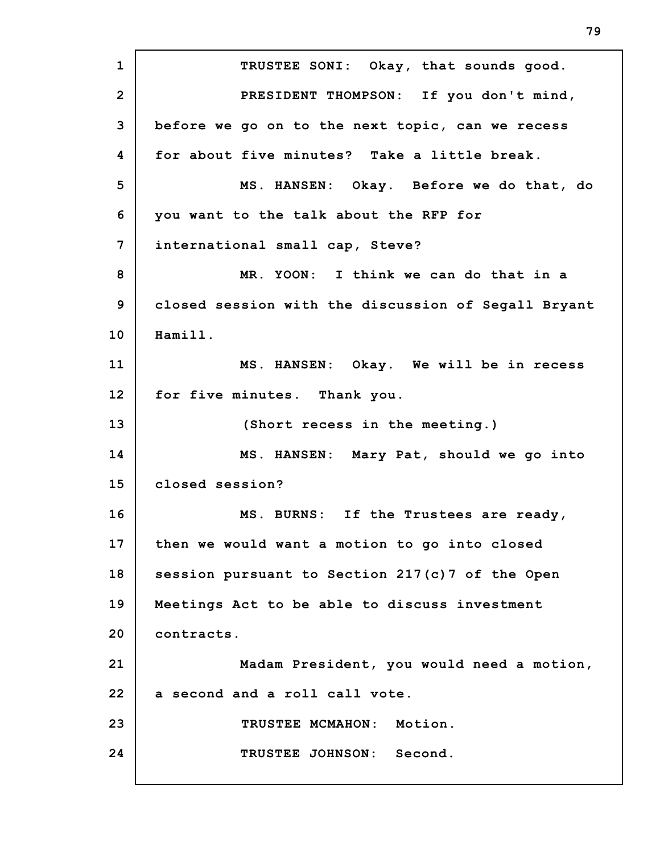**1 2 3 4 5 6 7 8 9 10 11 12 13 14 15 16 17 18 19 20 21 22 23 24 TRUSTEE SONI: Okay, that sounds good. PRESIDENT THOMPSON: If you don't mind, before we go on to the next topic, can we recess for about five minutes? Take a little break. MS. HANSEN: Okay. Before we do that, do you want to the talk about the RFP for international small cap, Steve? MR. YOON: I think we can do that in a closed session with the discussion of Segall Bryant Hamill. MS. HANSEN: Okay. We will be in recess for five minutes. Thank you. (Short recess in the meeting.) MS. HANSEN: Mary Pat, should we go into closed session? MS. BURNS: If the Trustees are ready, then we would want a motion to go into closed session pursuant to Section 217(c)7 of the Open Meetings Act to be able to discuss investment contracts. Madam President, you would need a motion, a second and a roll call vote. TRUSTEE MCMAHON: Motion. TRUSTEE JOHNSON: Second.**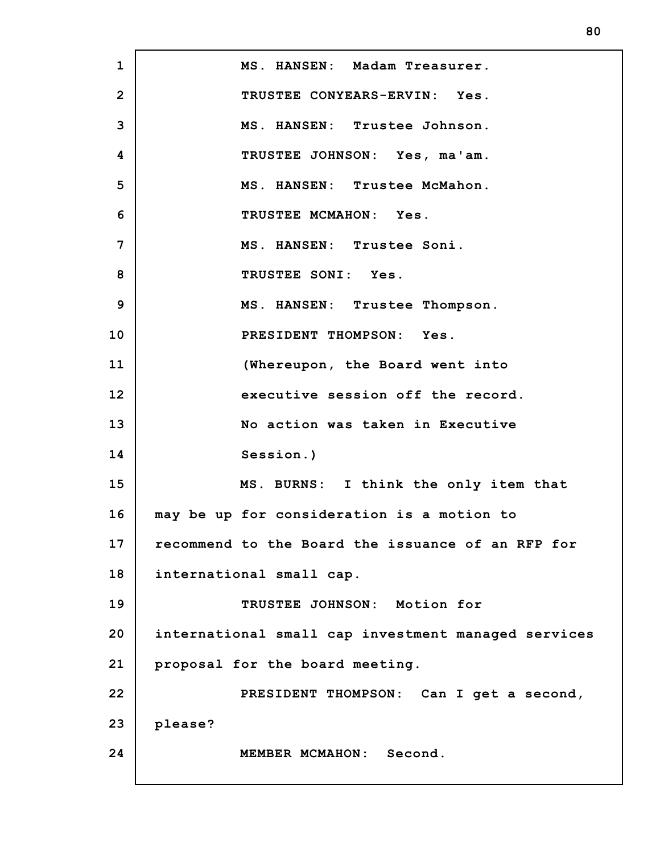**1 2 3 4 5 6 7 8 9 10 11 12 13 14 15 16 17 18 19 20 21 22 23 24 MS. HANSEN: Madam Treasurer. TRUSTEE CONYEARS-ERVIN: Yes. MS. HANSEN: Trustee Johnson. TRUSTEE JOHNSON: Yes, ma'am. MS. HANSEN: Trustee McMahon. TRUSTEE MCMAHON: Yes. MS. HANSEN: Trustee Soni. TRUSTEE SONI: Yes. MS. HANSEN: Trustee Thompson. PRESIDENT THOMPSON: Yes. (Whereupon, the Board went into executive session off the record. No action was taken in Executive Session.) MS. BURNS: I think the only item that may be up for consideration is a motion to recommend to the Board the issuance of an RFP for international small cap. TRUSTEE JOHNSON: Motion for international small cap investment managed services proposal for the board meeting. PRESIDENT THOMPSON: Can I get a second, please? MEMBER MCMAHON: Second.**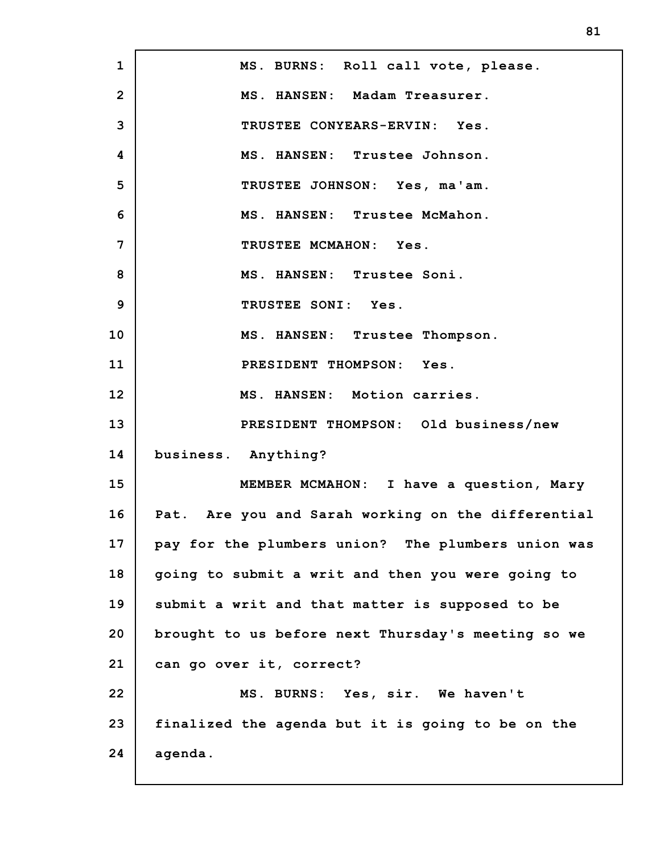**1 2 3 4 5 6 7 8 9 10 11 12 13 14 15 16 17 18 19 20 21 22 23 24 MS. BURNS: Roll call vote, please. MS. HANSEN: Madam Treasurer. TRUSTEE CONYEARS-ERVIN: Yes. MS. HANSEN: Trustee Johnson. TRUSTEE JOHNSON: Yes, ma'am. MS. HANSEN: Trustee McMahon. TRUSTEE MCMAHON: Yes. MS. HANSEN: Trustee Soni. TRUSTEE SONI: Yes. MS. HANSEN: Trustee Thompson. PRESIDENT THOMPSON: Yes. MS. HANSEN: Motion carries. PRESIDENT THOMPSON: Old business/new business. Anything? MEMBER MCMAHON: I have a question, Mary Pat. Are you and Sarah working on the differential pay for the plumbers union? The plumbers union was going to submit a writ and then you were going to submit a writ and that matter is supposed to be brought to us before next Thursday's meeting so we can go over it, correct? MS. BURNS: Yes, sir. We haven't finalized the agenda but it is going to be on the agenda.**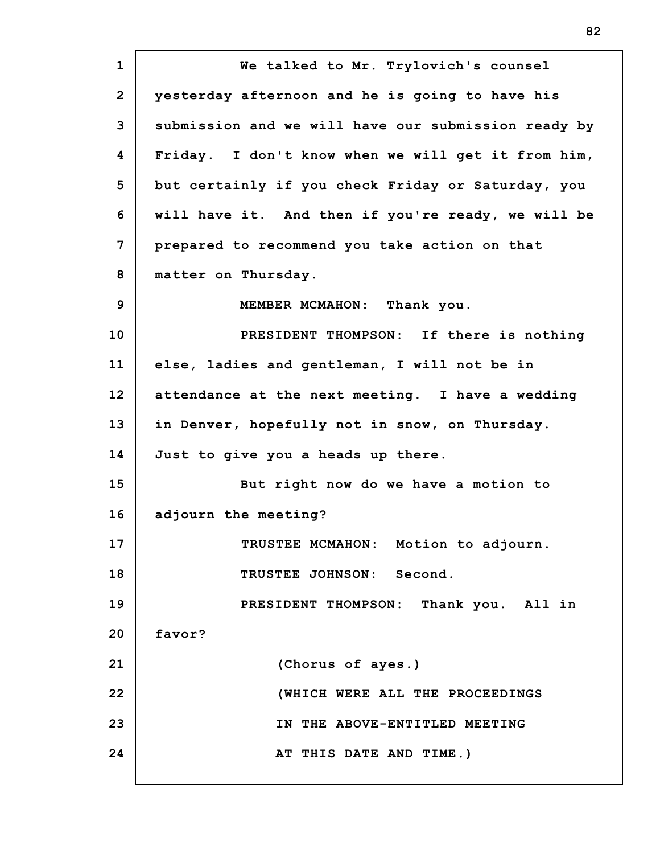**1 2 3 4 5 6 7 8 9 10 11 12 13 14 15 16 17 18 19 20 21 22 23 24 We talked to Mr. Trylovich's counsel yesterday afternoon and he is going to have his submission and we will have our submission ready by Friday. I don't know when we will get it from him, but certainly if you check Friday or Saturday, you will have it. And then if you're ready, we will be prepared to recommend you take action on that matter on Thursday. MEMBER MCMAHON: Thank you. PRESIDENT THOMPSON: If there is nothing else, ladies and gentleman, I will not be in attendance at the next meeting. I have a wedding in Denver, hopefully not in snow, on Thursday. Just to give you a heads up there. But right now do we have a motion to adjourn the meeting? TRUSTEE MCMAHON: Motion to adjourn. TRUSTEE JOHNSON: Second. PRESIDENT THOMPSON: Thank you. All in favor? (Chorus of ayes.) (WHICH WERE ALL THE PROCEEDINGS IN THE ABOVE-ENTITLED MEETING AT THIS DATE AND TIME.)**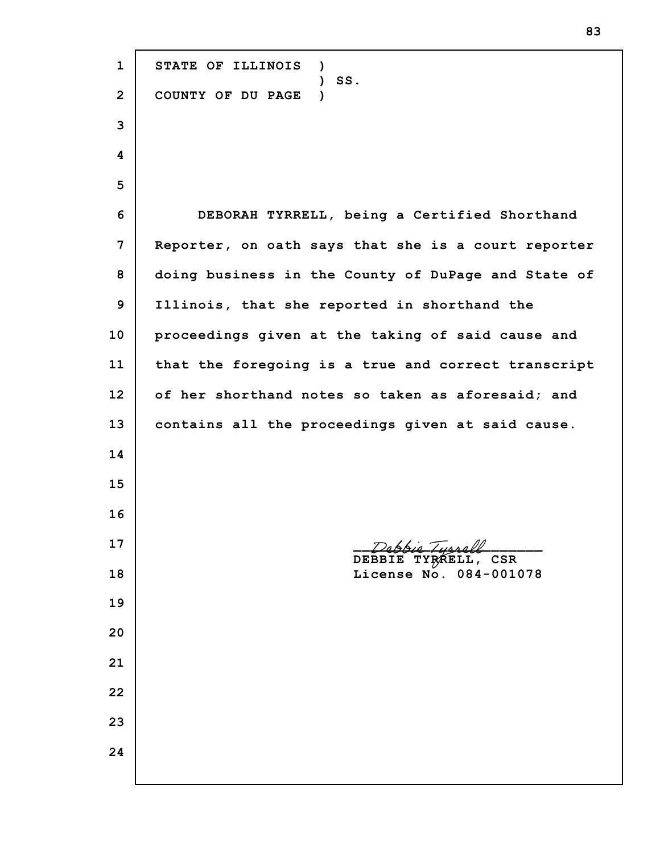**STATE OF ILLINOIS ) ) SS. COUNTY OF DU PAGE ) DEBORAH TYRRELL, being a Certified Shorthand Reporter, on oath says that she is a court reporter doing business in the County of DuPage and State of Illinois, that she reported in shorthand the proceedings given at the taking of said cause and that the foregoing is a true and correct transcript of her shorthand notes so taken as aforesaid; and contains all the proceedings given at said cause.**  $44.7$  Tunnall **DEBBIE TYRRELL, CSR License No. 084-001078**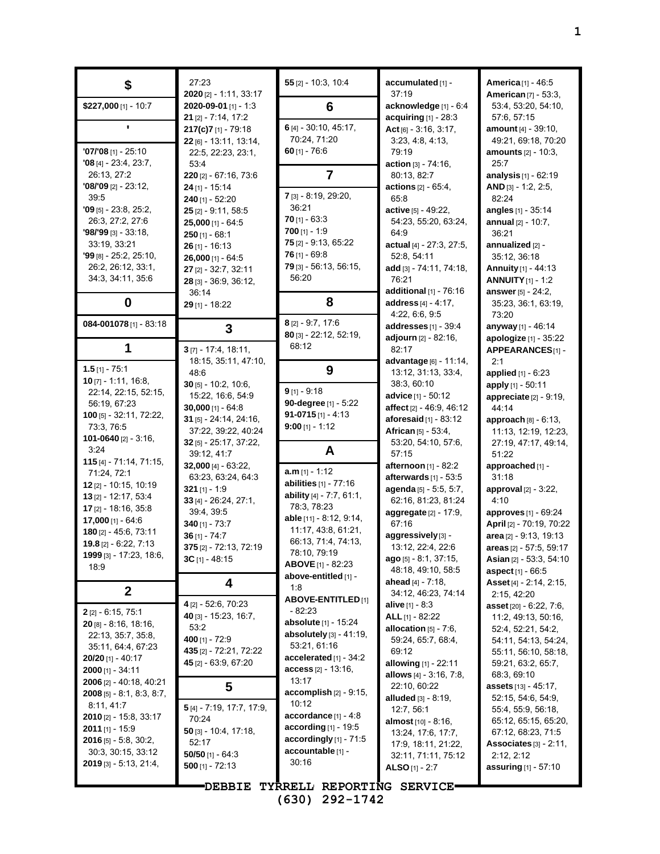| \$                                                     | 27:23<br>$2020$ [2] - 1:11, 33:17             | $55$ [2] - 10:3, 10:4                                | accumulated [1] -<br>37:19                             | America <sup>[1]</sup> - 46:5<br><b>American [7] - 53:3,</b> |
|--------------------------------------------------------|-----------------------------------------------|------------------------------------------------------|--------------------------------------------------------|--------------------------------------------------------------|
| \$227,000 [1] - 10:7                                   | 2020-09-01 [1] - 1:3<br>$21$ [2] - 7:14, 17:2 | 6                                                    | acknowledge [1] - 6:4<br>acquiring $[1] - 28:3$        | 53.4, 53.20, 54.10,<br>57:6, 57:15                           |
|                                                        | 217(c)7[1] - 79:18                            | 6 [4] - 30:10, 45:17,                                | Act $[6] - 3.16, 3.17,$                                | amount [4] - 39:10,                                          |
| $'07/'08$ [1] - 25:10                                  | 22 [6] - 13:11, 13:14,<br>22:5, 22:23, 23:1,  | 70:24, 71:20<br>$60$ [1] - 76:6                      | 3:23, 4:8, 4:13,<br>79:19                              | 49:21, 69:18, 70:20<br>amounts [2] - 10:3,                   |
| $'08$ [4] - 23:4, 23:7,                                | 53:4                                          |                                                      | action [3] - 74:16,                                    | 25:7                                                         |
| 26:13, 27:2<br>$'08/'09$ [2] - 23:12,                  | 220 [2] - 67:16, 73:6<br>24 [1] - 15:14       | $\overline{7}$                                       | 80:13, 82:7<br>actions [2] - 65:4,                     | analysis [1] - 62:19<br>AND $[3] - 1:2, 2:5,$                |
| 39:5                                                   | 240 [1] - 52:20                               | 7 [3] - 8:19, 29:20,                                 | 65.8                                                   | 82:24                                                        |
| $'09$ [5] - 23:8, 25:2,                                | $25$ [2] - 9:11, 58:5                         | 36:21<br>$70$ [1] - 63:3                             | active [5] - 49:22,                                    | angles [1] - 35:14                                           |
| 26:3, 27:2, 27:6<br>$'98/'99$ [3] - 33:18,             | $25,000$ [1] - 64:5<br>$250$ [1] - 68:1       | $700$ [1] - 1:9                                      | 54:23, 55:20, 63:24,<br>64:9                           | annual [2] - 10:7,<br>36:21                                  |
| 33:19, 33:21                                           | $26$ [1] - 16:13                              | 75 [2] - 9:13, 65:22                                 | actual [4] - 27:3, 27:5,                               | annualized [2] -                                             |
| $'99$ [8] - 25:2, 25:10,<br>26:2, 26:12, 33:1,         | $26,000$ [1] - 64:5                           | $76$ [1] - 69:8<br>79 [3] - 56:13, 56:15,            | 52:8, 54:11<br>add [3] - 74:11, 74:18,                 | 35:12, 36:18<br>Annuity [1] - 44:13                          |
| 34:3, 34:11, 35:6                                      | 27 [2] - 32:7, 32:11<br>28 [3] - 36:9, 36:12, | 56:20                                                | 76:21                                                  | <b>ANNUITY</b> [1] - 1:2                                     |
|                                                        | 36:14                                         |                                                      | additional $[1]$ - 76:16                               | answer [5] - 24:2,                                           |
| 0                                                      | 29 [1] - 18:22                                | 8                                                    | address [4] - 4:17,<br>4:22, 6:6, 9:5                  | 35:23, 36:1, 63:19,<br>73:20                                 |
| 084-001078 $[1]$ - 83:18                               | 3                                             | $8$ [2] - 9:7, 17:6                                  | addresses [1] - 39:4                                   | anyway [1] - 46:14                                           |
| 1                                                      | $3$ [7] - 17:4, 18:11,                        | 80 [3] - 22:12, 52:19,<br>68:12                      | adjourn [2] - 82:16,<br>82:17                          | apologize [1] - 35:22                                        |
|                                                        | 18:15, 35:11, 47:10,                          |                                                      | advantage [6] - 11:14,                                 | APPEARANCES[1] -<br>2:1                                      |
| $1.5$ [1] - 75:1<br><b>10</b> $[7]$ - 1:11, 16:8,      | 48:6                                          | 9                                                    | 13:12, 31:13, 33.4,                                    | applied [1] - 6:23                                           |
| 22:14, 22:15, 52:15,                                   | $30$ [5] - 10:2, 10:6,<br>15:22, 16:6, 54:9   | $9$ [1] - 9:18                                       | 38:3, 60:10<br><b>advice</b> [1] - 50:12               | apply [1] - 50:11<br>appreciate [2] - 9:19,                  |
| 56:19, 67:23                                           | $30,000$ [1] - 64:8                           | 90-degree [1] - 5:22                                 | affect $[2] - 46.9, 46.12$                             | 44:14                                                        |
| $100$ [5] - 32:11, 72:22,<br>73:3, 76:5                | 31 [5] - 24:14, 24:16,                        | 91-0715 $[1] - 4:13$<br>$9:00$ [1] - 1:12            | aforesaid $[1]$ - 83:12                                | approach [8] - 6:13,                                         |
| 101-0640 $[2] - 3:16$                                  | 37:22, 39:22, 40:24<br>32 [5] - 25:17, 37:22, |                                                      | African [5] - 53:4,<br>53:20, 54:10, 57:6,             | 11:13, 12:19, 12:23,<br>27:19, 47:17, 49:14,                 |
| 3:24<br>$115$ [4] - 71:14, 71:15,                      | 39:12, 41:7                                   | A                                                    | 57:15                                                  | 51:22                                                        |
| 71:24, 72:1                                            | $32,000$ [4] - 63:22,<br>63:23, 63:24, 64:3   | $a.m$ [1] - 1:12                                     | <b>afternoon</b> [1] - 82:2<br>afterwards $[1]$ - 53:5 | approached [1] -<br>31:18                                    |
| 12 [2] - 10:15, 10:19                                  | $321$ [1] - 1:9                               | abilities $[1]$ - $77:16$                            | agenda [5] - 5:5, 5:7,                                 | approval $[2] - 3:22$ ,                                      |
| 13 [2] - 12:17, 53:4<br>17 [2] - 18:16, 35:8           | 33 [4] - 26:24, 27:1,                         | ability [4] - 7:7, 61:1,<br>78:3, 78:23              | 62:16, 81:23, 81:24                                    | 4:10                                                         |
| $17,000$ [1] - 64:6                                    | 39:4, 39:5<br>$340$ [1] - 73:7                | able [11] - 8:12, 9:14,                              | aggregate [2] - 17:9,<br>67:16                         | approves [1] - 69:24<br>April [2] - 70:19, 70:22             |
| 180 [2] - 45:6, 73:11                                  | $36$ [1] - 74:7                               | 11:17, 43:8, 61:21,<br>66:13, 71:4, 74:13,           | aggressively [3] -                                     | area [2] - 9:13, 19:13                                       |
| 19.8 [2] - 6:22, 7:13<br>1999 [3] - 17:23, 18:6,       | 375 [2] - 72:13, 72:19<br>$3C$ [1] - 48:15    | 78:10, 79:19                                         | 13.12, 22.4, 22.6<br>$ago$ [5] - 8:1, 37:15,           | areas [2] - 57:5, 59:17<br>Asian [2] - 53:3, 54:10           |
| 18:9                                                   |                                               | <b>ABOVE</b> [1] - 82:23                             | 48:18, 49:10, 58:5                                     | aspect [1] - 66:5                                            |
| $\mathbf{2}$                                           | 4                                             | above-entitled [1] -<br>1:8                          | ahead $[4] - 7:18$ ,<br>34:12, 46:23, 74:14            | Asset [4] - 2:14, 2:15,                                      |
|                                                        | 4 [2] - 52:6, 70:23                           | <b>ABOVE-ENTITLED</b> [1]                            | <b>alive</b> $[1] - 8:3$                               | 2:15, 42:20<br>asset [20] - 6:22, 7:6,                       |
| $2$ [2] - 6:15, 75:1<br><b>20</b> $[8]$ - 8:16, 18:16, | 40 [3] - 15:23, 16:7,                         | - 82:23<br><b>absolute</b> [1] - 15:24               | ALL [1] - 82:22                                        | 11:2, 49:13, 50:16,                                          |
| 22:13, 35:7, 35:8,                                     | 53:2<br>400 [1] - 72:9                        | absolutely [3] - 41:19,                              | allocation $[5] - 7:6$ ,<br>59:24, 65:7, 68:4,         | 52.4, 52.21, 54.2,<br>54:11, 54:13, 54:24,                   |
| 35:11, 64:4, 67:23<br>$20/20$ [1] - 40:17              | 435 [2] - 72:21, 72:22                        | 53:21, 61:16<br>accelerated $[1]$ - 34:2             | 69:12                                                  | 55:11, 56:10, 58:18,                                         |
| $2000$ [1] - 34:11                                     | 45 [2] - 63.9, 67:20                          | $\arcces$ $[2] - 13:16$ ,                            | <b>allowing</b> [1] - 22:11                            | 59.21, 63.2, 65.7,<br>68:3, 69:10                            |
| 2006 [2] - 40:18, 40:21                                | 5                                             | 13:17                                                | allows [4] - 3:16, 7:8,<br>22:10, 60:22                | <b>assets</b> [13] - 45:17,                                  |
| <b>2008</b> [5] $- 8.1, 8.3, 8.7,$<br>8.11, 41.7       |                                               | $\alpha$ ccomplish [2] - 9:15,<br>10:12              | alluded [3] - 8:19,                                    | 52.15, 54.6, 54.9,                                           |
| 2010 [2] - 15:8, 33:17                                 | 5 [4] - 7:19, 17:7, 17:9,<br>70:24            | $accordance$ [1] - 4:8                               | 12:7, 56:1<br><b>almost</b> $[10] - 8.16$ ,            | 55.4, 55.9, 56.18,<br>65:12, 65:15, 65:20,                   |
| <b>2011</b> [1] - 15:9                                 | 50 [3] - 10:4, 17:18,                         | according $[1]$ - 19:5<br>accordingly $[1]$ - $71.5$ | 13:24, 17:6, 17:7,                                     | 67:12, 68:23, 71:5                                           |
| <b>2016</b> [5] - 5:8, 30:2,<br>30.3, 30.15, 33.12     | 52:17<br>$50/50$ [1] - 64:3                   | accountable [1] -                                    | 17:9, 18:11, 21:22,<br>32:11, 71:11, 75:12             | Associates $[3] - 2:11$ ,<br>2:12, 2:12                      |
| $2019$ [3] - 5:13, 21:4,                               | $500$ [1] - 72:13                             | 30:16                                                | <b>ALSO</b> [1] - 2:7                                  | assuring [1] - 57:10                                         |
|                                                        | <b>DEBBIE</b>                                 | TYRRELL REPORTING SERVICE.                           |                                                        |                                                              |
|                                                        |                                               | 292-1742<br>(630)                                    |                                                        |                                                              |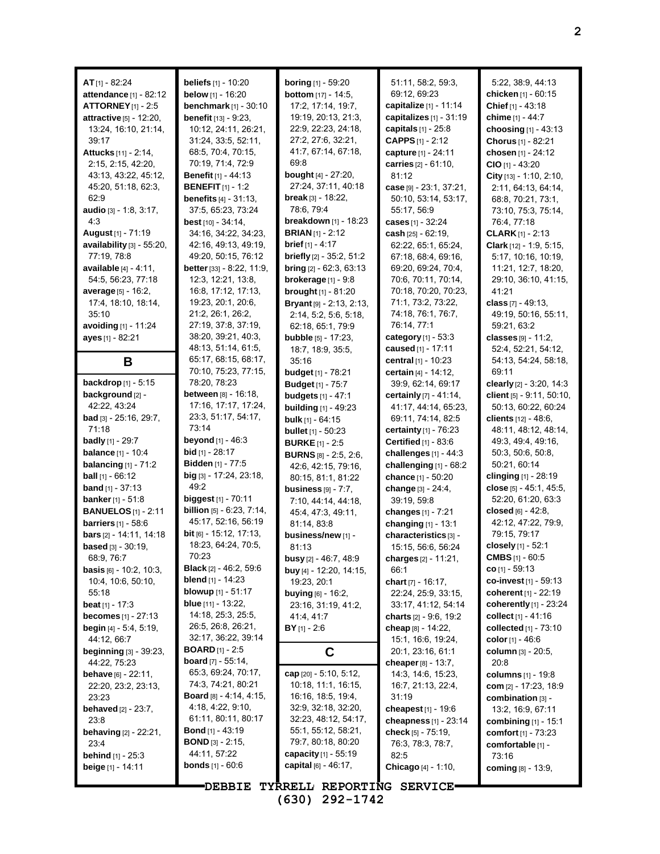| $AT_{[1]} - 82:24$                                         | beliefs [1] - 10:20<br>below $[1] - 16:20$          | <b>boring</b> [1] - 59:20<br><b>bottom</b> $[17] - 14:5$ , | 51:11, 58:2, 59:3,<br>69.12, 69.23                     | 5.22, 38.9, 44.13<br>chicken [1] - 60:15      |
|------------------------------------------------------------|-----------------------------------------------------|------------------------------------------------------------|--------------------------------------------------------|-----------------------------------------------|
| <b>attendance</b> [1] - 82:12<br><b>ATTORNEY</b> [1] - 2:5 | <b>benchmark</b> [1] - 30:10                        | 17:2, 17:14, 19:7,                                         | capitalize [1] - 11:14                                 | Chief [1] - 43:18                             |
| attractive [5] - 12:20,                                    | benefit [13] - 9:23,                                | 19:19, 20:13, 21:3,                                        | capitalizes [1] - 31:19                                | chime [1] - 44:7                              |
| 13:24, 16:10, 21:14,                                       | 10:12, 24:11, 26:21,                                | 22:9, 22:23, 24:18,                                        | capitals [1] - 25:8                                    | choosing [1] - 43:13                          |
| 39:17                                                      | 31:24, 33:5, 52:11,                                 | 27:2, 27:6, 32:21,                                         | <b>CAPPS</b> $[1]$ - 2:12                              | Chorus [1] - 82:21                            |
| <b>Attucks</b> [11] - 2:14,                                | 68:5, 70:4, 70:15,                                  | 41:7, 67:14, 67:18,                                        | capture [1] - 24:11                                    | chosen [1] - 24:12                            |
| 2:15, 2:15, 42:20,                                         | 70:19, 71:4, 72:9                                   | 69:8                                                       | carries $[2] - 61:10$ ,                                | $CIO$ [1] - 43:20                             |
| 43:13, 43:22, 45:12,                                       | <b>Benefit</b> [1] - 44:13                          | <b>bought</b> $[4] - 27:20$ ,                              | 81:12                                                  | City $[13] - 1:10, 2:10,$                     |
| 45:20, 51:18, 62:3,                                        | <b>BENEFIT</b> [1] - 1:2                            | 27:24, 37:11, 40:18                                        | <b>case</b> [9] - 23:1, 37:21,                         | 2:11, 64:13, 64:14,                           |
| 62.9                                                       | <b>benefits</b> $[4] - 31:13$ ,                     | <b>break</b> $[3] - 18:22$                                 | 50:10, 53:14, 53:17,                                   | 68:8, 70:21, 73:1,                            |
| <b>audio</b> $[3] - 1.8, 3.17,$                            | 37:5, 65:23, 73:24                                  | 78:6, 79:4                                                 | 55:17, 56:9                                            | 73:10, 75:3, 75:14,                           |
| 4:3                                                        | <b>best</b> $[10] - 34:14$ ,                        | <b>breakdown</b> $[1]$ - 18:23                             | <b>cases</b> [1] - 32:24                               | 76.4, 77.18                                   |
| August [1] - 71:19                                         | 34:16, 34:22, 34:23,                                | <b>BRIAN</b> $[1]$ - 2:12                                  | cash $[25] - 62:19$ ,                                  | <b>CLARK</b> $[1] - 2:13$                     |
| availability [3] - 55:20,                                  | 42:16, 49:13, 49:19,                                | <b>brief</b> $[1] - 4:17$                                  | 62:22, 65:1, 65:24,                                    | Clark [12] - 1:9, 5:15,                       |
| 77:19, 78:8                                                | 49:20, 50:15, 76:12                                 | <b>briefly</b> $[2]$ - 35:2, 51:2                          | 67:18, 68:4, 69:16,                                    | 5:17, 10:16, 10:19,                           |
| <b>available</b> $[4] - 4:11$ ,                            | <b>better</b> [33] $-8.22$ , 11:9,                  | <b>bring</b> $[2] - 62.3, 63.13$                           | 69:20, 69:24, 70:4,                                    | 11:21, 12:7, 18:20,                           |
| 54:5, 56:23, 77:18                                         | 12.3, 12:21, 13:8,                                  | brokerage $[1]$ - $9.8$                                    | 70.6, 70.11, 70.14,                                    | 29:10, 36:10, 41:15,                          |
| average [5] - 16:2,                                        | 16.8, 17:12, 17:13,                                 | <b>brought</b> $[1] - 81:20$                               | 70:18, 70:20, 70:23,                                   | 41:21                                         |
| 17:4, 18:10, 18:14,                                        | 19:23, 20:1, 20:6,                                  | Bryant [9] - 2:13, 2:13,                                   | 71:1, 73:2, 73:22,                                     | class $[7] - 49:13$ ,                         |
| 35:10                                                      | 21:2, 26:1, 26:2,                                   | 2:14, 5:2, 5:6, 5:18,                                      | 74:18, 76:1, 76:7,                                     | 49:19, 50:16, 55:11,                          |
| avoiding [1] - 11:24                                       | 27:19, 37:8, 37:19,                                 | 62:18, 65:1, 79:9                                          | 76:14, 77:1                                            | 59:21, 63:2                                   |
| ayes [1] - 82:21                                           | 38:20, 39:21, 40:3,                                 | <b>bubble</b> $[5]$ - 17:23,                               | category [1] - 53:3                                    | classes $[9] - 11:2$ ,                        |
|                                                            | 48:13, 51:14, 61:5,                                 | 18:7, 18:9, 35:5,                                          | caused [1] - 17:11                                     | 52:4, 52:21, 54:12,                           |
| В                                                          | 65:17, 68:15, 68:17,                                | 35:16                                                      | central [1] - 10:23                                    | 54:13, 54:24, 58:18,                          |
|                                                            | 70:10, 75:23, 77:15,                                | <b>budget</b> [1] - 78:21                                  | certain [4] - 14:12,                                   | 69:11                                         |
| <b>backdrop</b> [1] - 5:15                                 | 78:20, 78:23                                        | <b>Budget</b> [1] - 75:7                                   | 39.9, 62.14, 69.17                                     | clearly $[2] - 3.20, 14.3$                    |
| background [2] -                                           | <b>between</b> [8] - 16:18,<br>17:16, 17:17, 17:24, | <b>budgets</b> [1] - 47:1                                  | certainly [7] - 41:14,                                 | client [5] - 9:11, 50:10,                     |
| 42:22, 43:24                                               | 23:3, 51:17, 54:17,                                 | <b>building</b> $[1] - 49:23$                              | 41:17, 44:14, 65:23,                                   | 50:13, 60:22, 60:24                           |
| bad [3] - 25:16, 29:7,<br>71:18                            | 73:14                                               | bulk [1] - 64:15                                           | 69:11, 74:14, 82:5                                     | clients [12] - 48:6,                          |
| <b>badly</b> [1] - 29:7                                    | <b>beyond</b> $[1] - 46.3$                          | <b>bullet</b> [1] - 50:23                                  | <b>certainty</b> $[1]$ - 76:23<br>Certified [1] - 83:6 | 48:11, 48:12, 48:14,<br>49.3, 49.4, 49.16,    |
| <b>balance</b> [1] - 10:4                                  | <b>bid</b> [1] - 28:17                              | <b>BURKE</b> $[1] - 2.5$<br><b>BURNS</b> $[8]$ - 2:5, 2:6, | challenges $[1] - 44:3$                                | 50:3, 50:6, 50:8,                             |
| balancing $[1]$ - $71:2$                                   | <b>Bidden</b> [1] - 77:5                            | 42:6, 42:15, 79:16,                                        | challenging $[1]$ - $68:2$                             | 50:21, 60:14                                  |
| <b>ball</b> $[1] - 66:12$                                  | big [3] - 17:24, 23:18,                             | 80:15, 81:1, 81:22                                         | chance [1] - 50:20                                     | clinging [1] - 28:19                          |
| <b>band</b> $[1]$ - 37:13                                  | 49:2                                                | business $[9] - 7:7$ ,                                     | change [3] - 24:4,                                     | close $[5] - 45:1, 45:5,$                     |
| <b>banker</b> [1] - 51:8                                   | <b>biggest</b> [1] - 70:11                          | 7:10, 44:14, 44:18,                                        | 39:19, 59:8                                            | 52:20, 61:20, 63:3                            |
| <b>BANUELOS</b> [1] - 2:11                                 | <b>billion</b> [5] - 6:23, 7:14,                    | 45:4, 47:3, 49:11,                                         | changes [1] - 7:21                                     | closed $[6] - 42:8$ ,                         |
| barriers $[1]$ - 58:6                                      | 45:17, 52:16, 56:19                                 | 81:14, 83:8                                                | changing [1] - 13:1                                    | 42:12, 47:22, 79:9,                           |
| <b>bars</b> $[2] - 14:11, 14:18$                           | bit [6] - 15:12, 17:13,                             | business/new [1] -                                         | characteristics [3] -                                  | 79:15, 79:17                                  |
| <b>based</b> $[3] - 30:19$ ,                               | 18:23, 64:24, 70:5,                                 | 81:13                                                      | 15:15, 56:6, 56:24                                     | closely [1] - 52:1                            |
| 68:9, 76:7                                                 | 70.23                                               | busy [2] - 46:7, 48:9                                      | charges [2] - 11:21,                                   | <b>CMBS</b> $[1]$ - 60:5                      |
| <b>basis</b> $[6] - 10.2, 10.3,$                           | <b>Black</b> [2] - 46:2, 59:6                       | buy [4] - 12:20, 14:15,                                    | 66:1                                                   | $co$ [1] - 59:13                              |
| 10:4, 10:6, 50:10,                                         | <b>blend</b> $[1]$ - 14:23                          | 19:23, 20:1                                                | chart [7] - 16:17,                                     | co-invest $[1]$ - 59:13                       |
| 55:18                                                      | <b>blowup</b> $[1]$ - 51:17                         | <b>buying</b> $[6] - 16:2$ ,                               | 22:24, 25:9, 33:15,                                    | coherent [1] - 22:19                          |
| <b>beat</b> $[1]$ - 17:3                                   | <b>blue</b> [11] - 13:22,                           | 23:16, 31:19, 41:2,                                        | 33:17, 41:12, 54:14                                    | coherently [1] - 23:24                        |
| <b>becomes</b> $[1]$ - 27:13                               | 14:18, 25:3, 25:5,<br>26.5, 26.8, 26.21,            | 41.4, 41.7                                                 | charts $[2] - 9.6, 19.2$                               | collect $[1] - 41:16$                         |
| <b>begin</b> $[4]$ - 5:4, 5:19,<br>44:12, 66:7             | 32:17, 36:22, 39:14                                 | $BY$ <sub>[1]</sub> - 2:6                                  | <b>cheap</b> [8] - 14:22,<br>15:1, 16:6, 19:24,        | collected $[1]$ - 73:10<br>color $[1] - 46.6$ |
| <b>beginning</b> [3] - 39:23,                              | <b>BOARD</b> $[1]$ - 2:5                            | C                                                          | 20:1, 23:16, 61:1                                      | column [3] - 20:5,                            |
| 44:22, 75:23                                               | <b>board</b> $[7]$ - 55:14,                         |                                                            | cheaper $[8] - 13:7$ ,                                 | 20:8                                          |
| <b>behave</b> $[6] - 22:11$ ,                              | 65.3, 69.24, 70.17,                                 | cap $[20] - 5:10, 5:12$                                    | 14.3, 14.6, 15.23,                                     | columns [1] - 19:8                            |
| 22:20, 23:2, 23:13,                                        | 74:3, 74:21, 80:21                                  | 10:18, 11:1, 16:15,                                        | 16.7, 21.13, 22.4,                                     | com $[2] - 17:23, 18:9$                       |
| 23:23                                                      | <b>Board</b> $[8] - 4.14, 4.15,$                    | 16:16, 18:5, 19:4,                                         | 31:19                                                  | combination [3] -                             |
| <b>behaved</b> $[2] - 23:7$ ,                              | 4:18, 4:22, 9:10,                                   | 32.9, 32.18, 32.20,                                        | cheapest [1] - 19:6                                    | 13:2, 16:9, 67:11                             |
| 23.8                                                       | 61:11, 80:11, 80:17                                 | 32:23, 48:12, 54:17,                                       | cheapness [1] - 23:14                                  | <b>combining</b> $[1] - 15:1$                 |
| <b>behaving</b> $[2] - 22:21$ ,                            | <b>Bond</b> [1] - 43:19                             | 55:1, 55:12, 58:21,                                        | <b>check</b> [5] - 75:19,                              | <b>comfort</b> $[1]$ - 73:23                  |
| 23:4                                                       | <b>BOND</b> [3] - 2:15,                             | 79:7, 80:18, 80:20                                         | 76:3, 78:3, 78:7,                                      | comfortable [1] -                             |
| <b>behind</b> $[1] - 25.3$                                 | 44:11, 57:22                                        | capacity $[1] - 55:19$                                     | 82:5                                                   | 73:16                                         |
| beige [1] - 14:11                                          | <b>bonds</b> $[1]$ - $60:6$                         | capital $[6] - 46:17$ ,                                    | Chicago [4] - 1:10,                                    | coming $[8] - 13.9$ ,                         |
|                                                            | <b>DEBBIE</b>                                       | TYRRELL REPORTING SERVICE.                                 |                                                        |                                               |

**(630) 292-1742**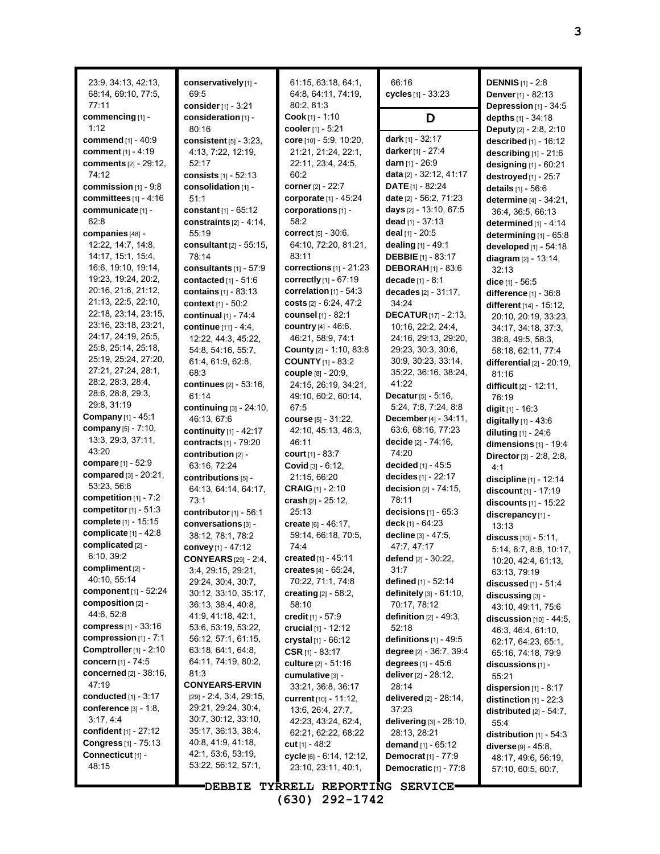| 23:9, 34:13, 42:13,<br>68:14, 69:10, 77:5,<br>77:11         | conservatively[1] -<br>69:5<br>consider [1] - 3:21 | 61:15, 63:18, 64:1,<br>64:8, 64:11, 74:19,<br>80:2, 81:3 | 66:16<br>cycles $[1] - 33:23$                      | <b>DENNIS</b> [1] - 2:8<br>Denver [1] - 82:13<br>Depression [1] - 34:5 |
|-------------------------------------------------------------|----------------------------------------------------|----------------------------------------------------------|----------------------------------------------------|------------------------------------------------------------------------|
| commencing [1] -                                            | consideration [1] -                                | Cook [1] - 1:10                                          | D                                                  | depths [1] - 34:18                                                     |
| 1:12                                                        | 80:16                                              | cooler [1] - 5:21                                        |                                                    | Deputy [2] - 2:8, 2:10                                                 |
| <b>commend</b> [1] - 40:9<br>comment $[1] - 4:19$           | consistent $[5]$ - 3:23,<br>4:13, 7:22, 12:19,     | core [10] - 5:9, 10:20,<br>21:21, 21:24, 22:1,           | dark [1] - 32:17<br>darker [1] - 27:4              | described [1] - 16:12<br>describing $[1]$ - 21:6                       |
| <b>comments</b> [2] - 29:12,                                | 52:17                                              | 22:11, 23:4, 24:5,                                       | <b>darn</b> $[1]$ - 26:9                           | designing [1] - 60:21                                                  |
| 74:12                                                       | consists [1] - 52:13                               | 60:2                                                     | data [2] - 32:12, 41:17                            | destroyed [1] - 25:7                                                   |
| commission $[1]$ - $9:8$                                    | consolidation [1] -                                | corner [2] - 22:7                                        | <b>DATE</b> $[1]$ - 82:24                          | details [1] - 56:6                                                     |
| committees $[1] - 4:16$                                     | 51:1                                               | corporate [1] - 45:24                                    | date [2] - 56:2, 71:23                             | determine [4] - 34:21,                                                 |
| communicate [1] -                                           | constant $[1] - 65:12$                             | corporations [1] -                                       | days [2] - 13:10, 67:5                             | 36:4, 36:5, 66:13                                                      |
| 62:8<br><b>companies</b> [48] -                             | constraints $[2] - 4.14$ ,<br>55:19                | 58:2<br><b>correct</b> $[5] - 30.6$ ,                    | dead $[1] - 37:13$<br>deal $[1]$ - 20:5            | determined $[1] - 4.14$                                                |
| 12:22, 14:7, 14:8,                                          | consultant [2] - 55:15,                            | 64:10, 72:20, 81:21,                                     | dealing [1] - 49:1                                 | determining [1] - 65:8<br>developed [1] - 54:18                        |
| 14:17, 15:1, 15:4,                                          | 78:14                                              | 83:11                                                    | <b>DEBBIE</b> $[1]$ - 83:17                        | diagram [2] - 13:14,                                                   |
| 16.6, 19.10, 19:14,                                         | consultants $[1]$ - 57:9                           | corrections $[1]$ - 21:23                                | <b>DEBORAH</b> [1] - 83:6                          | 32:13                                                                  |
| 19:23, 19:24, 20:2,                                         | contacted $[1] - 51.6$                             | correctly [1] - 67:19                                    | decade [1] - 8:1                                   | dice $[1] - 56.5$                                                      |
| 20:16, 21:6, 21:12,                                         | contains [1] - 83:13                               | correlation $[1]$ - 54:3                                 | decades $[2] - 31:17$ ,                            | difference [1] - 36:8                                                  |
| 21:13, 22:5, 22:10,<br>22:18, 23:14, 23:15,                 | context [1] - 50:2                                 | costs $[2] - 6.24, 47:2$<br>counsel [1] - 82:1           | 34.24                                              | different [14] - 15:12,                                                |
| 23:16, 23:18, 23:21,                                        | continual [1] - 74:4<br>continue [11] - 4:4,       | country [4] - 46:6,                                      | <b>DECATUR</b> $[17] - 2.13$<br>10:16, 22:2, 24:4, | 20:10, 20:19, 33:23,                                                   |
| 24:17, 24:19, 25:5,                                         | 12:22, 44:3, 45:22,                                | 46:21, 58:9, 74:1                                        | 24:16, 29:13, 29:20,                               | 34:17, 34:18, 37:3,<br>38:8, 49:5, 58:3,                               |
| 25:8, 25:14, 25:18,                                         | 54.8, 54.16, 55.7,                                 | <b>County</b> $[2] - 1:10, 83:8$                         | 29:23, 30:3, 30:6,                                 | 58:18, 62:11, 77:4                                                     |
| 25:19, 25:24, 27:20,                                        | 61.4, 61.9, 62.8,                                  | <b>COUNTY</b> [1] - 83:2                                 | 30.9, 30.23, 33.14,                                | differential $[2] - 20:19$ ,                                           |
| 27:21, 27:24, 28:1,                                         | 68:3                                               | couple [8] - 20:9,                                       | 35:22, 36:16, 38:24,                               | 81:16                                                                  |
| 28:2, 28:3, 28:4,<br>28:6, 28:8, 29:3,                      | continues [2] - 53:16,                             | 24:15, 26:19, 34:21,                                     | 41:22                                              | difficult [2] - 12:11,                                                 |
| 29:8, 31:19                                                 | 61:14                                              | 49:10, 60:2, 60:14,                                      | <b>Decatur</b> $[5] - 5:16$ ,                      | 76:19                                                                  |
| <b>Company</b> [1] - 45:1                                   | continuing [3] - 24:10,<br>46:13, 67:6             | 67:5<br>course [5] - 31:22,                              | 5:24, 7:8, 7:24, 8:8<br>December [4] - 34:11,      | digit $[1] - 16:3$                                                     |
| <b>company</b> [5] - 7:10,                                  | continuity [1] - 42:17                             | 42:10, 45:13, 46:3,                                      | 63.6, 68.16, 77.23                                 | digitally $[1] - 43.6$<br>diluting [1] - 24:6                          |
| 13.3, 29.3, 37:11,                                          | contracts $[1]$ - 79:20                            | 46:11                                                    | <b>decide</b> $[2] - 74:16$ ,                      | dimensions $[1]$ - 19:4                                                |
| 43:20                                                       | contribution [2] -                                 | <b>court</b> [1] - 83:7                                  | 74:20                                              | Director [3] - 2:8, 2:8,                                               |
| <b>compare</b> [1] - 52:9                                   | 63:16, 72:24                                       | Covid [3] - 6:12,                                        | decided $[1] - 45.5$                               | 4:1                                                                    |
| <b>compared</b> [3] - 20:21,                                | contributions [5] -                                | 21:15, 66:20                                             | decides [1] - 22:17                                | discipline [1] - 12:14                                                 |
| 53:23, 56:8<br>competition $[1]$ - $7:2$                    | 64:13, 64:14, 64:17,                               | <b>CRAIG</b> $[1]$ - 2:10                                | decision [2] - 74:15,                              | discount [1] - 17:19                                                   |
| competitor $[1] - 51:3$                                     | 73:1                                               | crash $[2] - 25:12$ ,                                    | 78:11                                              | discounts [1] - 15:22                                                  |
| <b>complete</b> [1] - 15:15                                 | contributor [1] - 56:1<br>conversations [3] -      | 25:13<br>create [6] - 46:17,                             | decisions $[1] - 65:3$<br>deck $[1] - 64:23$       | discrepancy [1] -                                                      |
| complicate [1] - 42:8                                       | 38:12, 78:1, 78:2                                  | 59:14, 66:18, 70:5,                                      | decline [3] - 47:5,                                | 13:13<br>discuss $[10] - 5:11$ ,                                       |
| complicated [2] -                                           | convey [1] - 47:12                                 | 74:4                                                     | 47:7, 47:17                                        | 5.14, 6.7, 8.8, 10.17,                                                 |
| 6:10, 39:2                                                  | <b>CONYEARS</b> [29] - 2:4,                        | created $[1]$ - 45:11                                    | defend $[2] - 30:22$ ,                             | 10:20, 42:4, 61:13,                                                    |
| compliment [2] -                                            | 3:4, 29:15, 29:21,                                 | creates $[4] - 65:24$ ,                                  | 31:7                                               | 63:13, 79:19                                                           |
| 40:10, 55:14                                                | 29:24, 30:4, 30:7,                                 | 70:22, 71:1, 74:8                                        | defined [1] - 52:14                                | discussed $[1]$ - $51:4$                                               |
| <b>component</b> [1] - 52:24<br>composition [2] -           | 30:12, 33:10, 35:17,                               | <b>creating</b> $[2] - 58:2$                             | definitely [3] - 61:10,                            | discussing [3] -                                                       |
| 44.6, 52.8                                                  | 36:13, 38:4, 40:8,<br>41.9, 41.18, 42.1,           | 58:10<br>credit $[1] - 57:9$                             | 70:17, 78:12<br>definition $[2] - 49.3$ ,          | 43:10, 49:11, 75:6                                                     |
| <b>compress</b> [1] - 33:16                                 | 53:6, 53:19, 53:22,                                | crucial $[1] - 12:12$                                    | 52:18                                              | discussion $[10] - 44.5$ ,<br>46.3, 46.4, 61.10,                       |
| compression $[1]$ - 7:1                                     | 56:12, 57:1, 61:15,                                | crystal $[1] - 66:12$                                    | definitions $[1]$ - 49:5                           | 62:17, 64:23, 65:1,                                                    |
| Comptroller $[1]$ - 2:10                                    | 63:18, 64:1, 64:8,                                 | CSR $[1] - 83:17$                                        | degree [2] - 36:7, 39:4                            | 65:16, 74:18, 79:9                                                     |
| <b>concern</b> [1] - 74:5                                   | 64:11, 74:19, 80:2,                                | <b>culture</b> [2] - 51:16                               | degrees $[1] - 45.6$                               | discussions [1] -                                                      |
| <b>concerned</b> [2] - 38:16,                               | 81:3                                               | cumulative [3] -                                         | deliver [2] - 28:12,                               | 55:21                                                                  |
| 47:19                                                       | <b>CONYEARS-ERVIN</b>                              | 33:21, 36:8, 36:17                                       | 28:14                                              | dispersion $[1]$ - 8:17                                                |
| <b>conducted</b> [1] - 3:17<br><b>conference</b> [3] - 1:8, | $[29] - 2.4, 3.4, 29.15,$<br>29:21, 29:24, 30:4,   | <b>current</b> [10] - 11:12,                             | delivered [2] - 28:14,                             | distinction $[1]$ - 22:3                                               |
| 3.17, 4.4                                                   | 30:7, 30:12, 33:10,                                | 13:6, 26:4, 27:7,<br>42.23, 43:24, 62.4,                 | 37:23<br>delivering $[3]$ - 28:10,                 | distributed $[2] - 54:7$ ,                                             |
| <b>confident</b> [1] - 27:12                                | 35:17, 36:13, 38:4,                                | 62:21, 62:22, 68:22                                      | 28:13, 28:21                                       | 55:4<br>distribution $[1]$ - 54:3                                      |
| <b>Congress</b> [1] - 75:13                                 | 40.8, 41.9, 41.18,                                 | cut $[1] - 48.2$                                         | <b>demand</b> $[1] - 65:12$                        | diverse $[9] - 45.8$ ,                                                 |
| Connecticut [1] -                                           | 42.1, 53.6, 53.19,                                 | cycle [6] - 6:14, 12:12,                                 | Democrat <sup>[1]</sup> - 77:9                     | 48.17, 49.6, 56.19,                                                    |
| 48:15                                                       | 53:22, 56:12, 57:1,                                | 23:10, 23:11, 40:1,                                      | Democratic [1] - 77:8                              | 57:10, 60:5, 60:7,                                                     |
|                                                             |                                                    |                                                          |                                                    |                                                                        |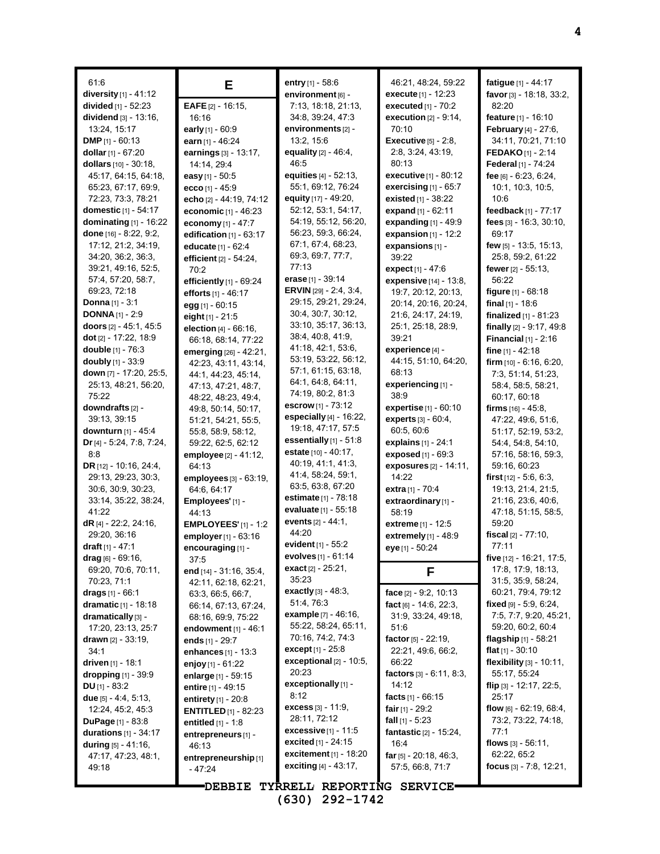| 61.6                                 | Е                                          | entry $[1]$ - 58:6                          | 46:21, 48:24, 59:22            | fatigue [1] - 44:17                         |
|--------------------------------------|--------------------------------------------|---------------------------------------------|--------------------------------|---------------------------------------------|
| diversity [1] - 41:12                |                                            | environment [6] -                           | execute [1] - 12:23            | favor [3] - 18:18, 33:2,                    |
| divided [1] - 52:23                  | EAFE [2] - 16:15,                          | 7:13, 18:18, 21:13,                         | executed $[1]$ - $70:2$        | 82:20                                       |
| <b>dividend</b> $[3] - 13:16$ ,      | 16:16                                      | 34:8, 39:24, 47:3                           | execution $[2] - 9.14$ ,       | feature [1] - 16:10                         |
| 13.24, 15:17                         | early [1] - 60:9                           | environments [2] -                          | 70:10                          | February [4] - 27:6,                        |
| <b>DMP</b> [1] - 60:13               | earn [1] - 46:24                           | 13:2, 15:6                                  | <b>Executive</b> [5] - 2:8,    | 34:11, 70:21, 71:10                         |
| dollar [1] - 67:20                   | earnings [3] - 13:17,                      | equality [2] - 46:4,                        | 2:8, 3:24, 43:19,              | <b>FEDAKO</b> [1] - 2:14                    |
| dollars [10] - 30:18,                | 14:14, 29:4                                | 46.5                                        | 80:13                          | Federal [1] - 74:24                         |
| 45:17, 64:15, 64:18,                 | easy [1] - 50:5                            | equities [4] - 52:13,                       | <b>executive</b> $[1] - 80.12$ | fee $[6] - 6.23, 6.24,$                     |
| 65:23, 67:17, 69:9,                  | ecco [1] - $45.9$                          | 55:1, 69:12, 76:24                          | exercising $[1]$ - 65:7        | 10.1, 10.3, 10.5,                           |
| 72:23, 73:3, 78:21                   | echo [2] - 44:19, 74:12                    | equity $[17] - 49.20$ ,                     | <b>existed</b> $[1] - 38:22$   | 10:6                                        |
| domestic [1] - 54:17                 | economic [1] - 46:23                       | 52:12, 53:1, 54:17,                         | expand [1] - 62:11             | feedback [1] - 77:17                        |
| dominating $[1]$ - 16:22             | economy [1] - 47:7                         | 54:19, 55:12, 56:20,                        | expanding $[1]$ - 49:9         | fees [3] - 16:3, 30:10,                     |
| done [16] - 8:22, 9:2,               | edification $[1]$ - $63:17$                | 56:23, 59:3, 66:24,                         | expansion $[1] - 12:2$         | 69:17                                       |
| 17:12, 21:2, 34:19,                  | educate [1] - 62:4                         | 67:1, 67:4, 68:23,                          | expansions [1] -               | few [5] - 13:5, 15:13,                      |
| 34:20, 36:2, 36:3,                   | efficient [2] - 54:24,                     | 69:3, 69:7, 77:7,                           | 39:22                          | 25:8, 59:2, 61:22                           |
| 39.21, 49:16, 52:5,                  | 70:2                                       | 77:13                                       | expect [1] - 47:6              | fewer $[2] - 55.13$ ,                       |
| 57:4, 57:20, 58:7,                   | efficiently [1] - 69:24                    | erase [1] - 39:14                           | expensive [14] - 13:8,         | 56:22                                       |
| 69.23, 72:18                         | efforts [1] - 46:17                        | <b>ERVIN</b> [29] - $2:4$ , $3:4$ ,         | 19:7, 20:12, 20:13,            | figure $[1] - 68:18$                        |
| <b>Donna</b> $[1] - 3:1$             | egg [1] - 60:15                            | 29:15, 29:21, 29:24,                        | 20:14, 20:16, 20:24,           | final $_{[1]}$ - 18:6                       |
| <b>DONNA</b> $[1]$ - 2:9             | eight $[1] - 21.5$                         | 30.4, 30.7, 30.12,                          | 21.6, 24:17, 24:19,            | <b>finalized</b> $[1]$ - 81:23              |
| doors [2] - 45:1, 45:5               | election $[4] - 66:16$ ,                   | 33:10, 35:17, 36:13,<br>38:4, 40:8, 41:9,   | 25:1, 25:18, 28:9,             | finally [2] - 9:17, 49:8                    |
| dot [2] - 17:22, 18:9                | 66:18, 68:14, 77:22                        | 41:18, 42:1, 53:6,                          | 39:21                          | Financial $[1]$ - 2:16                      |
| double [1] - 76:3                    | emerging [26] - 42:21,                     | 53:19, 53:22, 56:12,                        | experience [4] -               | fine $[1] - 42:18$                          |
| doubly [1] - 33:9                    | 42:23, 43:11, 43:14,                       | 57:1, 61:15, 63:18,                         | 44:15, 51:10, 64:20,           | firm $[10] - 6:16, 6:20,$                   |
| down [7] - 17:20, 25:5,              | 44:1, 44:23, 45:14,                        | 64:1, 64:8, 64:11,                          | 68:13                          | 7:3, 51:14, 51:23,                          |
| 25:13, 48:21, 56:20,<br>75.22        | 47:13, 47:21, 48:7,                        | 74:19, 80:2, 81:3                           | experiencing [1] -<br>38.9     | 58:4, 58:5, 58:21,                          |
| downdrafts [2] -                     | 48:22, 48:23, 49:4,                        | <b>escrow</b> [1] - 73:12                   | <b>expertise</b> $[1] - 60:10$ | 60:17, 60:18<br>firms $[16] - 45.8$ ,       |
| 39:13, 39:15                         | 49.8, 50.14, 50.17,<br>51:21, 54:21, 55:5, | especially $[4]$ - 16:22,                   | experts [3] - 60:4,            | 47:22, 49:6, 51:6,                          |
| <b>downturn</b> [1] - 45:4           | 55:8, 58:9, 58:12,                         | 19:18, 47:17, 57:5                          | 60:5, 60:6                     | 51:17, 52:19, 53:2,                         |
| Dr $[4]$ - 5:24, 7:8, 7:24,          | 59:22, 62:5, 62:12                         | essentially $[1]$ - 51:8                    | explains [1] - 24:1            | 54:4, 54:8, 54:10,                          |
| 8:8                                  | employee [2] - 41:12,                      | <b>estate</b> $[10] - 40:17$ ,              | exposed [1] - 69:3             | 57:16, 58:16, 59:3,                         |
| DR [12] - 10:16, 24:4,               | 64:13                                      | 40:19, 41:1, 41:3,                          | exposures $[2] - 14:11$ ,      | 59.16, 60.23                                |
| 29:13, 29:23, 30:3,                  | employees $[3]$ - $63:19$ ,                | 41:4, 58:24, 59:1,                          | 14:22                          | <b>first</b> $[12] - 5.6, 6.3,$             |
| 30.6, 30.9, 30.23,                   | 64:6, 64:17                                | 63:5, 63:8, 67:20                           | extra [1] - 70:4               | 19:13, 21:4, 21:5,                          |
| 33:14, 35:22, 38:24,                 | Employees' [1] -                           | <b>estimate</b> [1] - 78:18                 | extraordinary [1] -            | 21:16, 23:6, 40:6,                          |
| 41:22                                | 44:13                                      | evaluate [1] - 55:18                        | 58:19                          | 47:18, 51:15, 58:5,                         |
| dR $[4]$ - 22:2, 24:16,              | <b>EMPLOYEES'</b> $[1] - 1:2$              | events [2] - 44:1,                          | <b>extreme</b> $[1] - 12:5$    | 59:20                                       |
| 29:20, 36:16                         | employer [1] - 63:16                       | 44:20                                       | extremely [1] - 48:9           | fiscal $[2] - 77:10$ ,                      |
| draft $[1] - 47:1$                   | encouraging [1] -                          | evident $[1] - 55.2$                        | eye [1] - 50:24                | 77:11                                       |
| $drag$ [6] - 69:16,                  | 37:5                                       | evolves [1] - 61:14                         |                                | five [12] - 16:21, 17:5,                    |
| 69:20, 70:6, 70:11,                  | end $[14] - 31:16, 35:4,$                  | exact $[2] - 25:21$ ,                       | F                              | 17:8, 17:9, 18:13,                          |
| 70:23, 71:1                          | 42:11, 62:18, 62:21,                       | 35:23                                       |                                | 31.5, 35.9, 58.24,                          |
| <b>drags</b> $[1]$ - 66:1            | 63:3, 66:5, 66:7,                          | <b>exactly</b> $[3] - 48:3$ ,<br>51.4, 76.3 | face [2] - 9:2, 10:13          | 60.21, 79.4, 79.12                          |
| dramatic [1] - 18:18                 | 66:14, 67:13, 67:24,                       | example [7] - 46:16,                        | fact [6] - 14:6, 22:3,         | fixed $[9] - 5.9, 6.24,$                    |
| dramatically [3] -                   | 68:16, 69:9, 75:22                         | 55:22, 58:24, 65:11,                        | 31.9, 33.24, 49.18,            | 7:5, 7:7, 9:20, 45:21,<br>59:20, 60:2, 60:4 |
| 17:20, 23:13, 25:7                   | endowment $[1] - 46:1$                     | 70:16, 74:2, 74:3                           | 51:6<br>factor [5] - 22:19,    | flagship [1] - 58:21                        |
| <b>drawn</b> $[2] - 33:19$ ,<br>34:1 | ends $[1] - 29:7$                          | <b>except</b> [1] - 25:8                    | 22:21, 49:6, 66:2,             | flat $[1] - 30:10$                          |
| <b>driven</b> [1] - 18:1             | enhances $[1] - 13:3$                      | exceptional $[2] - 10.5$ ,                  | 66:22                          | flexibility [3] - 10:11,                    |
| dropping $[1]$ - 39:9                | enjoy $[1] - 61:22$                        | 20:23                                       | factors $[3] - 6:11, 8:3,$     | 55:17, 55:24                                |
| <b>DU</b> $[1] - 83:2$               | enlarge [1] - 59:15<br>entire [1] - 49:15  | exceptionally [1] -                         | 14:12                          | flip <sub>[3]</sub> - 12:17, 22:5,          |
| <b>due</b> $[5] - 4.4, 5.13,$        | entirety $[1] - 20.8$                      | 8:12                                        | facts $[1] - 66.15$            | 25:17                                       |
| 12:24, 45:2, 45:3                    | <b>ENTITLED</b> $[1]$ - 82:23              | <b>excess</b> $[3] - 11.9$ ,                | fair $[1]$ - 29:2              | flow [6] - 62:19, 68:4,                     |
| <b>DuPage</b> $[1] - 83.8$           | <b>entitled</b> $[1]$ - 1:8                | 28:11, 72:12                                | fall $[1]$ - 5:23              | 73:2, 73:22, 74:18,                         |
| <b>durations</b> $[1] - 34:17$       | entrepreneurs [1] -                        | <b>excessive</b> [1] - 11:5                 | fantastic [2] - 15:24,         | 77:1                                        |
| during $[5] - 41.16$ ,               | 46:13                                      | <b>excited</b> $[1] - 24:15$                | 16:4                           | flows $[3] - 56.11$ ,                       |
| 47:17, 47:23, 48:1,                  | entrepreneurship[1]                        | excitement [1] - 18:20                      | far $[5]$ - 20:18, 46:3,       | 62:22, 65:2                                 |
| 49:18                                | - 47:24                                    | exciting [4] - 43:17,                       | 57:5, 66:8, 71:7               | focus $[3]$ - 7:8, 12:21,                   |
|                                      |                                            |                                             |                                |                                             |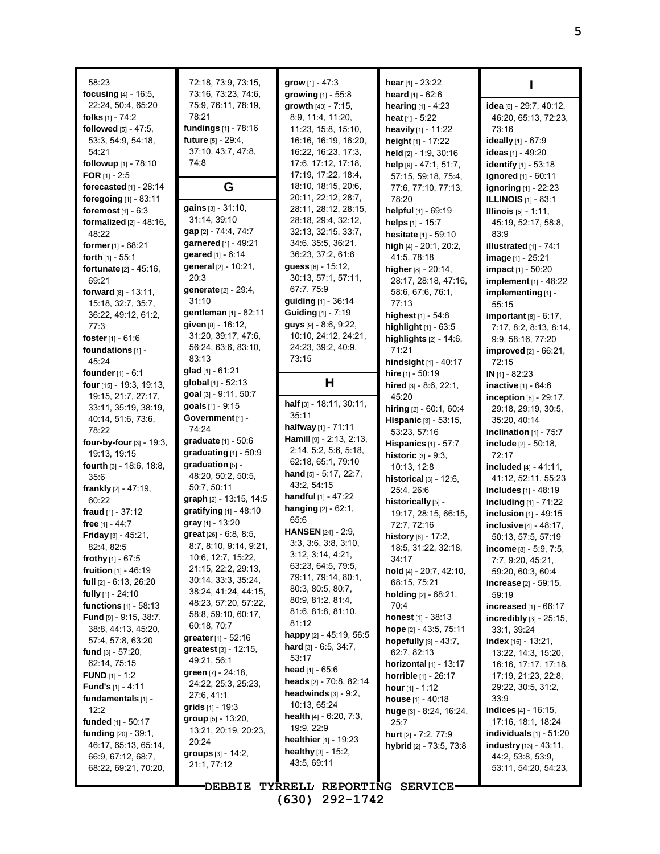| 58:23<br>focusing $[4]$ - 16:5,<br>22:24, 50:4, 65:20<br>folks $[1]$ - 74:2<br>followed [5] - 47:5.<br>53.3, 54.9, 54.18,<br>54:21<br>followup [1] - 78:10<br><b>FOR</b> [1] - 2:5<br>forecasted [1] - 28:14<br>foregoing [1] - 83:11                                                                                                                                                                                                                                                                                                                                                                                                                                                                                                                                             | 72:18, 73:9, 73:15,<br>73:16, 73:23, 74:6,<br>75.9, 76.11, 78:19,<br>78:21<br>fundings [1] - 78:16<br>future [5] - 29:4,<br>37:10, 43:7, 47:8,<br>74:8<br>G                                                                                                                                                                                                                                                                                                                                                                                                                                                                                                                                                                                                                                | grow $[1] - 47:3$<br>growing $[1] - 55.8$<br>growth [40] - 7:15,<br>8:9, 11:4, 11:20,<br>11:23, 15:8, 15:10,<br>16:16, 16:19, 16:20,<br>16:22, 16:23, 17:3,<br>17:6, 17:12, 17:18,<br>17:19, 17:22, 18:4,<br>18:10, 18:15, 20:6,<br>20:11, 22:12, 28:7,                                                                                                                                                                                                                                                                                                                                                                                                                                                                                                           | hear $[1]$ - 23:22<br>heard [1] - 62:6<br><b>hearing</b> $[1] - 4:23$<br>heat $[1] - 5:22$<br>heavily [1] - 11:22<br>height [1] - 17:22<br>held [2] - 1:9, 30:16<br>help $[9] - 47:1, 51:7$ ,<br>57:15, 59:18, 75:4,<br>77:6, 77:10, 77:13,<br>78:20                                                                                                                                                                                                                                                                                                                                                                                                                                                                                                  |
|-----------------------------------------------------------------------------------------------------------------------------------------------------------------------------------------------------------------------------------------------------------------------------------------------------------------------------------------------------------------------------------------------------------------------------------------------------------------------------------------------------------------------------------------------------------------------------------------------------------------------------------------------------------------------------------------------------------------------------------------------------------------------------------|--------------------------------------------------------------------------------------------------------------------------------------------------------------------------------------------------------------------------------------------------------------------------------------------------------------------------------------------------------------------------------------------------------------------------------------------------------------------------------------------------------------------------------------------------------------------------------------------------------------------------------------------------------------------------------------------------------------------------------------------------------------------------------------------|-------------------------------------------------------------------------------------------------------------------------------------------------------------------------------------------------------------------------------------------------------------------------------------------------------------------------------------------------------------------------------------------------------------------------------------------------------------------------------------------------------------------------------------------------------------------------------------------------------------------------------------------------------------------------------------------------------------------------------------------------------------------|-------------------------------------------------------------------------------------------------------------------------------------------------------------------------------------------------------------------------------------------------------------------------------------------------------------------------------------------------------------------------------------------------------------------------------------------------------------------------------------------------------------------------------------------------------------------------------------------------------------------------------------------------------------------------------------------------------------------------------------------------------|
| foremost $[1] - 6:3$<br>formalized $[2] - 48:16$ ,<br>48:22<br><b>former</b> $[1]$ - 68:21<br><b>forth</b> $[1]$ - 55:1<br>fortunate [2] - 45:16,<br>69.21<br>forward [8] - 13:11.<br>15:18, 32:7, 35:7,<br>36.22, 49.12, 61.2,<br>77:3<br><b>foster</b> $[1] - 61.6$<br>foundations [1] -<br>45:24                                                                                                                                                                                                                                                                                                                                                                                                                                                                               | gains [3] - 31:10,<br>31:14, 39:10<br>gap [2] - 74:4, 74:7<br>garnered [1] - 49:21<br>geared [1] - 6:14<br>general [2] - 10:21,<br>20:3<br>generate [2] - 29:4,<br>31:10<br>gentleman [1] - 82:11<br>given [8] - 16:12,<br>31:20, 39:17, 47:6,<br>56:24, 63:6, 83:10,<br>83:13                                                                                                                                                                                                                                                                                                                                                                                                                                                                                                             | 28:11, 28:12, 28:15,<br>28:18, 29:4, 32:12,<br>32:13, 32:15, 33:7,<br>34:6, 35:5, 36:21,<br>36:23, 37:2, 61:6<br>guess [6] - 15:12,<br>30:13, 57:1, 57:11,<br>67:7, 75:9<br>guiding [1] - 36:14<br>Guiding [1] - 7:19<br>$guys$ [9] $-8.6, 9.22,$<br>10:10, 24:12, 24:21,<br>24:23, 39:2, 40:9,<br>73:15                                                                                                                                                                                                                                                                                                                                                                                                                                                          | helpful [1] - 69:19<br>helps [1] - 15:7<br>hesitate [1] - 59:10<br>high $[4] - 20:1$ , 20:2,<br>41.5, 78.18<br>higher [8] - 20:14,<br>28:17, 28:18, 47:16,<br>58.6, 67.6, 76.1,<br>77:13<br>highest [1] - 54:8<br>highlight $[1]$ - $63:5$<br>highlights [2] - 14:6,<br>71:21<br>hindsight [1] - 40:17                                                                                                                                                                                                                                                                                                                                                                                                                                                |
| founder $[1] - 6:1$<br>four [15] - 19.3, 19.13,<br>19:15, 21:7, 27:17,<br>33:11, 35:19, 38:19,<br>40:14, 51:6, 73:6,<br>78:22<br>four-by-four [3] - 19:3,<br>19:13, 19:15<br><b>fourth</b> $[3] - 18:6, 18:8,$<br>35.6<br>frankly $[2] - 47:19$ ,<br>60:22<br>fraud $[1] - 37:12$<br>free [1] - 44:7<br>Friday [3] - 45:21,<br>82:4, 82:5<br>frothy $[1]$ - 67:5<br><b>fruition</b> $[1] - 46:19$<br>full $[2] - 6:13, 26:20$<br>fully $[1]$ - 24:10<br>functions [1] - 58:13<br>Fund [9] - 9:15, 38:7,<br>38.8, 44.13, 45.20,<br>57:4, 57:8, 63:20<br>fund $[3] - 57:20$ ,<br>62:14, 75:15<br><b>FUND</b> [1] - 1:2<br><b>Fund's</b> $[1] - 4:11$<br>fundamentals [1] -<br>12:2<br>funded $[1]$ - 50:17<br>funding $[20] - 39.1$ ,<br>46:17, 65:13, 65:14,<br>66.9, 67.12, 68.7, | glad [1] - 61:21<br>global [1] - 52:13<br>goal [3] - 9:11, 50:7<br>goals [1] - 9:15<br>Government [1] -<br>74:24<br>graduate [1] - 50:6<br>graduating $[1]$ - 50:9<br>graduation [5] -<br>48:20, 50:2, 50:5,<br>50:7, 50:11<br>graph [2] - 13:15, 14:5<br>gratifying [1] - 48:10<br>gray [1] - 13:20<br>great [26] - 6:8, 8:5,<br>8:7, 8:10, 9:14, 9:21,<br>10:6, 12:7, 15:22,<br>21:15, 22:2, 29:13,<br>30:14, 33:3, 35:24,<br>38:24, 41:24, 44:15,<br>48:23, 57:20, 57:22,<br>58:8, 59:10, 60:17,<br>60:18, 70:7<br><b>greater</b> [1] - 52:16<br><b>greatest</b> $[3] - 12:15$ ,<br>49:21, 56:1<br>green [7] - 24:18,<br>24:22, 25:3, 25:23,<br>27:6, 41:1<br><b>grids</b> $[1]$ - 19:3<br>$group_{[5]} - 13.20,$<br>13:21, 20:19, 20:23,<br>20:24<br>groups [3] - 14:2,<br>21:1, 77:12 | н<br>half $[3] - 18:11$ , 30:11,<br>35:11<br>halfway [1] - 71:11<br>Hamill [9] - 2:13, 2:13,<br>2:14, 5:2, 5:6, 5:18,<br>62:18, 65:1, 79:10<br><b>hand</b> $[5] - 5.17$ , 22:7,<br>43:2, 54:15<br><b>handful</b> [1] - 47:22<br>hanging $[2] - 62:1$ ,<br>65.6<br><b>HANSEN</b> $[24]$ - 2:9,<br>3.3, 3.6, 3.8, 3.10,<br>3:12, 3:14, 4:21,<br>63:23, 64:5, 79:5,<br>79:11, 79:14, 80:1,<br>80:3, 80:5, 80:7,<br>80:9, 81:2, 81:4,<br>81:6, 81:8, 81:10,<br>81:12<br>happy [2] - 45:19, 56:5<br><b>hard</b> [3] - 6:5, 34:7,<br>53:17<br><b>head</b> [1] - 65:6<br>heads [2] - 70:8, 82:14<br>headwinds $[3]$ - $9:2$ ,<br>10:13, 65:24<br><b>health</b> $[4] - 6.20, 7.3$ ,<br>19:9, 22:9<br><b>healthier</b> $[1] - 19:23$<br>healthy [3] - 15:2,<br>43:5, 69:11 | hire [1] - 50:19<br>hired [3] - 8.6, 22:1,<br>45:20<br>hiring $[2] - 60.1, 60.4$<br>Hispanic [3] - 53:15,<br>53:23, 57:16<br><b>Hispanics</b> [1] - 57:7<br>historic $[3] - 9:3$ ,<br>10:13, 12:8<br>historical [3] - 12:6,<br>25.4, 26.6<br>historically [5] -<br>19:17, 28:15, 66:15,<br>72:7, 72:16<br>history [6] - 17:2,<br>18:5, 31:22, 32:18,<br>34:17<br>hold $[4] - 20:7, 42:10,$<br>68:15, 75:21<br><b>holding</b> $[2] - 68:21$ ,<br>70:4<br><b>honest</b> $[1] - 38:13$<br>hope [2] - 43:5, 75:11<br>hopefully $[3] - 43.7$ ,<br>62:7, 82:13<br>horizontal $[1]$ - 13:17<br><b>horrible</b> [1] - 26:17<br>hour $[1] - 1:12$<br>house [1] - 40:18<br>huge [3] - 8:24, 16:24,<br>25:7<br>hurt [2] - 7:2, 77:9<br>hybrid $[2]$ - 73:5, 73:8 |

**I idea** [6] - 29:7, 40:12, 46:20, 65:13, 72:23, 73:16 **ideally** [1] - 67:9 **ideas** [1] - 49:20 **identify** [1] - 53:18 **ignored** [1] - 60:11 **ignoring** [1] - 22:23 **ILLINOIS** [1] - 83:1 **Illinois** [5] - 1:11, 45:19, 52:17, 58:8, 83:9 **illustrated** [1] - 74:1 **image** [1] - 25:21 **impact** [1] - 50:20 **implement** [1] - 48:22 **implementing** [1] - 55:15 **important** [8] - 6:17, 7:17, 8:2, 8:13, 8:14, 9:9, 58:16, 77:20 **improved** [2] - 66:21, 72:15 **IN** [1] - 82:23 **inactive** [1] - 64:6 **inception** [6] - 29:17, 29:18, 29:19, 30:5, 35:20, 40:14 **inclination** [1] - 75:7 **include** [2] - 50:18, 72:17 **included** [4] - 41:11, 41:12, 52:11, 55:23 **includes** [1] - 48:19 **including** [1] - 71:22 **inclusion** [1] - 49:15 **inclusive** [4] - 48:17, 50:13, 57:5, 57:19 **income** [8] - 5:9, 7:5, 7:7, 9:20, 45:21, 59:20, 60:3, 60:4 **increase** [2] - 59:15, 59:19 **increased** [1] - 66:17 **incredibly** [3] - 25:15, 33:1, 39:24 **index** [15] - 13:21, 13:22, 14:3, 15:20, 16:16, 17:17, 17:18, 17:19, 21:23, 22:8, 29:22, 30:5, 31:2, 33:9 **indices** [4] - 16:15, 17:16, 18:1, 18:24 **individuals** [1] - 51:20 **industry** [13] - 43:11, 44:2, 53:8, 53:9, 53:11, 54:20, 54:23,

**DEBBIE TYRRELL REPORTING SERVICE (630) 292-1742**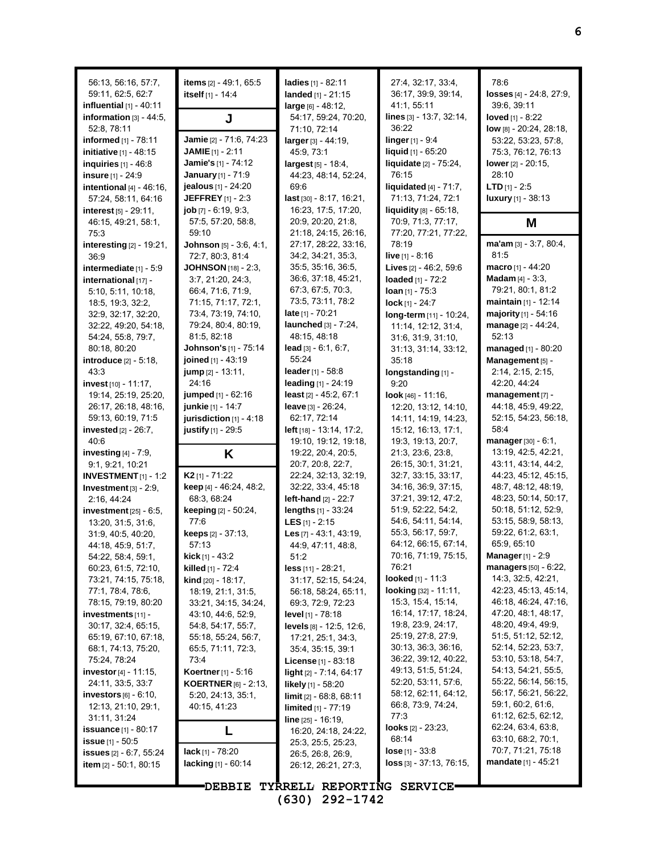| 56:13, 56:16, 57:7,<br>59:11, 62:5, 62:7                                                                                                                           | items [2] - 49.1, 65.5<br>itself [1] - 14:4                                                                                                   | ladies [1] - 82:11<br>landed $[1] - 21:15$                                                                                             | 27:4, 32:17, 33:4,<br>36:17, 39:9, 39:14,                                                                                                    | 78:6<br>losses $[4] - 24:8, 27:9,$                                                                                                                            |
|--------------------------------------------------------------------------------------------------------------------------------------------------------------------|-----------------------------------------------------------------------------------------------------------------------------------------------|----------------------------------------------------------------------------------------------------------------------------------------|----------------------------------------------------------------------------------------------------------------------------------------------|---------------------------------------------------------------------------------------------------------------------------------------------------------------|
| influential $[1]$ - 40:11<br>information $[3] - 44:5$ ,                                                                                                            | J                                                                                                                                             | $large_{[6]} - 48:12,$<br>54:17, 59:24, 70:20,                                                                                         | 41:1, 55:11<br>lines [3] - 13:7, 32:14,                                                                                                      | 39:6, 39:11<br>loved $[1] - 8:22$                                                                                                                             |
| 52:8, 78:11<br>informed [1] - 78:11<br>initiative [1] - 48:15<br>inquiries $[1] - 46.8$<br>insure [1] - 24:9<br>intentional $[4] - 46:16$ ,<br>57:24, 58:11, 64:16 | Jamie [2] - 71.6, 74:23<br>JAMIE $[1] - 2:11$<br>Jamie's [1] - 74:12<br>January [1] - 71:9<br>jealous [1] - 24:20<br><b>JEFFREY</b> [1] - 2:3 | 71:10, 72:14<br>larger [3] - 44:19,<br>45:9, 73:1<br>largest [5] - 18:4,<br>44:23, 48:14, 52:24,<br>69.6<br>$last$ [30] - 8:17, 16:21, | 36:22<br>linger [1] - 9:4<br>liquid [1] - 65:20<br><b>liquidate</b> $[2] - 75:24$ ,<br>76:15<br>liquidated [4] - 71:7,<br>71:13, 71:24, 72:1 | low [8] - 20:24, 28:18,<br>53:22, 53:23, 57:8,<br>75:3, 76:12, 76:13<br>lower $[2] - 20:15$ ,<br>28:10<br><b>LTD</b> $[1] - 2:5$<br><b>luxury</b> [1] - 38:13 |
| <b>interest</b> $[5] - 29:11$ ,<br>46:15, 49:21, 58:1,                                                                                                             | $job$ [7] $-6:19, 9:3$ .<br>57:5, 57:20, 58:8,                                                                                                | 16:23, 17:5, 17:20,<br>20:9, 20:20, 21:8,                                                                                              | liquidity [8] - 65:18.<br>70:9, 71:3, 77:17,                                                                                                 | M                                                                                                                                                             |
| 75:3<br>interesting [2] - 19:21,                                                                                                                                   | 59:10<br>Johnson [5] - 3:6, 4:1,                                                                                                              | 21:18, 24:15, 26:16,<br>27:17, 28:22, 33:16,                                                                                           | 77:20, 77:21, 77:22,<br>78:19                                                                                                                | $ma'am$ [3] - 3:7, 80:4,                                                                                                                                      |
| 36:9                                                                                                                                                               | 72:7, 80:3, 81:4                                                                                                                              | 34:2, 34:21, 35:3,                                                                                                                     | <b>live</b> $[1] - 8.16$                                                                                                                     | 81.5                                                                                                                                                          |
| intermediate $[1] - 5.9$<br>international [17] -<br>5:10, 5:11, 10:18,                                                                                             | <b>JOHNSON</b> [18] - 2:3,<br>3:7, 21:20, 24:3,<br>66.4, 71.6, 71.9,                                                                          | 35:5, 35:16, 36:5,<br>36.6, 37.18, 45.21,<br>67:3, 67:5, 70:3,                                                                         | Lives [2] - 46:2, 59:6<br>loaded [1] - 72:2<br>Ioan $[1] - 75:3$                                                                             | <b>macro</b> $[1] - 44:20$<br><b>Madam</b> $[4] - 3:3$ ,<br>79:21, 80:1, 81:2                                                                                 |
| 18:5, 19:3, 32:2,                                                                                                                                                  | 71:15, 71:17, 72:1,                                                                                                                           | 73:5, 73:11, 78:2                                                                                                                      | lock $[1] - 24:7$                                                                                                                            | <b>maintain</b> $[1]$ - 12:14                                                                                                                                 |
| 32.9, 32.17, 32.20,<br>32:22, 49:20, 54:18,<br>54:24, 55:8, 79:7,                                                                                                  | 73.4, 73.19, 74:10,<br>79:24, 80:4, 80:19,<br>81:5, 82:18                                                                                     | late $[1] - 70:21$<br>launched [3] - 7:24,<br>48:15, 48:18                                                                             | long-term [11] - 10:24,<br>11:14, 12:12, 31:4,<br>31:6, 31:9, 31:10,                                                                         | majority [1] - 54:16<br>manage [2] - 44:24,<br>52:13                                                                                                          |
| 80:18, 80:20<br>introduce [2] - 5:18,                                                                                                                              | Johnson's [1] - 75:14<br>joined [1] - 43:19                                                                                                   | $lead$ [3] $-6.1, 6.7$ ,<br>55:24                                                                                                      | 31:13, 31:14, 33:12,<br>35:18                                                                                                                | managed [1] - 80:20<br>Management [5] -                                                                                                                       |
| 43:3<br>invest [10] - 11:17,                                                                                                                                       | jump [2] - 13:11,<br>24:16                                                                                                                    | <b>leader</b> $[1] - 58.8$<br>leading [1] - 24:19                                                                                      | longstanding [1] -<br>9:20                                                                                                                   | 2:14, 2:15, 2:15,<br>42:20, 44:24                                                                                                                             |
| 19:14, 25:19, 25:20,<br>26:17, 26:18, 48:16,<br>59:13, 60:19, 71:5<br>invested $[2] - 26:7$ ,                                                                      | <b>jumped</b> $[1] - 62:16$<br>junkie [1] - 14:7<br>jurisdiction $[1]$ - 4:18<br>justify [1] - 29:5                                           | least $[2] - 45:2, 67:1$<br>leave [3] - 26:24,<br>62:17, 72:14<br>left [18] - 13.14, 17:2,                                             | look $[46] - 11:16$ ,<br>12:20, 13:12, 14:10,<br>14:11, 14:19, 14:23,<br>15:12, 16:13, 17:1,                                                 | management [7] -<br>44:18, 45:9, 49:22,<br>52:15, 54:23, 56:18,<br>58:4                                                                                       |
| 40:6                                                                                                                                                               |                                                                                                                                               | 19:10, 19:12, 19:18,                                                                                                                   | 19:3, 19:13, 20:7,                                                                                                                           | manager $[30] - 6:1$ ,                                                                                                                                        |
| investing $[4]$ - 7:9,<br>9:1, 9:21, 10:21                                                                                                                         | K                                                                                                                                             | 19:22, 20:4, 20:5,<br>20:7, 20:8, 22:7,                                                                                                | 21:3, 23:6, 23:8,<br>26:15, 30:1, 31:21,                                                                                                     | 13:19, 42:5, 42:21,<br>43.11, 43.14, 44.2,                                                                                                                    |
| <b>INVESTMENT</b> $[1]$ - 1:2                                                                                                                                      | $K2$ [1] - 71:22                                                                                                                              | 22:24, 32:13, 32:19,                                                                                                                   | 32:7, 33:15, 33:17,<br>34:16, 36:9, 37:15,                                                                                                   | 44:23, 45:12, 45:15,<br>48:7, 48:12, 48:19,                                                                                                                   |
| Investment $[3] - 2:9$ ,<br>2:16, 44:24                                                                                                                            | keep [4] - 46:24, 48:2,<br>68:3, 68:24                                                                                                        | 32:22, 33:4, 45:18<br><b>left-hand</b> [2] - 22:7                                                                                      | 37:21, 39:12, 47:2,                                                                                                                          | 48:23, 50:14, 50:17,                                                                                                                                          |
| investment $[25]$ - 6:5,                                                                                                                                           | <b>keeping</b> $[2] - 50:24$ ,                                                                                                                | lengths [1] - 33:24                                                                                                                    | 51.9, 52.22, 54.2,                                                                                                                           | 50:18, 51:12, 52:9,                                                                                                                                           |
| 13:20, 31:5, 31:6,<br>31:9, 40:5, 40:20,                                                                                                                           | 77:6<br><b>keeps</b> $[2] - 37:13$ ,                                                                                                          | <b>LES</b> $[1] - 2:15$<br>Les $[7] - 43:1, 43:19,$                                                                                    | 54.6, 54.11, 54.14,<br>55.3, 56.17, 59.7,                                                                                                    | 53:15, 58:9, 58:13,<br>59:22, 61:2, 63:1,                                                                                                                     |
| 44:18, 45:9, 51:7,                                                                                                                                                 | 57:13                                                                                                                                         | 44:9, 47:11, 48:8,                                                                                                                     | 64:12, 66:15, 67:14,                                                                                                                         | 65:9, 65:10                                                                                                                                                   |
| 54:22, 58:4, 59:1,                                                                                                                                                 | <b>kick</b> [1] - 43:2                                                                                                                        | 51:2                                                                                                                                   | 70:16, 71:19, 75:15,                                                                                                                         | <b>Manager</b> [1] - 2:9                                                                                                                                      |
| 60.23, 61.5, 72.10,<br>73:21, 74:15, 75:18,                                                                                                                        | <b>killed</b> [1] - $72.4$                                                                                                                    | $less$ [11] - 28:21,<br>31:17, 52:15, 54:24,                                                                                           | 76:21<br><b>looked</b> $[1] - 11:3$                                                                                                          | <b>managers</b> $[50] - 6:22$ ,<br>14:3, 32:5, 42:21,                                                                                                         |
| 77:1, 78:4, 78:6,                                                                                                                                                  | <b>kind</b> $[20] - 18.17$ ,<br>18:19, 21:1, 31:5,                                                                                            | 56:18, 58:24, 65:11,                                                                                                                   | <b>looking</b> $[32] - 11:11$ ,                                                                                                              | 42:23, 45:13, 45:14,                                                                                                                                          |
| 78:15, 79:19, 80:20                                                                                                                                                | 33:21, 34:15, 34:24,                                                                                                                          | 69:3, 72:9, 72:23                                                                                                                      | 15:3, 15:4, 15:14,                                                                                                                           | 46:18, 46:24, 47:16,                                                                                                                                          |
| $inverse$ investments $[11]$ -                                                                                                                                     | 43:10, 44:6, 52:9,                                                                                                                            | level [1] - 78:18                                                                                                                      | 16:14, 17:17, 18:24,                                                                                                                         | 47:20, 48:1, 48:17,                                                                                                                                           |
| 30:17, 32:4, 65:15,                                                                                                                                                | 54.8, 54.17, 55.7,                                                                                                                            | <b>levels</b> $[8] - 12.5, 12.6,$                                                                                                      | 19.8, 23.9, 24:17,<br>25:19, 27:8, 27:9,                                                                                                     | 48:20, 49:4, 49:9,<br>51:5, 51:12, 52:12,                                                                                                                     |
| 65:19, 67:10, 67:18,<br>68:1, 74:13, 75:20,                                                                                                                        | 55:18, 55:24, 56:7,<br>65.5, 71.11, 72.3,                                                                                                     | 17:21, 25:1, 34:3,<br>35:4, 35:15, 39:1                                                                                                | 30:13, 36:3, 36:16,                                                                                                                          | 52:14, 52:23, 53:7,                                                                                                                                           |
| 75:24, 78:24                                                                                                                                                       | 73:4                                                                                                                                          | <b>License</b> $[1]$ - 83:18                                                                                                           | 36:22, 39:12, 40:22,                                                                                                                         | 53:10, 53:18, 54:7,                                                                                                                                           |
| investor [4] - 11:15,                                                                                                                                              | Koertner [1] - 5:16                                                                                                                           | <b>light</b> $[2] - 7:14, 64:17$                                                                                                       | 49:13, 51:5, 51:24,                                                                                                                          | 54:13, 54:21, 55:5,                                                                                                                                           |
| 24:11, 33:5, 33:7                                                                                                                                                  | <b>KOERTNER</b> [6] - 2:13,                                                                                                                   | <b>likely</b> $[1]$ - 58:20                                                                                                            | 52:20, 53:11, 57:6,                                                                                                                          | 55:22, 56:14, 56:15,                                                                                                                                          |
| <b>investors</b> $[6]$ - $6:10$ ,                                                                                                                                  | 5:20, 24:13, 35:1,                                                                                                                            | limit [2] - 68:8, 68:11                                                                                                                | 58:12, 62:11, 64:12,<br>66.8, 73.9, 74.24,                                                                                                   | 56:17, 56:21, 56:22,<br>59:1, 60:2, 61:6,                                                                                                                     |
| 12:13, 21:10, 29:1,<br>31:11, 31:24                                                                                                                                | 40:15, 41:23                                                                                                                                  | limited [1] - 77:19<br><b>line</b> $[25] - 16:19$ ,                                                                                    | 77:3                                                                                                                                         | 61:12, 62:5, 62:12,                                                                                                                                           |
| <b>issuance</b> $[1] - 80.17$                                                                                                                                      | L                                                                                                                                             | 16:20, 24:18, 24:22,                                                                                                                   | looks [2] - 23:23,                                                                                                                           | 62:24, 63:4, 63:8,                                                                                                                                            |
| <b>issue</b> $[1] - 50.5$                                                                                                                                          |                                                                                                                                               | 25:3, 25:5, 25:23,                                                                                                                     | 68:14                                                                                                                                        | 63:10, 68:2, 70:1,                                                                                                                                            |
| <b>issues</b> $[2] - 6.7, 55.24$                                                                                                                                   | <b>lack</b> [1] - $78:20$                                                                                                                     | 26:5, 26:8, 26:9,                                                                                                                      | <b>lose</b> $[1] - 33.8$                                                                                                                     | 70.7, 71.21, 75.18                                                                                                                                            |
| <b>item</b> $[2] - 50:1, 80:15$                                                                                                                                    | lacking [1] - 60:14                                                                                                                           | 26:12, 26:21, 27:3,                                                                                                                    | $loss$ [3] - 37:13, 76:15,                                                                                                                   | <b>mandate</b> $[1]$ - 45:21                                                                                                                                  |
|                                                                                                                                                                    | <b>-</b> DEBBIE                                                                                                                               | TYRRELL REPORTING SERVICE                                                                                                              |                                                                                                                                              |                                                                                                                                                               |

**(630) 292-1742**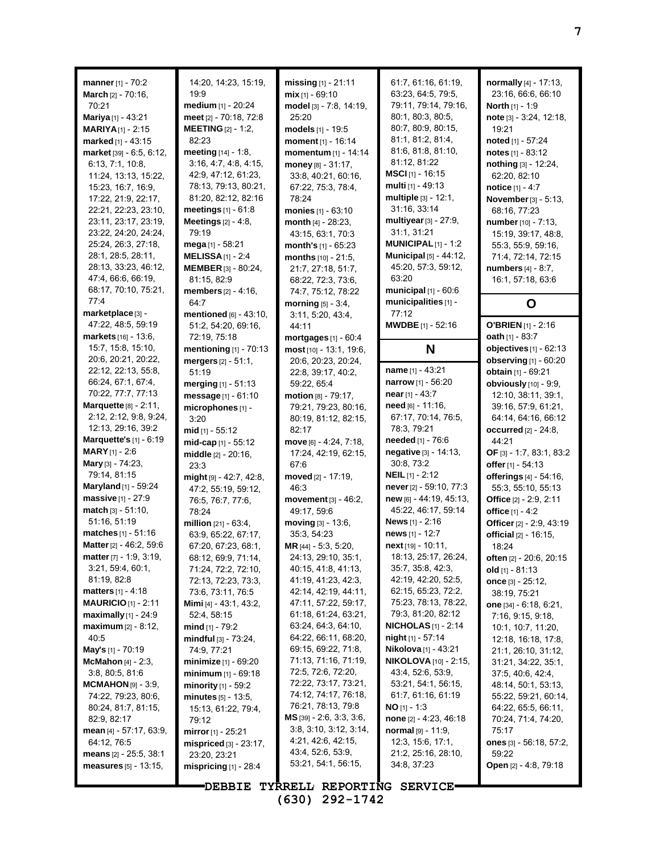| manner [1] - 70:2                                      | 14:20, 14:23, 15:19,                        | missing $[1]$ - 21:11                        | 61:7, 61:16, 61:19,                        | normally [4] - 17:13,                     |
|--------------------------------------------------------|---------------------------------------------|----------------------------------------------|--------------------------------------------|-------------------------------------------|
| March [2] - 70:16,                                     | 19:9                                        | $mix$ <sub>[1]</sub> - 69:10                 | 63:23, 64:5, 79:5,                         | 23:16, 66:6, 66:10                        |
| 70:21                                                  | medium [1] - 20:24                          | model [3] - 7:8, 14:19,                      | 79:11, 79:14, 79:16,                       | North [1] - 1:9                           |
| <b>Mariya</b> $[1]$ - 43:21                            | meet [2] - 70:18, 72:8                      | 25:20                                        | 80:1, 80:3, 80:5,                          | note [3] - 3:24, 12:18,                   |
| <b>MARIYA</b> [1] - 2:15                               | <b>MEETING [2] - 1:2,</b>                   | models [1] - 19:5                            | 80.7, 80.9, 80.15,                         | 19:21                                     |
| marked [1] - 43:15                                     | 82:23                                       | moment [1] - 16:14                           | 81:1, 81:2, 81:4,                          | noted $[1] - 57:24$                       |
| market [39] - 6:5, 6:12,                               | meeting $[14] - 1.8$ ,                      | momentum [1] - 14:14                         | 81:6, 81:8, 81:10,                         | notes $[1] - 83:12$                       |
| 6:13, 7:1, 10:8,                                       | 3:16, 4:7, 4:8, 4:15,                       | money [8] - 31:17,                           | 81:12, 81:22                               | nothing [3] - 12:24,                      |
| 11:24, 13:13, 15:22,                                   | 42.9, 47.12, 61.23,                         | 33.8, 40.21, 60.16,                          | <b>MSCI</b> $[1]$ - 16:15                  | 62:20, 82:10                              |
| 15:23, 16:7, 16:9,                                     | 78:13, 79:13, 80:21,                        | 67:22, 75:3, 78:4,                           | multi [1] - 49:13                          | notice [1] - 4:7                          |
| 17:22, 21:9, 22:17,                                    | 81:20, 82:12, 82:16                         | 78:24                                        | multiple [3] - 12:1,                       | November [3] - 5:13,                      |
| 22.21, 22:23, 23:10,                                   | meetings [1] - 61:8                         | monies [1] - 63:10                           | 31:16, 33:14                               | 68:16, 77:23                              |
| 23:11, 23:17, 23:19,                                   | <b>Meetings</b> $[2] - 4:8$ ,               | month [4] - 28:23.                           | multiyear [3] - 27:9,                      | number [10] - 7:13.                       |
| 23.22, 24:20, 24:24,                                   | 79:19                                       | 43:15, 63:1, 70:3                            | 31:1, 31:21                                | 15:19, 39:17, 48:8,                       |
| 25:24, 26:3, 27:18,                                    | mega [1] - 58:21                            | month's [1] - 65:23                          | <b>MUNICIPAL</b> [1] - 1:2                 | 55:3, 55:9, 59:16,                        |
| 28:1, 28:5, 28:11,                                     | MELISSA $[1]$ - 2:4                         | months [10] - 21:5,                          | Municipal [5] - 44:12,                     | 71:4, 72:14, 72:15                        |
| 28:13, 33:23, 46:12,                                   | <b>MEMBER</b> [3] - 80:24,                  | 21:7, 27:18, 51:7,                           | 45:20, 57:3, 59:12,                        | <b>numbers</b> [4] - 8:7,                 |
| 47:4, 66:6, 66:19,<br>68:17, 70:10, 75:21,             | 81:15, 82:9                                 | 68:22, 72:3, 73:6,                           | 63:20<br>municipal [1] - 60:6              | 16:1, 57:18, 63:6                         |
| 77:4                                                   | members [2] - 4:16,                         | 74:7, 75:12, 78:22                           | municipalities [1] -                       |                                           |
| marketplace [3] -                                      | 64:7<br>mentioned [6] - 43:10,              | morning $[5] - 3:4$ ,                        | 77:12                                      | O                                         |
| 47:22, 48:5, 59:19                                     | 51:2, 54:20, 69:16,                         | 3:11, 5:20, 43:4,<br>44:11                   | <b>MWDBE</b> $[1] - 52:16$                 | <b>O'BRIEN</b> $[1]$ - 2:16               |
| markets [16] - 13:6,                                   | 72:19, 75:18                                | mortgages [1] - 60:4                         |                                            | <b>oath</b> [1] - 83:7                    |
| 15:7, 15:8, 15:10,                                     | mentioning [1] - 70:13                      | most [10] - 13:1, 19:6,                      | N                                          | objectives $[1]$ - $62:13$                |
| 20:6, 20:21, 20:22,                                    | mergers $[2] - 51:1$ ,                      | 20:6, 20:23, 20:24,                          |                                            | observing [1] - 60:20                     |
| 22:12, 22:13, 55:8,                                    | 51:19                                       | 22:8, 39:17, 40:2,                           | name [1] - 43:21                           | obtain [1] - 69:21                        |
| 66.24, 67:1, 67:4,                                     | merging $[1] - 51:13$                       | 59:22, 65:4                                  | narrow [1] - 56:20                         | obviously [10] - 9:9,                     |
| 70.22, 77:7, 77:13                                     | message [1] - 61:10                         | motion [8] - 79:17,                          | near $[1] - 43:7$                          | 12:10, 38:11, 39:1,                       |
| Marquette [8] - 2:11,                                  | microphones [1] -                           | 79:21, 79:23, 80:16,                         | need [6] - 11:16,                          | 39:16, 57:9, 61:21,                       |
| 2:12, 2:12, 9:8, 9:24,                                 | 3:20                                        | 80:19, 81:12, 82:15,                         | 67:17, 70:14, 76:5,                        | 64:14, 64:16, 66:12                       |
| 12:13, 29:16, 39:2                                     | mid $[1] - 55:12$                           | 82:17                                        | 78:3, 79:21                                | <b>occurred</b> $[2] - 24:8$ ,            |
| <b>Marquette's</b> $[1] - 6:19$                        | $mid-cap$ [1] - 55:12                       | move [6] - 4:24, 7:18,                       | <b>needed</b> [1] - 76:6                   |                                           |
|                                                        |                                             |                                              |                                            | 44:21                                     |
| <b>MARY</b> [1] - 2:6                                  | middle $[2] - 20:16$ ,                      | 17:24, 42:19, 62:15,                         | negative [3] - 14:13,                      | OF $[3] - 1:7, 83:1, 83:2$                |
| <b>Mary</b> [3] - 74:23,                               | 23:3                                        | 67:6                                         | 30.8, 73.2                                 | offer [1] - 54:13                         |
| 79:14, 81:15                                           | might [9] - 42:7, 42:8,                     | moved [2] - 17:19,                           | <b>NEIL</b> $[1]$ - 2:12                   | offerings [4] - 54:16,                    |
| <b>Maryland</b> $[1]$ - 59:24                          | 47:2, 55:19, 59:12,                         | 46:3                                         | never [2] - 59:10, 77:3                    | 55:3, 55:10, 55:13                        |
| massive [1] - 27:9                                     | 76.5, 76.7, 77.6,                           | movement [3] - 46:2,                         | new [6] - 44:19, 45:13,                    | Office [2] - 2:9, 2:11                    |
| match [3] - 51:10,                                     | 78:24                                       | 49:17, 59:6                                  | 45:22, 46:17, 59:14                        | office [1] - 4:2                          |
| 51:16, 51:19                                           | million $[21] - 63.4$ ,                     | moving [3] - 13:6,                           | <b>News</b> $[1] - 2:16$                   | Officer [2] - 2.9, 43:19                  |
| <b>matches</b> $[1] - 51:16$                           | 63:9, 65:22, 67:17,                         | 35:3, 54:23                                  | news [1] - 12:7                            | official $[2] - 16:15$ ,                  |
| Matter [2] - 46:2, 59:6                                | 67:20, 67:23, 68:1,                         | MR [44] - 5:3, 5:20,                         | next [19] - 10:11,                         | 18:24                                     |
| <b>matter</b> [7] - 1:9, 3:19,                         | 68.12, 69.9, 71.14,                         | 24:13, 29:10, 35:1,                          | 18:13, 25:17, 26:24,                       | <b>often</b> $[2]$ - 20:6, 20:15          |
| 3.21, 59.4, 60.1,                                      | 71:24, 72:2, 72:10,                         | 40:15, 41:8, 41:13,                          | 35:7, 35:8, 42:3,                          | old $[1] - 81:13$                         |
| 81:19, 82:8                                            | 72:13, 72:23, 73:3,                         | 41:19, 41:23, 42:3,                          | 42:19, 42:20, 52:5,                        | once $[3] - 25.12$ ,                      |
| <b>matters</b> $[1] - 4:18$                            | 73:6, 73:11, 76:5                           | 42:14, 42:19, 44:11,                         | 62:15, 65:23, 72:2,                        | 38:19, 75:21                              |
| <b>MAURICIO</b> [1] - 2:11                             | Mimi [4] - 43:1, 43:2,                      | 47:11, 57:22, 59:17,<br>61:18, 61:24, 63:21, | 75:23, 78:13, 78:22,<br>79:3, 81:20, 82:12 | one $[34] - 6.18, 6.21,$                  |
| <b>maximally</b> $[1]$ - 24:9<br>$maximum$ [2] - 8:12, | 52:4, 58:15                                 | 63:24, 64:3, 64:10,                          | <b>NICHOLAS</b> [1] - 2:14                 | 7:16, 9:15, 9:18,                         |
| 40.5                                                   | mind $[1]$ - 79:2<br>$mindful$ [3] - 73:24, | 64:22, 66:11, 68:20,                         | <b>night</b> $[1] - 57.14$                 | 10.1, 10.7, 11.20,<br>12:18, 16:18, 17:8, |
| May's [1] - 70:19                                      | 74:9, 77:21                                 | 69:15, 69:22, 71:8,                          | <b>Nikolova</b> [1] - 43:21                | 21:1, 26:10, 31:12,                       |
| <b>McMahon</b> $[4]$ - 2:3,                            | <b>minimize</b> [1] - 69:20                 | 71:13, 71:16, 71:19,                         | <b>NIKOLOVA</b> [10] - 2:15,               | 31:21, 34:22, 35:1,                       |
| 3:8, 80:5, 81:6                                        | <b>minimum</b> $[1]$ - 69:18                | 72.5, 72.6, 72.20,                           | 43:4, 52:6, 53:9,                          | 37:5, 40:6, 42:4,                         |
| <b>MCMAHON</b> [9] - 3:9,                              | <b>minority</b> $[1]$ - 59:2                | 72:22, 73:17, 73:21,                         | 53:21, 54:1, 56:15,                        | 48:14, 50:1, 53:13,                       |
| 74.22, 79.23, 80.6,                                    | minutes $[5] - 13.5$ ,                      | 74:12, 74:17, 76:18,                         | 61:7, 61:16, 61:19                         | 55:22, 59:21, 60:14,                      |
| 80:24, 81:7, 81:15,                                    | 15:13, 61:22, 79:4,                         | 76:21, 78:13, 79:8                           | <b>NO</b> $[1] - 1:3$                      | 64:22, 65:5, 66:11,                       |
| 82:9, 82:17                                            | 79:12                                       | $MS$ [39] - 2:6, 3:3, 3:6,                   | none [2] - 4:23, 46:18                     | 70:24, 71:4, 74:20,                       |
| <b>mean</b> [4] - 57:17, 63:9,                         | <b>mirror</b> [1] - 25:21                   | 3:8, 3:10, 3:12, 3:14,                       | normal [9] - 11:9,                         | 75:17                                     |
| 64:12, 76:5                                            | $mispriced$ [3] - 23:17,                    | 4.21, 42.6, 42.15,                           | 12:3, 15:6, 17:1,                          | <b>ones</b> $[3]$ - 56:18, 57:2,          |
| means $[2] - 25.5, 38.1$                               | 23:20, 23:21                                | 43:4, 52:6, 53:9,                            | 21:2, 25:16, 28:10,                        | 59:22                                     |
| <b>measures</b> $[5] - 13:15$ ,                        | mispricing $[1]$ - 28:4                     | 53:21, 54:1, 56:15,                          | 34:8, 37:23                                | <b>Open</b> [2] - 4:8, 79:18              |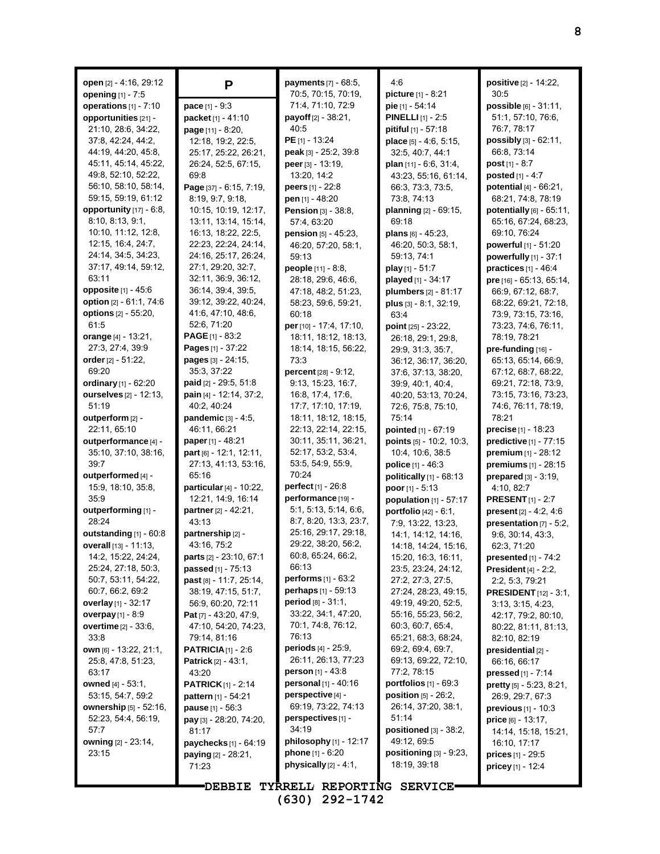| open [2] - 4:16, 29:12<br>opening [1] - 7:5 | P                                                   | payments [7] - 68:5,<br>70:5, 70:15, 70:19,        | 4:6<br>picture [1] - 8:21                   | positive [2] - 14:22,<br>30:5               |
|---------------------------------------------|-----------------------------------------------------|----------------------------------------------------|---------------------------------------------|---------------------------------------------|
| operations $[1]$ - $7:10$                   | $pace_{[1]} - 9:3$                                  | 71:4, 71:10, 72:9                                  | pie [1] - 54:14                             | <b>possible</b> $[6] - 31:11$ ,             |
| opportunities [21] -                        | packet [1] - 41:10                                  | payoff [2] - 38:21,                                | <b>PINELLI</b> $[1]$ - 2:5                  | 51:1, 57:10, 76:6,                          |
| 21:10, 28:6, 34:22,                         | <b>page</b> $[11] - 8:20$ ,                         | 40:5                                               | pitiful [1] - 57:18                         | 76:7, 78:17                                 |
| 37:8, 42:24, 44:2,                          | 12:18, 19:2, 22:5,                                  | <b>PE</b> $[1] - 13.24$                            | place [5] - 4:6, 5:15,                      | possibly [3] - 62:11,                       |
| 44:19, 44:20, 45:8,                         | 25:17, 25:22, 26:21,                                | peak [3] - 25:2, 39:8                              | 32:5, 40:7, 44:1                            | 66:8, 73:14                                 |
| 45:11, 45:14, 45:22,                        | 26:24, 52:5, 67:15,                                 | peer $[3] - 13:19$ ,                               | plan $[11] - 6.6, 31.4,$                    | post [1] - 8:7                              |
| 49.8, 52:10, 52:22,                         | 69:8                                                | 13:20, 14:2                                        | 43:23, 55:16, 61:14,                        | posted $[1] - 4:7$                          |
| 56:10, 58:10, 58:14,                        | Page [37] - 6:15, 7:19,                             | peers $[1] - 22:8$                                 | 66:3, 73:3, 73:5,                           | potential [4] - 66:21,                      |
| 59:15, 59:19, 61:12                         | 8:19, 9:7, 9:18,                                    | pen [1] - 48:20                                    | 73:8, 74:13                                 | 68:21, 74:8, 78:19                          |
| opportunity [17] - 6:8,                     | 10:15, 10:19, 12:17,                                | Pension [3] - 38:8,                                | planning [2] - 69:15,                       | potentially [6] - 65:11,                    |
| 8:10, 8:13, 9:1,                            | 13:11, 13:14, 15:14,                                | 57:4, 63:20                                        | 69:18                                       | 65:16, 67:24, 68:23,                        |
| 10.10, 11:12, 12.8,                         | 16:13, 18:22, 22:5,                                 | <b>pension</b> $[5] - 45:23$ ,                     | plans [6] - 45:23,                          | 69:10, 76:24                                |
| 12:15, 16:4, 24:7,                          | 22:23, 22:24, 24:14,                                | 46:20, 57:20, 58:1,                                | 46:20, 50:3, 58:1,                          | powerful [1] - 51:20                        |
| 24:14, 34:5, 34:23,                         | 24:16, 25:17, 26:24,                                | 59:13                                              | 59:13, 74:1                                 | powerfully [1] - 37:1                       |
| 37:17, 49:14, 59:12,                        | 27:1, 29:20, 32:7,                                  | people [11] - 8:8,                                 | play $[1] - 51:7$                           | practices $[1] - 46.4$                      |
| 63:11                                       | 32:11, 36:9, 36:12,                                 | 28:18, 29:6, 46:6,                                 | played [1] - 34:17                          | pre [16] - 65:13, 65:14,                    |
| opposite $[1] - 45:6$                       | 36.14, 39.4, 39.5,                                  | 47:18, 48:2, 51:23,                                | plumbers [2] - 81:17                        | 66:9, 67:12, 68:7,                          |
| option [2] - 61:1, 74:6                     | 39:12, 39:22, 40:24,                                | 58:23, 59:6, 59:21,                                | $plus$ [3] $- 8.1, 32.19,$                  | 68:22, 69:21, 72:18,                        |
| options [2] - 55:20,                        | 41.6, 47.10, 48.6,                                  | 60:18                                              | 63:4                                        | 73:9, 73:15, 73:16,                         |
| 61:5                                        | 52:6, 71:20                                         | per [10] - 17:4, 17:10,                            | point $[25] - 23:22$ ,                      | 73:23, 74:6, 76:11,                         |
| orange [4] - 13:21,                         | PAGE [1] - 83:2                                     | 18:11, 18:12, 18:13,                               | 26:18, 29:1, 29:8,                          | 78:19, 78:21                                |
| 27:3, 27:4, 39:9                            | Pages [1] - 37:22<br>pages [3] - 24:15,             | 18:14, 18:15, 56:22,                               | 29:9, 31:3, 35:7,                           | pre-funding [16] -                          |
| order [2] - 51:22,<br>69:20                 | 35:3, 37:22                                         | 73:3                                               | 36:12, 36:17, 36:20,                        | 65:13, 65:14, 66:9,                         |
| ordinary [1] - 62:20                        | paid [2] - 29:5, 51:8                               | percent [28] - 9:12,<br>9:13, 15:23, 16:7,         | 37:6, 37:13, 38:20,                         | 67:12, 68:7, 68:22,<br>69.21, 72:18, 73:9,  |
| ourselves [2] - 12:13,                      | pain [4] - 12:14, 37:2,                             | 16:8, 17:4, 17:6,                                  | 39:9, 40:1, 40:4,<br>40:20, 53:13, 70:24,   | 73:15, 73:16, 73:23,                        |
| 51:19                                       | 40:2, 40:24                                         | 17:7, 17:10, 17:19,                                | 72.6, 75.8, 75.10,                          | 74:6, 76:11, 78:19,                         |
| outperform [2] -                            | <b>pandemic</b> $[3] - 4.5$ ,                       | 18:11, 18:12, 18:15,                               | 75:14                                       | 78:21                                       |
| 22:11, 65:10                                | 46.11, 66.21                                        | 22:13, 22:14, 22:15,                               | pointed [1] - 67:19                         | <b>precise</b> $[1]$ - 18:23                |
| outperformance [4] -                        | paper [1] - 48:21                                   | 30:11, 35:11, 36:21,                               | points $[5] - 10.2, 10.3,$                  | predictive [1] - 77:15                      |
| 35:10, 37:10, 38:16,                        | part [6] - 12:1, 12:11,                             | 52:17, 53:2, 53:4,                                 | 10:4, 10:6, 38:5                            | premium [1] - 28:12                         |
| 39:7                                        | 27:13, 41:13, 53:16,                                | 53:5, 54:9, 55:9,                                  | police [1] - 46:3                           | premiums [1] - 28:15                        |
| outperformed [4] -                          | 65:16                                               | 70:24                                              | politically [1] - 68:13                     | prepared $[3] - 3:19$ ,                     |
| 15:9, 18:10, 35:8,                          | particular [4] - 10:22,                             | <b>perfect</b> $[1] - 26.8$                        | poor $[1] - 5:13$                           | 4:10, 82:7                                  |
| 35.9                                        | 12:21, 14:9, 16:14                                  | performance [19] -                                 | population [1] - 57:17                      | <b>PRESENT</b> $[1]$ - 2:7                  |
| outperforming [1] -                         | partner [2] - 42:21,                                | 5:1, 5:13, 5:14, 6:6,                              | portfolio [42] - 6:1,                       | present [2] - 4:2, 4:6                      |
| 28:24                                       | 43:13                                               | 8:7, 8:20, 13:3, 23:7,                             | 7:9, 13:22, 13:23,                          | presentation $[7] - 5:2$ ,                  |
| outstanding [1] - 60:8                      | partnership [2] -                                   | 25:16, 29:17, 29:18,                               | 14:1, 14:12, 14:16,                         | 9:6, 30:14, 43:3,                           |
| overall [13] - 11:13,                       | 43:16, 75:2                                         | 29:22, 38:20, 56:2,                                | 14:18, 14:24, 15:16,                        | 62:3, 71:20                                 |
| 14:2, 15:22, 24:24,                         | parts [2] - 23:10, 67:1                             | 60:8, 65:24, 66:2,                                 | 15:20, 16:3, 16:11,                         | presented [1] - 74:2                        |
| 25:24, 27:18, 50:3,                         | passed [1] - 75:13                                  | 66:13                                              | 23:5, 23:24, 24:12,                         | President $[4]$ - 2:2,                      |
| 50:7, 53:11, 54:22,                         | past [8] - 11.7, 25.14,                             | performs [1] - 63:2                                | 27:2, 27:3, 27:5,                           | 2:2, 5:3, 79:21                             |
| 60:7, 66:2, 69:2<br>overlay $[1] - 32:17$   | 38:19, 47:15, 51:7,                                 | <b>perhaps</b> $[1] - 59:13$<br>period [8] - 31:1. | 27:24, 28:23, 49:15,<br>49:19, 49:20, 52:5, | <b>PRESIDENT</b> [12] - 3:1,                |
| overpay $[1] - 8.9$                         | 56.9, 60.20, 72.11<br><b>Pat</b> [7] - 43:20, 47:9, | 33:22, 34:1, 47:20,                                | 55:16, 55:23, 56:2,                         | 3:13, 3:15, 4:23,                           |
| <b>overtime</b> [2] - 33:6,                 | 47:10, 54:20, 74:23,                                | 70:1, 74:8, 76:12,                                 | 60:3, 60:7, 65:4,                           | 42.17, 79:2, 80:10,<br>80:22, 81:11, 81:13, |
| 33.8                                        | 79.14, 81.16                                        | 76:13                                              | 65:21, 68:3, 68:24,                         | 82:10, 82:19                                |
| own [6] - 13:22, 21:1,                      | <b>PATRICIA</b> $[1]$ - 2:6                         | <b>periods</b> $[4] - 25.9$ ,                      | 69.2, 69.4, 69.7,                           | presidential [2] -                          |
| 25.8, 47.8, 51.23,                          | <b>Patrick</b> $[2] - 43.1$ ,                       | 26:11, 26:13, 77:23                                | 69:13, 69:22, 72:10,                        | 66:16, 66:17                                |
| 63:17                                       | 43:20                                               | <b>person</b> $[1] - 43.8$                         | 77:2, 78:15                                 | pressed $[1] - 7:14$                        |
| owned $[4] - 53.1$ ,                        | <b>PATRICK</b> $[1]$ - 2:14                         | <b>personal</b> $[1] - 40.16$                      | portfolios $[1]$ - 69:3                     | pretty [5] - 5:23, 8:21,                    |
| 53:15, 54:7, 59:2                           | <b>pattern</b> [1] - 54:21                          | perspective [4] -                                  | position $[5]$ - 26:2,                      | 26.9, 29.7, 67:3                            |
| <b>ownership</b> [5] - 52:16,               | <b>pause</b> $[1] - 56:3$                           | 69:19, 73:22, 74:13                                | 26:14, 37:20, 38:1,                         | <b>previous</b> $[1] - 10:3$                |
| 52:23, 54:4, 56:19,                         | pay [3] - 28:20, 74:20,                             | perspectives [1] -                                 | 51:14                                       | <b>price</b> [6] - 13:17,                   |
| 57:7                                        | 81:17                                               | 34:19                                              | positioned $[3]$ - $38:2$ ,                 | 14:14, 15:18, 15:21,                        |
| <b>owning</b> [2] - 23:14,                  | paychecks [1] - 64:19                               | philosophy $[1]$ - 12:17                           | 49:12, 69:5                                 | 16:10, 17:17                                |
| 23:15                                       | paying [2] - 28:21,                                 | phone [1] - 6:20                                   | positioning $[3]$ - $9:23$ ,                | prices [1] - 29:5                           |
|                                             | 71:23                                               | physically $[2] - 4.1$ ,                           | 18:19, 39:18                                | pricey [1] - 12:4                           |
|                                             |                                                     |                                                    |                                             |                                             |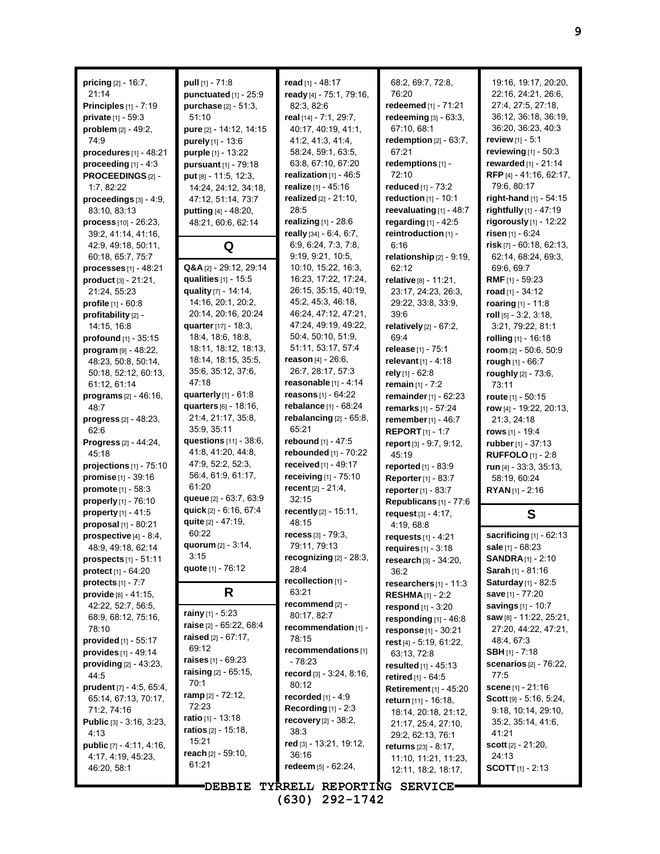| <b>pricing</b> $[2] - 16.7$ ,                                 | pull [1] - 71:8                           | read [1] - 48:17                           | 68.2, 69.7, 72.8,                               | 19:16, 19:17, 20:20,           |
|---------------------------------------------------------------|-------------------------------------------|--------------------------------------------|-------------------------------------------------|--------------------------------|
| 21:14                                                         | punctuated [1] - 25:9                     | ready [4] - 75:1, 79:16,                   | 76:20                                           | 22:16, 24:21, 26:6,            |
| Principles [1] - 7:19                                         | <b>purchase</b> $[2] - 51:3$ ,            | 82:3, 82:6                                 | redeemed [1] - 71:21                            | 27:4, 27:5, 27:18,             |
| private [1] - 59:3                                            | 51:10                                     | real [14] - 7:1, 29:7,                     | redeeming [3] - 63:3,                           | 36:12, 36:18, 36:19,           |
| problem [2] - 49:2,                                           | pure [2] - 14:12, 14:15                   | 40:17, 40:19, 41:1,                        | 67:10, 68:1                                     | 36:20, 36:23, 40:3             |
| 74.9                                                          | purely [1] - 13:6                         | 41:2, 41:3, 41:4,                          | redemption $[2] - 63:7$ ,                       | review $[1] - 5:1$             |
| procedures $[1]$ - 48:21                                      | purple [1] - 13:22                        | 58:24, 59:1, 63:5,                         | 67:21                                           | reviewing [1] - 50:3           |
| proceeding $[1] - 4:3$                                        | pursuant [1] - 79:18                      | 63:8, 67:10, 67:20                         | redemptions [1] -                               | rewarded $[1] - 21:14$         |
| PROCEEDINGS[2]-                                               | put [8] - 11:5, 12:3,                     | realization $[1]$ - 46:5                   | 72:10                                           | RFP [4] - 41:16, 62:17,        |
| 1:7, 82:22                                                    | 14:24, 24:12, 34:18,                      | realize [1] - 45:16                        | reduced [1] - 73:2                              | 79:6, 80:17                    |
| proceedings [3] - 4:9,                                        | 47:12, 51:14, 73:7                        | realized $[2] - 21:10$ ,                   | reduction $[1]$ - 10:1                          | right-hand [1] - 54:15         |
| 83:10, 83:13                                                  | putting [4] - 48:20,                      | 28:5                                       | reevaluating $[1]$ - 48:7                       | rightfully [1] - 47:19         |
| $process[10] - 26.23,$                                        | 48:21, 60:6, 62:14                        | realizing [1] - 28:6                       | regarding $[1] - 42:5$                          | rigorously [1] - 12:22         |
| 39:2, 41:14, 41:16,                                           |                                           | really [34] - 6:4, 6:7,                    | reintroduction [1] -                            | risen $[1] - 6:24$             |
| 42:9, 49:18, 50:11,                                           | Q                                         | 6:9, 6:24, 7:3, 7:8,                       | 6:16                                            | risk $[7] - 60:18, 62:13,$     |
| 60:18, 65:7, 75:7                                             |                                           | 9:19, 9:21, 10:5,                          | relationship [2] - 9:19,                        | 62:14, 68:24, 69:3,            |
| <b>processes</b> $[1] - 48:21$                                | Q&A [2] - 29:12, 29:14                    | 10:10, 15:22, 16:3,                        | 62:12                                           | 69.6, 69.7                     |
| product [3] - 21:21,                                          | qualities [1] - 15:5                      | 16:23, 17:22, 17:24,                       | relative [8] - 11:21,                           | <b>RMF</b> $[1]$ - 59:23       |
| 21:24, 55:23                                                  | quality [7] - 14:14,                      | 26:15, 35:15, 40:19,                       | 23.17, 24.23, 26.3,                             | road $[1] - 34:12$             |
| profile [1] - 60:8                                            | 14:16, 20:1, 20:2,                        | 45:2, 45:3, 46:18,                         | 29:22, 33:8, 33:9,                              | roaring [1] - 11:8             |
| profitability [2] -                                           | 20.14, 20.16, 20.24                       | 46:24, 47:12, 47:21,                       | 39.6                                            | roll $[5]$ - 3:2, 3:18,        |
| 14:15, 16:8                                                   | quarter [17] - 18:3,                      | 47:24, 49:19, 49:22,<br>50:4, 50:10, 51:9, | relatively $[2] - 67:2$ ,                       | 3.21, 79.22, 81.1              |
| profound [1] - 35:15                                          | 18.4, 18.6, 18.8,<br>18:11, 18:12, 18:13, | 51:11, 53:17, 57:4                         | 69.4                                            | rolling [1] - 16:18            |
| program [9] - 48:22,                                          |                                           | reason $[4] - 26:6$ ,                      | <b>release</b> [1] - 75:1                       | room [2] - 50:6, 50:9          |
| 48:23, 50:8, 50:14,                                           | 18:14, 18:15, 35:5,                       | 26:7, 28:17, 57:3                          | relevant [1] - 4:18                             | rough [1] - 66:7               |
| 50:18, 52:12, 60:13,                                          | 35.6, 35.12, 37.6,<br>47:18               | reasonable $[1] - 4:14$                    | rely [1] - 62:8                                 | roughly [2] - 73:6,            |
| 61:12, 61:14                                                  | quarterly $[1]$ - $61.8$                  | <b>reasons</b> $[1] - 64:22$               | remain $[1] - 7:2$                              | 73:11                          |
| programs [2] - 46:16,                                         | quarters [6] - 18:16,                     | rebalance [1] - 68:24                      | remainder [1] - 62:23                           | route $[1] - 50:15$            |
| 48:7                                                          | 21:4, 21:17, 35:8,                        |                                            | remarks [1] - 57:24                             | row [4] - 19:22, 20:13,        |
| <b>progress</b> $[2] - 48:23$ ,                               | 35:9, 35:11                               | rebalancing $[2] - 65:8$ ,<br>65:21        | remember [1] - 46:7                             | 21:3, 24:18                    |
| 62:6                                                          | questions [11] - 38:6,                    | rebound [1] - 47:5                         | <b>REPORT</b> $[1] - 1:7$                       | <b>rows</b> [1] - 19:4         |
| Progress [2] - 44:24,                                         | 41.8, 41.20, 44.8,                        | rebounded [1] - 70:22                      | report [3] - 9:7, 9:12,                         | rubber [1] - 37:13             |
| 45:18                                                         | 47.9, 52.2, 52.3,                         | received $[1] - 49:17$                     | 45:19                                           | <b>RUFFOLO</b> $[1] - 2:8$     |
| projections $[1]$ - $75:10$<br>promise [1] - 39:16            | 56.4, 61.9, 61.17,                        | receiving [1] - 75:10                      | reported [1] - 83:9                             | run $[4]$ - 33:3, 35:13,       |
| promote [1] - 58:3                                            | 61:20                                     | recent [2] - 21:4,                         | <b>Reporter</b> [1] - 83:7                      | 58:19, 60:24                   |
| properly [1] - 76:10                                          | queue [2] - 63:7, 63:9                    | 32:15                                      | reporter $[1] - 83.7$                           | $RYAN_{[1]} - 2:16$            |
| property $[1] - 41:5$                                         | quick [2] - 6:16, 67:4                    | recently [2] - 15:11,                      | Republicans [1] - 77:6                          |                                |
| proposal $[1] - 80.21$                                        | quite [2] - 47:19,                        | 48:15                                      | request [3] - 4:17,<br>4:19, 68:8               | S                              |
| prospective [4] - 8:4,                                        | 60:22                                     | recess $[3] - 79.3$                        | requests $[1] - 4:21$                           | sacrificing $[1]$ - 62:13      |
| 48.9, 49.18, 62.14                                            | quorum $[2] - 3.14$ ,                     | 79:11, 79:13                               |                                                 | sale [1] - 68:23               |
| <b>prospects</b> $[1] - 51:11$                                | 3:15                                      | recognizing $[2] - 28.3$ ,                 | requires [1] - 3:18<br>research $[3] - 34.20$ , | <b>SANDRA</b> [1] - 2:10       |
| <b>protect</b> $[1] - 64:20$                                  | quote [1] - 76:12                         | 28:4                                       | 36:2                                            | Sarah [1] - 81:16              |
| protects $[1] - 7:7$                                          |                                           | recollection [1] -                         | researchers $[1]$ - 11:3                        | Saturday [1] - 82:5            |
| $\n  provide \begin{bmatrix} 8 \\ -41 \\ 15 \\ \end{bmatrix}$ | R.                                        | 63:21                                      | <b>RESHMA</b> $[1]$ - 2:2                       | save [1] - 77:20               |
| 42.22, 52.7, 56.5,                                            |                                           | recommend [2] -                            | respond $[1] - 3:20$                            | savings $[1] - 10:7$           |
| 68:9, 68:12, 75:16,                                           | rainy [1] - 5:23                          | 80:17, 82:7                                | responding $[1]$ - 46:8                         | <b>saw</b> [8] - 11:22, 25:21, |
| 78:10                                                         | raise [2] - 65:22, 68:4                   | recommendation [1] -                       | response [1] - 30:21                            | 27:20, 44:22, 47:21,           |
| provided [1] - 55:17                                          | raised $[2] - 67:17$ ,                    | 78:15                                      | rest [4] - 5:19, 61:22,                         | 48.4, 67.3                     |
| provides [1] - 49:14                                          | 69:12                                     | recommendations [1]                        | 63:13, 72:8                                     | <b>SBH</b> $[1]$ - 7:18        |
| providing [2] - 43:23,                                        | raises $[1] - 69:23$                      | - 78:23                                    | <b>resulted</b> $[1] - 45:13$                   | scenarios [2] - 76:22,         |
|                                                               |                                           |                                            |                                                 |                                |
| 44:5                                                          | <b>raising</b> $[2] - 65.15$ ,            | record [3] - 3:24, 8:16,                   |                                                 | 77:5                           |
| prudent [7] - 4:5, 65:4,                                      | 70:1                                      | 80:12                                      | retired [1] - 64:5                              | scene $[1] - 21:16$            |
| 65:14, 67:13, 70:17,                                          | <b>ramp</b> [2] - 72:12,                  | recorded $[1]$ - 4:9                       | Retirement [1] - 45:20                          | Scott $[9] - 5.16, 5.24,$      |
| 71:2, 74:16                                                   | 72:23                                     | Recording $[1] - 2:3$                      | return [11] - 16:18,                            | 9:18, 10:14, 29:10,            |
| <b>Public</b> $[3] - 3.16, 3.23,$                             | <b>ratio</b> [1] - 13:18                  | recovery $[2] - 38:2,$                     | 18:14, 20:18, 21:12,                            | 35:2, 35:14, 41:6,             |
| 4:13                                                          | <b>ratios</b> [2] - 15:18,                | 38:3                                       | 21:17, 25:4, 27:10,                             | 41:21                          |
| <b>public</b> $[7] - 4.11, 4.16,$                             | 15:21                                     | red $[3]$ - 13:21, 19:12,                  | 29:2, 62:13, 76:1                               | scott $[2] - 21.20$ ,          |
| 4:17, 4:19, 45:23,                                            | <b>reach</b> [2] - 59:10,                 | 36:16                                      | returns [23] - 8:17,                            | 24:13                          |
| 46:20, 58:1                                                   | 61:21                                     | redeem [5] - 62:24,                        | 11:10, 11:21, 11:23,<br>12:11, 18:2, 18:17,     | <b>SCOTT</b> $[1]$ - 2:13      |
|                                                               | <b>DEBBIE</b>                             | TYRRELL REPORTING SERVICE.                 |                                                 |                                |

**(630) 292-1742**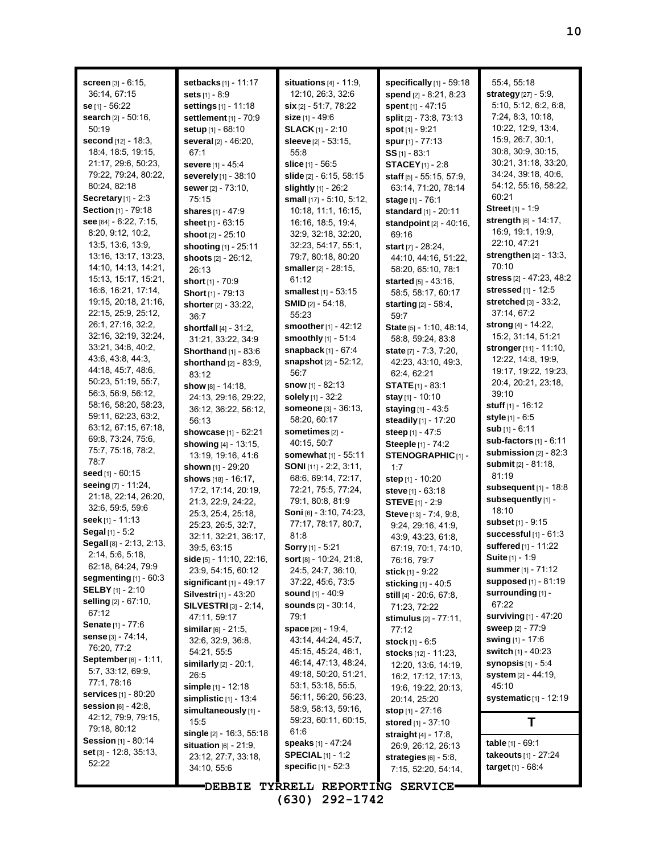| <b>screen</b> $[3] - 6:15$ ,               | setbacks [1] - 11:17                              | situations $[4] - 11.9$ ,                  | specifically $[1]$ - 59:18                           | 55:4, 55:18                                |  |
|--------------------------------------------|---------------------------------------------------|--------------------------------------------|------------------------------------------------------|--------------------------------------------|--|
| 36:14, 67:15                               | sets $[1] - 8.9$                                  | 12:10, 26:3, 32:6                          | spend [2] - 8:21, 8:23                               | strategy [27] - 5:9,                       |  |
| se [1] - 56:22                             | <b>settings</b> $[1] - 11:18$                     | <b>six</b> $[2] - 51:7, 78:22$             | spent [1] - 47:15                                    | 5:10, 5:12, 6:2, 6:8,<br>7:24, 8:3, 10:18, |  |
| search [2] - 50:16,                        | settlement [1] - 70:9                             | <b>size</b> [1] - 49:6                     | split [2] - 73:8, 73:13                              | 10:22, 12:9, 13:4,                         |  |
| 50:19<br><b>second</b> [12] - 18:3,        | <b>setup</b> [1] - 68:10                          | <b>SLACK</b> $[1]$ - 2:10                  | spot $[1] - 9.21$                                    | 15:9, 26:7, 30:1,                          |  |
| 18:4, 18:5, 19:15,                         | several [2] - 46:20,                              | sleeve [2] - 53:15,<br>55:8                | spur [1] - 77:13                                     | 30.8, 30.9, 30.15,                         |  |
| 21:17, 29:6, 50:23,                        | 67:1                                              |                                            | $SS$ <sub>[1]</sub> - 83:1                           | 30:21, 31:18, 33:20,                       |  |
|                                            | severe [1] - 45:4                                 | slice $[1] - 56.5$                         | <b>STACEY</b> $[1]$ - 2:8                            | 34:24, 39:18, 40:6,                        |  |
| 79:22, 79:24, 80:22,<br>80:24, 82:18       | severely [1] - 38:10                              | <b>slide</b> [2] - 6:15, 58:15             | staff [5] - 55:15, 57:9,                             | 54:12, 55:16, 58:22,                       |  |
| Secretary $[1] - 2.3$                      | <b>sewer</b> [2] - 73:10,                         | slightly $[1] - 26:2$                      | 63:14, 71:20, 78:14                                  | 60:21                                      |  |
| Section [1] - 79:18                        | 75:15                                             | small [17] - 5:10, 5:12,                   | <b>stage</b> [1] - 76:1                              | Street <sub>[1]</sub> - 1:9                |  |
| see [64] - 6:22, 7:15,                     | <b>shares</b> [1] - 47:9                          | 10:18, 11:1, 16:15,                        | standard [1] - 20:11                                 | strength [6] - 14:17,                      |  |
| 8:20, 9:12, 10:2,                          | sheet $[1] - 63:15$                               | 16:16, 18:5, 19:4,                         | standpoint [2] - 40:16,                              | 16.9, 19.1, 19.9,                          |  |
| 13:5, 13:6, 13:9,                          | shoot $[2] - 25:10$                               | 32:9, 32:18, 32:20,<br>32:23, 54:17, 55:1, | 69:16                                                | 22:10, 47:21                               |  |
| 13:16, 13:17, 13:23,                       | shooting [1] - 25:11                              | 79:7, 80:18, 80:20                         | start $[7] - 28:24$ ,                                | strengthen $[2]$ - 13:3,                   |  |
| 14:10, 14:13, 14:21,                       | shoots $[2] - 26:12$ ,                            | <b>smaller</b> [2] - 28:15,                | 44:10, 44:16, 51:22,                                 | 70:10                                      |  |
| 15:13, 15:17, 15:21,                       | 26:13                                             | 61:12                                      | 58:20, 65:10, 78:1<br><b>started</b> $[5] - 43:16$ , | stress [2] - 47:23, 48:2                   |  |
| 16.6, 16:21, 17:14,                        | short [1] - 70:9                                  | smallest [1] - 53:15                       | 58:5, 58:17, 60:17                                   | stressed [1] - 12:5                        |  |
| 19:15, 20:18, 21:16,                       | Short [1] - 79:13                                 | <b>SMID</b> $[2] - 54:18$ ,                |                                                      | stretched [3] - 33:2,                      |  |
| 22:15, 25:9, 25:12,                        | shorter [2] - 33:22,                              | 55:23                                      | <b>starting</b> $[2] - 58.4$ ,                       | 37:14, 67:2                                |  |
| 26:1, 27:16, 32:2,                         | 36:7                                              | <b>smoother</b> [1] - 42:12                | 59:7<br>State [5] - 1:10, 48:14,                     | strong [4] - 14:22,                        |  |
| 32:16, 32:19, 32:24,                       | shortfall $[4] - 31:2$ ,                          | <b>smoothly</b> $[1] - 51:4$               | 58:8, 59:24, 83:8                                    | 15:2, 31:14, 51:21                         |  |
| 33:21, 34.8, 40.2,                         | 31:21, 33:22, 34:9<br><b>Shorthand</b> [1] - 83:6 | <b>snapback</b> $[1] - 67:4$               | state $[7] - 7:3, 7:20,$                             | stronger [11] - 11:10,                     |  |
| 43.6, 43.8, 44.3,                          | shorthand [2] - 83:9,                             | <b>snapshot</b> [2] - 52:12,               | 42:23, 43:10, 49:3,                                  | 12:22, 14:8, 19:9,                         |  |
| 44:18, 45:7, 48:6,                         | 83:12                                             | 56:7                                       | 62.4, 62.21                                          | 19:17, 19:22, 19:23,                       |  |
| 50:23, 51:19, 55:7,                        | <b>show</b> թթ - 14:18,                           | <b>snow</b> $[1] - 82:13$                  | <b>STATE</b> $[1]$ - 83:1                            | 20.4, 20.21, 23:18,                        |  |
| 56:3, 56:9, 56:12,                         | 24:13, 29:16, 29:22,                              | solely [1] - 32:2                          | <b>stay</b> $[1]$ - 10:10                            | 39:10                                      |  |
| 58:16, 58:20, 58:23,                       | 36:12, 36:22, 56:12,                              | <b>someone</b> [3] - 36:13,                | <b>staying</b> $[1] - 43.5$                          | <b>stuff</b> $[1]$ - 16:12                 |  |
| 59:11, 62:23, 63:2,                        | 56:13                                             | 58:20, 60:17                               | steadily [1] - 17:20                                 | <b>style</b> $[1] - 6.5$                   |  |
| 63:12, 67:15, 67:18,                       | showcase [1] - 62:21                              | sometimes [2] -                            | steep [1] - 47:5                                     | sub [1] - 6:11                             |  |
| 69:8, 73:24, 75:6,                         | showing $[4] - 13:15$ ,                           | 40:15, 50:7                                | Steeple [1] - 74:2                                   | sub-factors [1] - 6:11                     |  |
| 75:7, 75:16, 78:2,                         | 13:19, 19:16, 41:6                                | somewhat [1] - 55:11                       | STENOGRAPHIC [1] -                                   | submission $[2]$ - 82:3                    |  |
| 78:7                                       | shown [1] - 29:20                                 | <b>SONI</b> [11] - 2:2, 3:11,              | 1:7                                                  | <b>submit</b> [2] - 81:18,                 |  |
| seed $[1] - 60:15$                         | shows [18] - 16:17,                               | 68:6, 69:14, 72:17,                        | step [1] - 10:20                                     | 81:19                                      |  |
| seeing [7] - 11:24,                        | 17:2, 17:14, 20:19,                               | 72:21, 75:5, 77:24,                        | steve [1] - 63:18                                    | subsequent $[1]$ - 18:8                    |  |
| 21:18, 22:14, 26:20,                       | 21:3, 22:9, 24:22,                                | 79:1, 80:8, 81:9                           | <b>STEVE</b> [1] - 2:9                               | subsequently [1] -                         |  |
| 32:6, 59:5, 59:6                           | 25.3, 25.4, 25.18,                                | Soni [6] - 3:10, 74:23,                    | Steve [13] - 7:4, 9:8,                               | 18:10                                      |  |
| seek [1] - 11:13                           | 25:23, 26:5, 32:7,                                | 77:17, 78:17, 80:7,                        | 9:24, 29:16, 41:9,                                   | subset $[1] - 9.15$                        |  |
| <b>Segal</b> $[1] - 5:2$                   | 32:11, 32:21, 36:17,                              | 81.8                                       | 43.9, 43.23, 61.8,                                   | successful $[1]$ - $61:3$                  |  |
| Segall [8] - 2:13, 2:13,                   | 39:5, 63:15                                       | <b>Sorry</b> [1] - 5:21                    | 67:19, 70:1, 74:10,                                  | suffered [1] - 11:22                       |  |
| 2:14, 5:6, 5:18,                           | side [5] - 11:10, 22:16,                          | <b>sort</b> $[8] - 10.24$ , 21:8,          | 76:16, 79:7                                          | <b>Suite</b> [1] - 1:9                     |  |
| 62:18, 64:24, 79:9                         | 23:9, 54:15, 60:12                                | 24.5, 24.7, 36.10,                         | stick [1] - 9:22                                     | <b>summer</b> [1] - 71:12                  |  |
| segmenting $[1]$ - 60:3                    | significant $[1]$ - 49:17                         | 37:22, 45:6, 73:5                          | sticking [1] - 40:5                                  | <b>supposed</b> [1] - 81:19                |  |
| <b>SELBY</b> [1] - 2:10                    | Silvestri [1] - 43:20                             | <b>sound</b> [1] - 40:9                    | still [4] - 20:6, 67:8,                              | surrounding [1] -                          |  |
| selling $[2] - 67:10$ ,                    | <b>SILVESTRI</b> $[3] - 2:14$ ,                   | <b>sounds</b> [2] - 30:14,                 | 71:23, 72:22                                         | 67:22                                      |  |
| 67:12                                      | 47:11, 59:17                                      | 79:1                                       | stimulus [2] - 77:11,                                | surviving $[1]$ - 47:20                    |  |
| Senate [1] - 77:6                          | similar [6] - 21:5,                               | space [26] - 19:4,                         | 77:12                                                | <b>sweep</b> [2] - 77:9                    |  |
| <b>sense</b> [3] - 74:14,                  | 32.6, 32.9, 36.8,                                 | 43:14, 44:24, 45:7,                        | stock $[1] - 6.5$                                    | <b>swing</b> [1] - 17:6                    |  |
| 76:20, 77:2                                | 54:21, 55:5                                       | 45:15, 45:24, 46:1,                        | stocks [12] - 11:23,                                 | switch [1] - 40:23                         |  |
| September [6] - 1:11,<br>5:7, 33:12, 69:9, | similarly $[2] - 20:1$ ,                          | 46:14, 47:13, 48:24,                       | 12:20, 13:6, 14:19,                                  | synopsis $[1] - 5.4$                       |  |
| 77:1, 78:16                                | 26:5                                              | 49:18, 50:20, 51:21,                       | 16:2, 17:12, 17:13,                                  | system [2] - 44:19,                        |  |
| <b>services</b> [1] - 80:20                | simple [1] - 12:18                                | 53:1, 53:18, 55:5,                         | 19:6, 19:22, 20:13,                                  | 45:10                                      |  |
| <b>session</b> [6] - 42:8,                 | simplistic $[1]$ - 13:4                           | 56:11, 56:20, 56:23,                       | 20:14, 25:20                                         | systematic [1] - 12:19                     |  |
| 42:12, 79:9, 79:15,                        | simultaneously [1] -                              | 58:9, 58:13, 59:16,                        | <b>stop</b> $[1] - 27:16$                            |                                            |  |
| 79:18, 80:12                               | 15:5                                              | 59:23, 60:11, 60:15,                       | stored [1] - 37:10                                   | Τ                                          |  |
| <b>Session</b> $[1] - 80:14$               | single [2] - 16:3, 55:18                          | 61.6                                       | straight $[4] - 17:8$ ,                              |                                            |  |
| set $[3] - 12:8, 35:13,$                   | situation $[6] - 21:9$ ,                          | speaks [1] - 47:24                         | 26.9, 26.12, 26.13                                   | table [1] - 69:1                           |  |
| 52:22                                      | 23:12, 27:7, 33:18,                               | <b>SPECIAL</b> $[1]$ - 1:2                 | strategies $[6] - 5.8$ ,                             | takeouts [1] - 27:24                       |  |
|                                            | 34:10, 55:6                                       | specific [1] - 52:3                        | 7:15, 52:20, 54:14,                                  | <b>target</b> $[1] - 68.4$                 |  |
|                                            |                                                   |                                            |                                                      |                                            |  |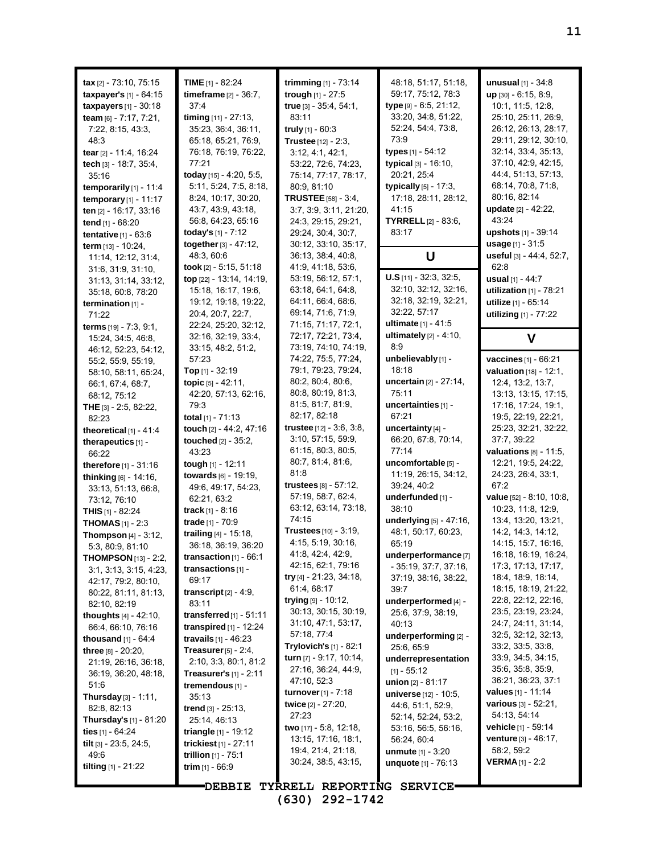| tax $[2] - 73:10, 75:15$<br>taxpayer's [1] - 64:15<br>taxpayers $[1]$ - 30:18<br>team [6] - 7:17, 7:21,<br>7:22, 8:15, 43:3,<br>48.3<br>tear [2] - 11:4, 16:24<br>tech [3] - 18:7, 35:4, | TIME $[1]$ - 82:24<br>timeframe $[2] - 36:7$ ,<br>37:4<br>timing [11] - 27:13,<br>35:23, 36:4, 36:11,<br>65:18, 65:21, 76:9,<br>76:18, 76:19, 76:22,<br>77:21                       | trimming $[1]$ - 73:14<br>trough [1] - 27:5<br>true [3] - 35:4, 54:1,<br>83:11<br>truly $[1] - 60.3$<br>Trustee [12] - 2:3,<br>3:12, 4:1, 42:1,<br>53:22, 72:6, 74:23,                 | 48:18, 51:17, 51:18,<br>59:17, 75:12, 78:3<br>type [9] - 6.5, 21:12,<br>33:20, 34:8, 51:22,<br>52:24, 54:4, 73:8,<br>73.9<br>types [1] - 54:12<br>typical <sup>[3]</sup> - 16:10, | unusual [1] - 34:8<br>$up$ [30] - 6:15, 8:9,<br>10:1, 11:5, 12:8,<br>25:10, 25:11, 26:9,<br>26:12, 26:13, 28:17,<br>29:11, 29:12, 30:10,<br>32:14, 33:4, 35:13,<br>37:10, 42:9, 42:15, |
|------------------------------------------------------------------------------------------------------------------------------------------------------------------------------------------|-------------------------------------------------------------------------------------------------------------------------------------------------------------------------------------|----------------------------------------------------------------------------------------------------------------------------------------------------------------------------------------|-----------------------------------------------------------------------------------------------------------------------------------------------------------------------------------|----------------------------------------------------------------------------------------------------------------------------------------------------------------------------------------|
| 35:16<br>temporarily $[1]$ - 11:4<br><b>temporary</b> $[1]$ - 11:17<br>ten [2] - 16:17, 33:16<br>tend [1] - 68:20<br>tentative $[1]$ - $63:6$<br>term [13] - 10:24,                      | today $[15] - 4.20, 5.5,$<br>5:11, 5:24, 7:5, 8:18,<br>8:24, 10:17, 30:20,<br>43.7, 43.9, 43.18,<br>56.8, 64.23, 65.16<br>today's [1] - 7:12<br>together [3] - 47:12,<br>48:3, 60:6 | 75:14, 77:17, 78:17,<br>80:9, 81:10<br><b>TRUSTEE</b> [58] - 3:4,<br>3:7, 3:9, 3:11, 21:20,<br>24:3, 29:15, 29:21,<br>29:24, 30:4, 30:7,<br>30:12, 33:10, 35:17,<br>36:13, 38:4, 40:8, | 20:21, 25:4<br>typically [5] - 17:3,<br>17:18, 28:11, 28:12,<br>41:15<br><b>TYRRELL</b> [2] - 83:6,<br>83:17<br>U                                                                 | 44.4, 51.13, 57:13,<br>68:14, 70:8, 71:8,<br>80.16, 82:14<br>update [2] - 42:22,<br>43:24<br>upshots [1] - 39:14<br>usage [1] - 31:5<br>useful [3] - 44:4, 52:7,                       |
| 11:14, 12:12, 31:4,<br>31:6, 31:9, 31:10,<br>31:13, 31:14, 33:12,<br>35:18, 60:8, 78:20<br>termination $[1]$ -<br>71:22<br>terms [19] - 7:3, 9:1,<br>15:24, 34:5, 46:8,                  | took [2] - 5:15, 51:18<br>top [22] - 13:14, 14:19,<br>15:18, 16:17, 19:6,<br>19:12, 19:18, 19:22,<br>20:4, 20:7, 22:7,<br>22:24, 25:20, 32:12,<br>32:16, 32:19, 33:4,               | 41:9, 41:18, 53:6,<br>53:19, 56:12, 57:1,<br>63:18, 64:1, 64:8,<br>64:11, 66:4, 68:6,<br>69:14, 71:6, 71:9,<br>71:15, 71:17, 72:1,<br>72:17, 72:21, 73:4,                              | $U.S$ [11] - 32:3, 32:5,<br>32:10, 32:12, 32:16,<br>32:18, 32:19, 32:21,<br>32:22, 57:17<br>ultimate [1] - 41:5<br>ultimately $[2] - 4.10$ ,                                      | 62:8<br>usual [1] - 44:7<br>utilization $[1]$ - $78:21$<br>utilize [1] - 65:14<br>utilizing [1] - 77:22<br>V                                                                           |
| 46:12, 52:23, 54:12,<br>55:2, 55:9, 55:19,<br>58:10, 58:11, 65:24,<br>66.1, 67:4, 68:7,<br>68:12, 75:12<br><b>THE</b> $[3] - 2:5, 82:22,$                                                | 33.15, 48.2, 51.2,<br>57:23<br><b>Top</b> [1] - 32:19<br>topic [5] - 42:11,<br>42:20, 57:13, 62:16,<br>79:3                                                                         | 73:19, 74:10, 74:19,<br>74:22, 75:5, 77:24,<br>79:1, 79:23, 79:24,<br>80:2, 80:4, 80:6,<br>80:8, 80:19, 81:3,<br>81:5, 81:7, 81:9,                                                     | 8:9<br>unbelievably [1] -<br>18:18<br>uncertain [2] - 27:14,<br>75:11<br>uncertainties [1] -                                                                                      | vaccines [1] - 66:21<br>valuation [18] - 12:1,<br>12:4, 13:2, 13:7,<br>13:13, 13:15, 17:15,<br>17:16, 17:24, 19:1,                                                                     |
| 82:23<br>theoretical $[1] - 41.4$<br>therapeutics [1] -<br>66:22<br>therefore [1] - 31:16                                                                                                | total $[1]$ - 71:13<br>touch [2] - 44:2, 47:16<br>touched [2] - 35:2,<br>43:23<br>tough [1] - 12:11                                                                                 | 82:17, 82:18<br>trustee [12] - 3:6, 3:8,<br>3.10, 57.15, 59.9,<br>61:15, 80:3, 80:5,<br>80:7, 81:4, 81:6,<br>81:8                                                                      | 67:21<br>uncertainty [4] -<br>66:20, 67:8, 70:14,<br>77:14<br>uncomfortable [5] -                                                                                                 | 19:5, 22:19, 22:21,<br>25:23, 32:21, 32:22,<br>37:7, 39:22<br>valuations $[8] - 11:5$ ,<br>12:21, 19:5, 24:22,                                                                         |
| thinking [6] - 14:16,<br>33.13, 51.13, 66.8,<br>73:12, 76:10<br>THIS [1] - 82:24<br><b>THOMAS</b> $[1]$ - 2:3<br>Thompson [4] - 3:12,                                                    | towards [6] - 19:19,<br>49:6, 49:17, 54:23,<br>62:21, 63:2<br><b>track</b> $[1] - 8.16$<br>trade [1] - 70:9<br>trailing [4] - 15:18,                                                | trustees $[8] - 57:12$ ,<br>57:19, 58:7, 62:4,<br>63:12, 63:14, 73:18,<br>74:15<br>Trustees [10] - 3:19,                                                                               | 11:19, 26:15, 34:12,<br>39:24, 40:2<br>underfunded [1] -<br>38:10<br>underlying [5] - 47:16,<br>48:1, 50:17, 60:23,                                                               | 24:23, 26:4, 33:1,<br>67:2<br>value [52] - 8:10, 10:8,<br>10:23, 11:8, 12:9,<br>13:4, 13:20, 13:21,<br>14:2, 14:3, 14:12,                                                              |
| 5:3, 80:9, 81:10<br><b>THOMPSON</b> $[13] - 2:2$ ,<br>3.1, 3.13, 3.15, 4.23,<br>42:17, 79:2, 80:10,<br>80:22, 81:11, 81:13,<br>82:10, 82:19<br><b>thoughts</b> $[4] - 42:10$ ,           | 36:18, 36:19, 36:20<br>transaction $[1] - 66:1$<br>transactions $[1]$ -<br>69:17<br>transcript $[2] - 4:9$ ,<br>83:11<br>transferred $[1]$ - 51:11                                  | 4:15, 5:19, 30:16,<br>41:8, 42:4, 42:9,<br>42:15, 62:1, 79:16<br>try [4] - 21:23, 34:18,<br>61:4, 68:17<br>trying $[9] - 10.12$ ,<br>30:13, 30:15, 30:19,                              | 65:19<br>underperformance $[7]$<br>$-35:19, 37:7, 37:16,$<br>37:19, 38:16, 38:22,<br>39:7<br>underperformed [4] -<br>25:6, 37:9, 38:19,                                           | 14:15, 15:7, 16:16,<br>16:18, 16:19, 16:24,<br>17:3, 17:13, 17:17,<br>18.4, 18.9, 18.14,<br>18:15, 18:19, 21:22,<br>22:8, 22:12, 22:16,<br>23:5, 23:19, 23:24,                         |
| 66:4, 66:10, 76:16<br><b>thousand</b> $[1] - 64:4$<br>three [8] - 20:20,<br>21:19, 26:16, 36:18,<br>36:19, 36:20, 48:18,<br>51:6                                                         | transpired $[1]$ - 12:24<br><b>travails</b> $[1] - 46:23$<br>Treasurer $[5] - 2.4$ ,<br>2:10, 3:3, 80:1, 81:2<br><b>Treasurer's</b> $[1]$ - 2:11<br>tremendous [1] -                | 31:10, 47:1, 53:17,<br>57:18, 77:4<br><b>Trylovich's</b> $[1]$ - 82:1<br>turn [7] - 9:17, 10:14,<br>27:16, 36:24, 44:9,<br>47:10, 52:3                                                 | 40:13<br>underperforming [2] -<br>25:6, 65:9<br>underrepresentation<br>$[1] - 55:12$<br><b>union</b> $[2] - 81:17$                                                                | 24:7, 24:11, 31:14,<br>32.5, 32.12, 32.13,<br>33:2, 33:5, 33:8,<br>33.9, 34.5, 34.15,<br>35:6, 35:8, 35:9,<br>36:21, 36:23, 37:1                                                       |
| Thursday [3] - 1:11,<br>82:8, 82:13<br><b>Thursday's</b> $[1]$ - 81:20<br>ties $[1] - 64.24$<br>tilt $[3]$ - 23:5, 24:5,<br>49:6<br>tilting [1] - 21:22                                  | 35:13<br><b>trend</b> $[3] - 25:13$ ,<br>25:14, 46:13<br><b>triangle</b> $[1]$ - 19:12<br>trickiest $[1]$ - 27:11<br>trillion [1] - 75:1<br>trim $[1] - 66.9$                       | <b>turnover</b> $[1] - 7:18$<br>twice [2] - 27:20,<br>27:23<br>two [17] - 5:8, 12:18,<br>13:15, 17:16, 18:1,<br>19:4, 21:4, 21:18,<br>30:24, 38:5, 43:15,                              | universe [12] - 10:5,<br>44.6, 51.1, 52.9,<br>52:14, 52:24, 53:2,<br>53:16, 56:5, 56:16,<br>56:24, 60:4<br><b>unmute</b> $[1] - 3:20$<br><b>unquote</b> $[1] - 76:13$             | <b>values</b> [1] - 11:14<br><b>various</b> $[3] - 52:21$ ,<br>54:13, 54:14<br>vehicle [1] - 59:14<br>venture [3] - 46:17,<br>58:2, 59:2<br><b>VERMA</b> $[1]$ - 2:2                   |